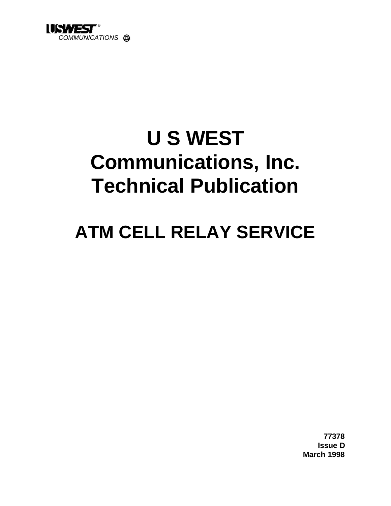

# **U S WEST Communications, Inc. Technical Publication**

# **ATM CELL RELAY SERVICE**

**77378 Issue D March 1998**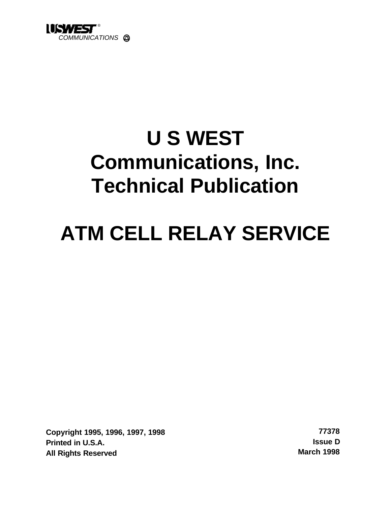

# **U S WEST Communications, Inc. Technical Publication**

# **ATM CELL RELAY SERVICE**

**Copyright 1995, 1996, 1997, 1998 77378 Printed in U.S.A. Issue D All Rights Reserved March 1998**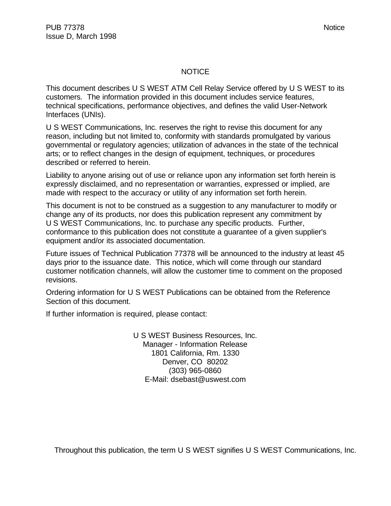#### **NOTICE**

This document describes U S WEST ATM Cell Relay Service offered by U S WEST to its customers. The information provided in this document includes service features, technical specifications, performance objectives, and defines the valid User-Network Interfaces (UNIs).

U S WEST Communications, Inc. reserves the right to revise this document for any reason, including but not limited to, conformity with standards promulgated by various governmental or regulatory agencies; utilization of advances in the state of the technical arts; or to reflect changes in the design of equipment, techniques, or procedures described or referred to herein.

Liability to anyone arising out of use or reliance upon any information set forth herein is expressly disclaimed, and no representation or warranties, expressed or implied, are made with respect to the accuracy or utility of any information set forth herein.

This document is not to be construed as a suggestion to any manufacturer to modify or change any of its products, nor does this publication represent any commitment by U S WEST Communications, Inc. to purchase any specific products. Further, conformance to this publication does not constitute a guarantee of a given supplier's equipment and/or its associated documentation.

Future issues of Technical Publication 77378 will be announced to the industry at least 45 days prior to the issuance date. This notice, which will come through our standard customer notification channels, will allow the customer time to comment on the proposed revisions.

Ordering information for U S WEST Publications can be obtained from the Reference Section of this document.

If further information is required, please contact:

U S WEST Business Resources, Inc. Manager - Information Release 1801 California, Rm. 1330 Denver, CO 80202 (303) 965-0860 E-Mail: dsebast@uswest.com

Throughout this publication, the term U S WEST signifies U S WEST Communications, Inc.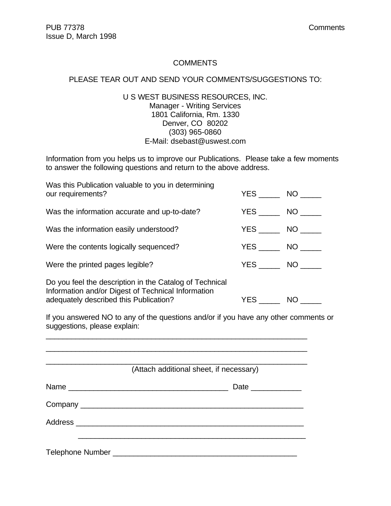#### **COMMENTS**

#### PLEASE TEAR OUT AND SEND YOUR COMMENTS/SUGGESTIONS TO:

#### U S WEST BUSINESS RESOURCES, INC. Manager - Writing Services 1801 California, Rm. 1330 Denver, CO 80202 (303) 965-0860 E-Mail: dsebast@uswest.com

Information from you helps us to improve our Publications. Please take a few moments to answer the following questions and return to the above address.

| Was this Publication valuable to you in determining<br>our requirements?                                                                                |                  | YES NO   |
|---------------------------------------------------------------------------------------------------------------------------------------------------------|------------------|----------|
| Was the information accurate and up-to-date?                                                                                                            |                  | YES NO   |
| Was the information easily understood?                                                                                                                  |                  | $YES$ NO |
| Were the contents logically sequenced?                                                                                                                  |                  | YES NO   |
| Were the printed pages legible?                                                                                                                         |                  | YES NO   |
| Do you feel the description in the Catalog of Technical<br>Information and/or Digest of Technical Information<br>adequately described this Publication? | YES <b>Artic</b> | NO       |

If you answered NO to any of the questions and/or if you have any other comments or suggestions, please explain:

\_\_\_\_\_\_\_\_\_\_\_\_\_\_\_\_\_\_\_\_\_\_\_\_\_\_\_\_\_\_\_\_\_\_\_\_\_\_\_\_\_\_\_\_\_\_\_\_\_\_\_\_\_\_\_\_\_\_\_\_\_\_

|      | (Attach additional sheet, if necessary) |
|------|-----------------------------------------|
| Name | Date _____________                      |
|      |                                         |
|      |                                         |
|      |                                         |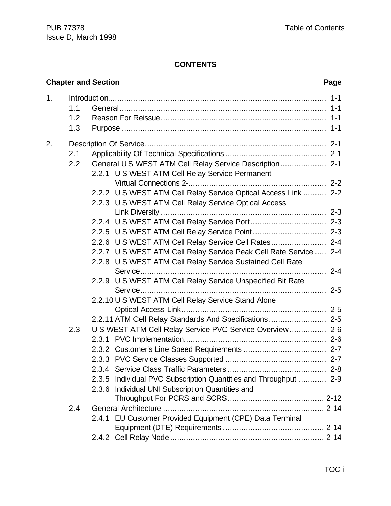### **CONTENTS**

|    |                   | <b>Chapter and Section</b>                                                                                                                                                             | Page |
|----|-------------------|----------------------------------------------------------------------------------------------------------------------------------------------------------------------------------------|------|
| 1. | 1.1<br>1.2<br>1.3 |                                                                                                                                                                                        |      |
| 2. | 2.1<br>2.2        | General US WEST ATM Cell Relay Service Description 2-1<br>2.2.1 U S WEST ATM Cell Relay Service Permanent                                                                              |      |
|    |                   | 2.2.2 U S WEST ATM Cell Relay Service Optical Access Link  2-2<br>2.2.3 U S WEST ATM Cell Relay Service Optical Access                                                                 |      |
|    |                   | 2.2.6 U S WEST ATM Cell Relay Service Cell Rates 2-4<br>2.2.7 U S WEST ATM Cell Relay Service Peak Cell Rate Service  2-4<br>2.2.8 U S WEST ATM Cell Relay Service Sustained Cell Rate |      |
|    |                   | 2.2.9 U S WEST ATM Cell Relay Service Unspecified Bit Rate                                                                                                                             |      |
|    |                   | 2.2.10 U S WEST ATM Cell Relay Service Stand Alone<br>2.2.11 ATM Cell Relay Standards And Specifications 2-5                                                                           |      |
|    | 2.3               | U S WEST ATM Cell Relay Service PVC Service Overview 2-6<br>Individual PVC Subscription Quantities and Throughput  2-9<br>2.3.5<br>2.3.6 Individual UNI Subscription Quantities and    |      |
|    | 2.4               | 2.4.1 EU Customer Provided Equipment (CPE) Data Terminal                                                                                                                               |      |
|    |                   |                                                                                                                                                                                        |      |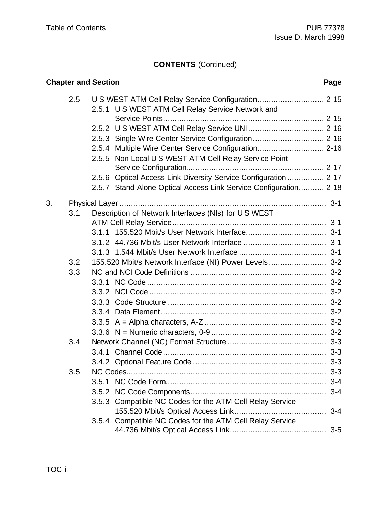|    |     | <b>Chapter and Section</b> |                                                                  | Page    |
|----|-----|----------------------------|------------------------------------------------------------------|---------|
|    | 2.5 |                            | 2.5.1 U S WEST ATM Cell Relay Service Network and                |         |
|    |     |                            |                                                                  |         |
|    |     |                            |                                                                  |         |
|    |     |                            | 2.5.3 Single Wire Center Service Configuration 2-16              |         |
|    |     |                            | 2.5.4 Multiple Wire Center Service Configuration 2-16            |         |
|    |     | 2.5.5                      | Non-Local U S WEST ATM Cell Relay Service Point                  |         |
|    |     |                            | 2.5.6 Optical Access Link Diversity Service Configuration  2-17  |         |
|    |     |                            | 2.5.7 Stand-Alone Optical Access Link Service Configuration 2-18 |         |
| 3. |     |                            |                                                                  |         |
|    | 3.1 |                            | Description of Network Interfaces (NIs) for U S WEST             |         |
|    |     |                            |                                                                  |         |
|    |     |                            |                                                                  |         |
|    |     |                            |                                                                  |         |
|    |     |                            |                                                                  |         |
|    | 3.2 |                            | 155.520 Mbit/s Network Interface (NI) Power Levels 3-2           |         |
|    | 3.3 |                            |                                                                  |         |
|    |     |                            |                                                                  |         |
|    |     |                            |                                                                  |         |
|    |     |                            |                                                                  |         |
|    |     |                            |                                                                  |         |
|    |     |                            |                                                                  |         |
|    |     |                            |                                                                  |         |
|    | 3.4 |                            |                                                                  |         |
|    |     |                            |                                                                  |         |
|    |     |                            |                                                                  | $3 - 3$ |
|    | 3.5 |                            |                                                                  | $3 - 3$ |
|    |     |                            |                                                                  |         |
|    |     |                            |                                                                  |         |
|    |     |                            | 3.5.3 Compatible NC Codes for the ATM Cell Relay Service         | $3 - 4$ |
|    |     |                            | 3.5.4 Compatible NC Codes for the ATM Cell Relay Service         |         |
|    |     |                            |                                                                  | $3 - 5$ |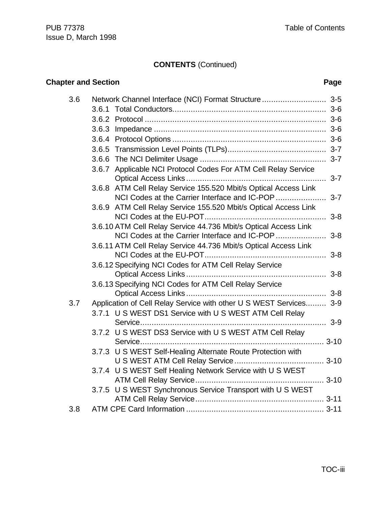| <b>Chapter and Section</b> |                                                                    | Page |
|----------------------------|--------------------------------------------------------------------|------|
| 3.6                        | Network Channel Interface (NCI) Format Structure 3-5               |      |
|                            | 3.6.1                                                              |      |
|                            |                                                                    |      |
|                            |                                                                    |      |
|                            |                                                                    |      |
|                            |                                                                    |      |
|                            |                                                                    |      |
|                            | 3.6.7 Applicable NCI Protocol Codes For ATM Cell Relay Service     |      |
|                            | 3.6.8 ATM Cell Relay Service 155.520 Mbit/s Optical Access Link    |      |
|                            | 3.6.9 ATM Cell Relay Service 155.520 Mbit/s Optical Access Link    |      |
|                            | 3.6.10 ATM Cell Relay Service 44.736 Mbit/s Optical Access Link    |      |
|                            |                                                                    |      |
|                            | 3.6.11 ATM Cell Relay Service 44.736 Mbit/s Optical Access Link    |      |
|                            | 3.6.12 Specifying NCI Codes for ATM Cell Relay Service             |      |
|                            | 3.6.13 Specifying NCI Codes for ATM Cell Relay Service             |      |
| 3.7                        | Application of Cell Relay Service with other U S WEST Services 3-9 |      |
|                            | 3.7.1 U S WEST DS1 Service with U S WEST ATM Cell Relay            |      |
|                            |                                                                    |      |
|                            | 3.7.2 U S WEST DS3 Service with U S WEST ATM Cell Relay            |      |
|                            | 3.7.3 U S WEST Self-Healing Alternate Route Protection with        |      |
|                            |                                                                    |      |
|                            | 3.7.4 U S WEST Self Healing Network Service with U S WEST          |      |
|                            | 3.7.5 U S WEST Synchronous Service Transport with U S WEST         |      |
|                            |                                                                    |      |
| 3.8                        |                                                                    |      |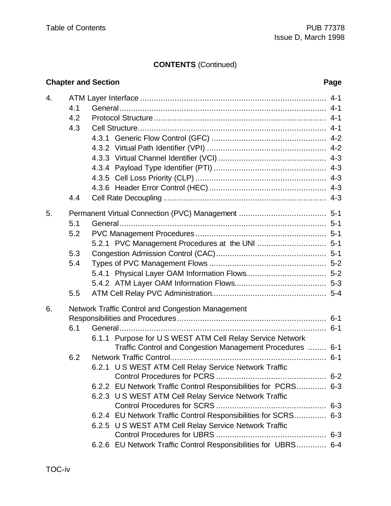### **Chapter and Section Page** 4. ATM Layer Interface ................................................................................. 4-1 4.1 General.......................................................................................... 4-1 4.2 Protocol Structure ........................................................................... 4-1 4.3 Cell Structure.................................................................................. 4-1 4.3.1 Generic Flow Control (GFC) .................................................. 4-2 4.3.2 Virtual Path Identifier (VPI) .................................................... 4-2 4.3.3 Virtual Channel Identifier (VCI) ............................................... 4-3 4.3.4 Payload Type Identifier (PTI) ................................................. 4-3 4.3.5 Cell Loss Priority (CLP) ......................................................... 4-3 4.3.6 Header Error Control (HEC)................................................... 4-3 4.4 Cell Rate Decoupling ....................................................................... 4-3 5. Permanent Virtual Connection (PVC) Management ...................................... 5-1 5.1 General.......................................................................................... 5-1 5.2 PVC Management Procedures ......................................................... 5-1 5.2.1 PVC Management Procedures at the UNI .............................. 5-1 5.3 Congestion Admission Control (CAC)................................................ 5-1 5.4 Types of PVC Management Flows ................................................... 5-2 5.4.1 Physical Layer OAM Information Flows................................... 5-2 5.4.2 ATM Layer OAM Information Flows........................................ 5-3 5.5 ATM Cell Relay PVC Administration.................................................. 5-4 6. Network Traffic Control and Congestion Management Responsibilities and Procedures................................................................. 6-1 6.1 General.......................................................................................... 6-1 6.1.1 Purpose for U S WEST ATM Cell Relay Service Network Traffic Control and Congestion Management Procedures ........ 6-1 6.2 Network Traffic Control.................................................................... 6-1 6.2.1 U S WEST ATM Cell Relay Service Network Traffic Control Procedures for PCRS ................................................ 6-2 6.2.2 EU Network Traffic Control Responsibilities for PCRS............. 6-3 6.2.3 U S WEST ATM Cell Relay Service Network Traffic Control Procedures for SCRS ................................................ 6-3 6.2.4 EU Network Traffic Control Responsibilities for SCRS.............. 6-3 6.2.5 U S WEST ATM Cell Relay Service Network Traffic Control Procedures for UBRS ................................................ 6-3

6.2.6 EU Network Traffic Control Responsibilities for UBRS............. 6-4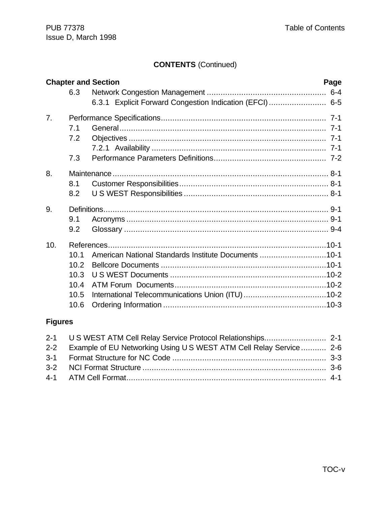|     |      | <b>Chapter and Section</b>                              | Page |
|-----|------|---------------------------------------------------------|------|
|     | 6.3  |                                                         |      |
|     |      | 6.3.1 Explicit Forward Congestion Indication (EFCI) 6-5 |      |
| 7.  |      |                                                         |      |
|     | 7.1  |                                                         |      |
|     | 7.2  |                                                         |      |
|     |      |                                                         |      |
|     | 7.3  |                                                         |      |
| 8.  |      |                                                         |      |
|     | 8.1  |                                                         |      |
|     | 8.2  |                                                         |      |
| 9.  |      |                                                         |      |
|     | 9.1  |                                                         |      |
|     | 9.2  |                                                         |      |
| 10. |      |                                                         |      |
|     | 10.1 | American National Standards Institute Documents 10-1    |      |
|     | 10.2 |                                                         |      |
|     | 10.3 |                                                         |      |
|     | 10.4 |                                                         |      |
|     | 10.5 |                                                         |      |
|     | 10.6 |                                                         |      |

# **Figures**

| 2-2 Example of EU Networking Using US WEST ATM Cell Relay Service 2-6 |  |
|-----------------------------------------------------------------------|--|
|                                                                       |  |
|                                                                       |  |
|                                                                       |  |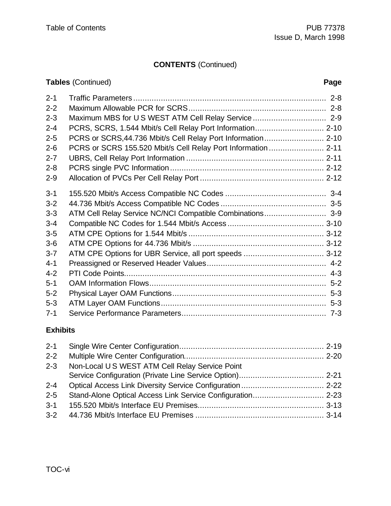# **Tables** (Continued) **Page**

| $2 - 1$ |                                                               |  |
|---------|---------------------------------------------------------------|--|
| $2 - 2$ |                                                               |  |
| $2 - 3$ |                                                               |  |
| $2 - 4$ | PCRS, SCRS, 1.544 Mbit/s Cell Relay Port Information 2-10     |  |
| $2 - 5$ | PCRS or SCRS, 44.736 Mbit/s Cell Relay Port Information 2-10  |  |
| $2 - 6$ | PCRS or SCRS 155.520 Mbit/s Cell Relay Port Information  2-11 |  |
| $2 - 7$ |                                                               |  |
| $2 - 8$ |                                                               |  |
| $2 - 9$ |                                                               |  |
| $3 - 1$ |                                                               |  |
| $3 - 2$ |                                                               |  |
| $3 - 3$ |                                                               |  |
| $3 - 4$ |                                                               |  |
| $3-5$   |                                                               |  |
| $3-6$   |                                                               |  |
| $3 - 7$ |                                                               |  |
| $4 - 1$ |                                                               |  |
| $4 - 2$ |                                                               |  |
| $5 - 1$ |                                                               |  |
| $5-2$   |                                                               |  |
| $5-3$   |                                                               |  |
| $7 - 1$ |                                                               |  |

### **Exhibits**

| $2 - 2$ |                                                 |  |
|---------|-------------------------------------------------|--|
| $2 - 3$ | Non-Local U S WEST ATM Cell Relay Service Point |  |
|         |                                                 |  |
| $2 - 4$ |                                                 |  |
| $2 - 5$ |                                                 |  |
| $3 - 1$ |                                                 |  |
|         |                                                 |  |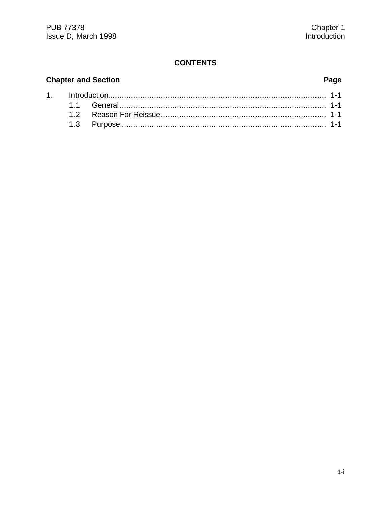### **CONTENTS**

# **Chapter and Section**

# Page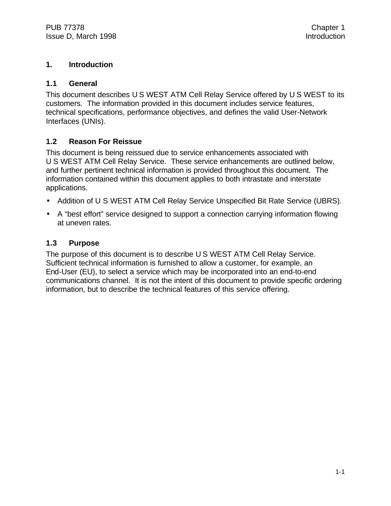#### **1. Introduction**

#### **1.1 General**

This document describes U S WEST ATM Cell Relay Service offered by U S WEST to its customers. The information provided in this document includes service features, technical specifications, performance objectives, and defines the valid User-Network Interfaces (UNIs).

#### **1.2 Reason For Reissue**

This document is being reissued due to service enhancements associated with U S WEST ATM Cell Relay Service. These service enhancements are outlined below, and further pertinent technical information is provided throughout this document. The information contained within this document applies to both intrastate and interstate applications.

- Addition of U S WEST ATM Cell Relay Service Unspecified Bit Rate Service (UBRS).
- A "best effort" service designed to support a connection carrying information flowing at uneven rates.

#### **1.3 Purpose**

The purpose of this document is to describe U S WEST ATM Cell Relay Service. Sufficient technical information is furnished to allow a customer, for example, an End-User (EU), to select a service which may be incorporated into an end-to-end communications channel. It is not the intent of this document to provide specific ordering information, but to describe the technical features of this service offering.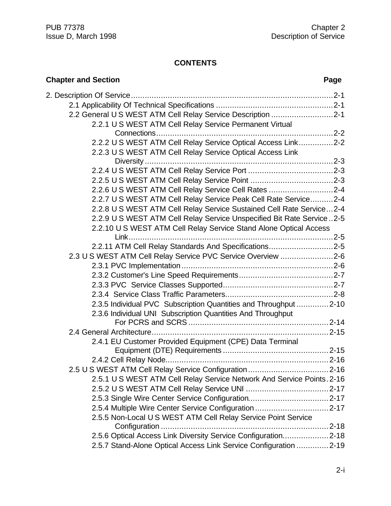#### **CONTENTS**

| <b>Chapter and Section</b><br>Page                                     |  |
|------------------------------------------------------------------------|--|
|                                                                        |  |
|                                                                        |  |
| 2.2 General U S WEST ATM Cell Relay Service Description 2-1            |  |
| 2.2.1 U S WEST ATM Cell Relay Service Permanent Virtual                |  |
|                                                                        |  |
| 2.2.2 U S WEST ATM Cell Relay Service Optical Access Link2-2           |  |
| 2.2.3 U S WEST ATM Cell Relay Service Optical Access Link              |  |
|                                                                        |  |
|                                                                        |  |
|                                                                        |  |
| 2.2.6 U S WEST ATM Cell Relay Service Cell Rates 2-4                   |  |
| 2.2.7 U S WEST ATM Cell Relay Service Peak Cell Rate Service2-4        |  |
| 2.2.8 U S WEST ATM Cell Relay Service Sustained Cell Rate Service2-4   |  |
| 2.2.9 U S WEST ATM Cell Relay Service Unspecified Bit Rate Service2-5  |  |
| 2.2.10 U S WEST ATM Cell Relay Service Stand Alone Optical Access      |  |
| Link                                                                   |  |
| 2.2.11 ATM Cell Relay Standards And Specifications2-5                  |  |
| 2.3 U S WEST ATM Cell Relay Service PVC Service Overview 2-6           |  |
|                                                                        |  |
|                                                                        |  |
|                                                                        |  |
|                                                                        |  |
| 2.3.5 Individual PVC Subscription Quantities and Throughput 2-10       |  |
| 2.3.6 Individual UNI Subscription Quantities And Throughput            |  |
|                                                                        |  |
| 2.4.1 EU Customer Provided Equipment (CPE) Data Terminal               |  |
|                                                                        |  |
|                                                                        |  |
|                                                                        |  |
| 2.5.1 U S WEST ATM Cell Relay Service Network And Service Points. 2-16 |  |
|                                                                        |  |
|                                                                        |  |
|                                                                        |  |
| 2.5.5 Non-Local U S WEST ATM Cell Relay Service Point Service          |  |
| Configuration                                                          |  |
| 2.5.6 Optical Access Link Diversity Service Configuration2-18          |  |
| 2.5.7 Stand-Alone Optical Access Link Service Configuration 2-19       |  |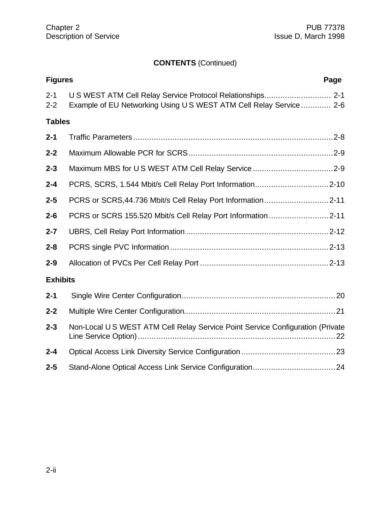| <b>Figures</b>     | Page                                                                                                                            |
|--------------------|---------------------------------------------------------------------------------------------------------------------------------|
| $2 - 1$<br>$2 - 2$ | U S WEST ATM Cell Relay Service Protocol Relationships 2-1<br>Example of EU Networking Using US WEST ATM Cell Relay Service 2-6 |
| <b>Tables</b>      |                                                                                                                                 |
| $2 - 1$            |                                                                                                                                 |
| $2 - 2$            |                                                                                                                                 |
| $2 - 3$            |                                                                                                                                 |
| $2 - 4$            |                                                                                                                                 |
| $2 - 5$            |                                                                                                                                 |
| $2 - 6$            |                                                                                                                                 |
| $2 - 7$            |                                                                                                                                 |
| $2 - 8$            |                                                                                                                                 |
| $2 - 9$            |                                                                                                                                 |
| <b>Exhibits</b>    |                                                                                                                                 |
| $2 - 1$            |                                                                                                                                 |
| $2 - 2$            |                                                                                                                                 |
| $2 - 3$            | Non-Local U S WEST ATM Cell Relay Service Point Service Configuration (Private                                                  |
| $2 - 4$            |                                                                                                                                 |
| $2 - 5$            |                                                                                                                                 |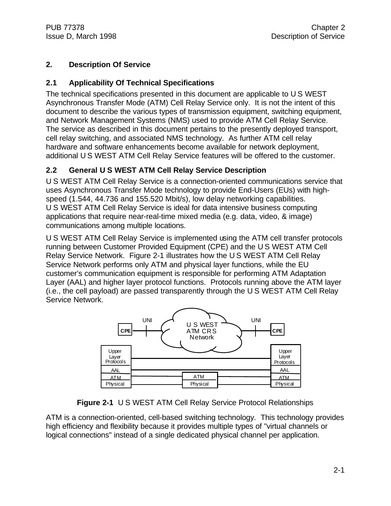#### **2. Description Of Service**

#### **2.1 Applicability Of Technical Specifications**

The technical specifications presented in this document are applicable to U S WEST Asynchronous Transfer Mode (ATM) Cell Relay Service only. It is not the intent of this document to describe the various types of transmission equipment, switching equipment, and Network Management Systems (NMS) used to provide ATM Cell Relay Service. The service as described in this document pertains to the presently deployed transport, cell relay switching, and associated NMS technology. As further ATM cell relay hardware and software enhancements become available for network deployment, additional U S WEST ATM Cell Relay Service features will be offered to the customer.

#### **2.2 General U S WEST ATM Cell Relay Service Description**

U S WEST ATM Cell Relay Service is a connection-oriented communications service that uses Asynchronous Transfer Mode technology to provide End-Users (EUs) with highspeed (1.544, 44.736 and 155.520 Mbit/s), low delay networking capabilities. U S WEST ATM Cell Relay Service is ideal for data intensive business computing applications that require near-real-time mixed media (e.g. data, video, & image) communications among multiple locations.

U S WEST ATM Cell Relay Service is implemented using the ATM cell transfer protocols running between Customer Provided Equipment (CPE) and the U S WEST ATM Cell Relay Service Network. Figure 2-1 illustrates how the U S WEST ATM Cell Relay Service Network performs only ATM and physical layer functions, while the EU customer's communication equipment is responsible for performing ATM Adaptation Layer (AAL) and higher layer protocol functions. Protocols running above the ATM layer (i.e., the cell payload) are passed transparently through the U S WEST ATM Cell Relay Service Network.



**Figure 2-1** U S WEST ATM Cell Relay Service Protocol Relationships

ATM is a connection-oriented, cell-based switching technology. This technology provides high efficiency and flexibility because it provides multiple types of "virtual channels or logical connections" instead of a single dedicated physical channel per application.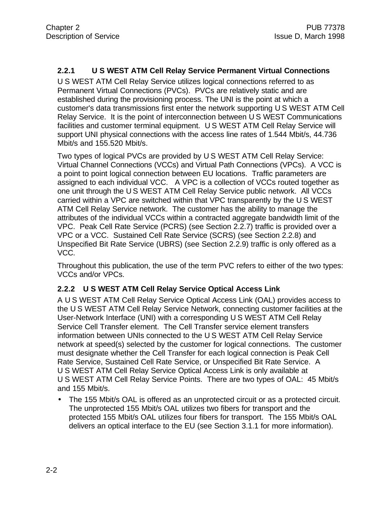#### **2.2.1 U S WEST ATM Cell Relay Service Permanent Virtual Connections**

U S WEST ATM Cell Relay Service utilizes logical connections referred to as Permanent Virtual Connections (PVCs). PVCs are relatively static and are established during the provisioning process. The UNI is the point at which a customer's data transmissions first enter the network supporting U S WEST ATM Cell Relay Service. It is the point of interconnection between U S WEST Communications facilities and customer terminal equipment. U S WEST ATM Cell Relay Service will support UNI physical connections with the access line rates of 1.544 Mbit/s, 44.736 Mbit/s and 155.520 Mbit/s.

Two types of logical PVCs are provided by U S WEST ATM Cell Relay Service: Virtual Channel Connections (VCCs) and Virtual Path Connections (VPCs). A VCC is a point to point logical connection between EU locations. Traffic parameters are assigned to each individual VCC. A VPC is a collection of VCCs routed together as one unit through the U S WEST ATM Cell Relay Service public network. All VCCs carried within a VPC are switched within that VPC transparently by the U S WEST ATM Cell Relay Service network. The customer has the ability to manage the attributes of the individual VCCs within a contracted aggregate bandwidth limit of the VPC. Peak Cell Rate Service (PCRS) (see Section 2.2.7) traffic is provided over a VPC or a VCC. Sustained Cell Rate Service (SCRS) (see Section 2.2.8) and Unspecified Bit Rate Service (UBRS) (see Section 2.2.9) traffic is only offered as a VCC.

Throughout this publication, the use of the term PVC refers to either of the two types: VCCs and/or VPCs.

#### **2.2.2 U S WEST ATM Cell Relay Service Optical Access Link**

A U S WEST ATM Cell Relay Service Optical Access Link (OAL) provides access to the U S WEST ATM Cell Relay Service Network, connecting customer facilities at the User-Network Interface (UNI) with a corresponding U S WEST ATM Cell Relay Service Cell Transfer element. The Cell Transfer service element transfers information between UNIs connected to the U S WEST ATM Cell Relay Service network at speed(s) selected by the customer for logical connections. The customer must designate whether the Cell Transfer for each logical connection is Peak Cell Rate Service, Sustained Cell Rate Service, or Unspecified Bit Rate Service. A U S WEST ATM Cell Relay Service Optical Access Link is only available at U S WEST ATM Cell Relay Service Points. There are two types of OAL: 45 Mbit/s and 155 Mbit/s.

• The 155 Mbit/s OAL is offered as an unprotected circuit or as a protected circuit. The unprotected 155 Mbit/s OAL utilizes two fibers for transport and the protected 155 Mbit/s OAL utilizes four fibers for transport. The 155 Mbit/s OAL delivers an optical interface to the EU (see Section 3.1.1 for more information).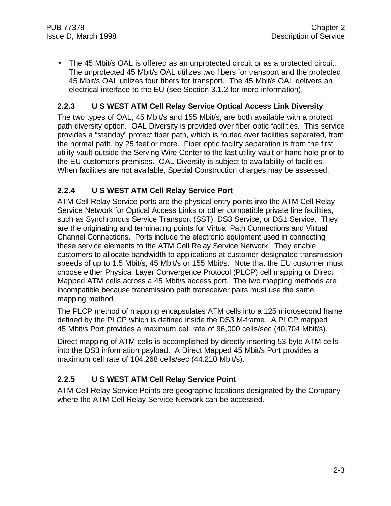• The 45 Mbit/s OAL is offered as an unprotected circuit or as a protected circuit. The unprotected 45 Mbit/s OAL utilizes two fibers for transport and the protected 45 Mbit/s OAL utilizes four fibers for transport. The 45 Mbit/s OAL delivers an electrical interface to the EU (see Section 3.1.2 for more information).

#### **2.2.3 U S WEST ATM Cell Relay Service Optical Access Link Diversity**

The two types of OAL, 45 Mbit/s and 155 Mbit/s, are both available with a protect path diversity option. OAL Diversity is provided over fiber optic facilities. This service provides a "standby" protect fiber path, which is routed over facilities separated, from the normal path, by 25 feet or more. Fiber optic facility separation is from the first utility vault outside the Serving Wire Center to the last utility vault or hand hole prior to the EU customer's premises. OAL Diversity is subject to availability of facilities. When facilities are not available, Special Construction charges may be assessed.

#### **2.2.4 U S WEST ATM Cell Relay Service Port**

ATM Cell Relay Service ports are the physical entry points into the ATM Cell Relay Service Network for Optical Access Links or other compatible private line facilities, such as Synchronous Service Transport (SST), DS3 Service, or DS1 Service. They are the originating and terminating points for Virtual Path Connections and Virtual Channel Connections. Ports include the electronic equipment used in connecting these service elements to the ATM Cell Relay Service Network. They enable customers to allocate bandwidth to applications at customer-designated transmission speeds of up to 1.5 Mbit/s, 45 Mbit/s or 155 Mbit/s. Note that the EU customer must choose either Physical Layer Convergence Protocol (PLCP) cell mapping or Direct Mapped ATM cells across a 45 Mbit/s access port. The two mapping methods are incompatible because transmission path transceiver pairs must use the same mapping method.

The PLCP method of mapping encapsulates ATM cells into a 125 microsecond frame defined by the PLCP which is defined inside the DS3 M-frame. A PLCP mapped 45 Mbit/s Port provides a maximum cell rate of 96,000 cells/sec (40.704 Mbit/s).

Direct mapping of ATM cells is accomplished by directly inserting 53 byte ATM cells into the DS3 information payload. A Direct Mapped 45 Mbit/s Port provides a maximum cell rate of 104,268 cells/sec (44.210 Mbit/s).

#### **2.2.5 U S WEST ATM Cell Relay Service Point**

ATM Cell Relay Service Points are geographic locations designated by the Company where the ATM Cell Relay Service Network can be accessed.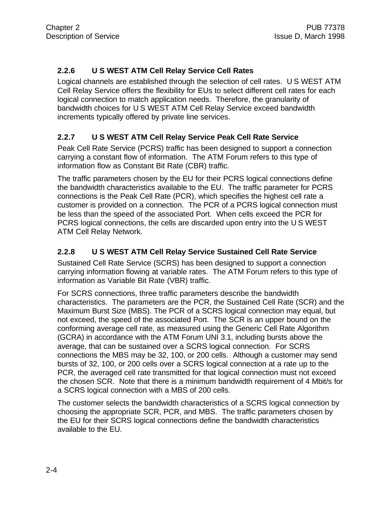#### **2.2.6 U S WEST ATM Cell Relay Service Cell Rates**

Logical channels are established through the selection of cell rates. U S WEST ATM Cell Relay Service offers the flexibility for EUs to select different cell rates for each logical connection to match application needs. Therefore, the granularity of bandwidth choices for U S WEST ATM Cell Relay Service exceed bandwidth increments typically offered by private line services.

#### **2.2.7 U S WEST ATM Cell Relay Service Peak Cell Rate Service**

Peak Cell Rate Service (PCRS) traffic has been designed to support a connection carrying a constant flow of information. The ATM Forum refers to this type of information flow as Constant Bit Rate (CBR) traffic.

The traffic parameters chosen by the EU for their PCRS logical connections define the bandwidth characteristics available to the EU. The traffic parameter for PCRS connections is the Peak Cell Rate (PCR), which specifies the highest cell rate a customer is provided on a connection. The PCR of a PCRS logical connection must be less than the speed of the associated Port. When cells exceed the PCR for PCRS logical connections, the cells are discarded upon entry into the U S WEST ATM Cell Relay Network.

#### **2.2.8 U S WEST ATM Cell Relay Service Sustained Cell Rate Service**

Sustained Cell Rate Service (SCRS) has been designed to support a connection carrying information flowing at variable rates. The ATM Forum refers to this type of information as Variable Bit Rate (VBR) traffic.

For SCRS connections, three traffic parameters describe the bandwidth characteristics. The parameters are the PCR, the Sustained Cell Rate (SCR) and the Maximum Burst Size (MBS). The PCR of a SCRS logical connection may equal, but not exceed, the speed of the associated Port. The SCR is an upper bound on the conforming average cell rate, as measured using the Generic Cell Rate Algorithm (GCRA) in accordance with the ATM Forum UNI 3.1, including bursts above the average, that can be sustained over a SCRS logical connection. For SCRS connections the MBS may be 32, 100, or 200 cells. Although a customer may send bursts of 32, 100, or 200 cells over a SCRS logical connection at a rate up to the PCR, the averaged cell rate transmitted for that logical connection must not exceed the chosen SCR. Note that there is a minimum bandwidth requirement of 4 Mbit/s for a SCRS logical connection with a MBS of 200 cells.

The customer selects the bandwidth characteristics of a SCRS logical connection by choosing the appropriate SCR, PCR, and MBS. The traffic parameters chosen by the EU for their SCRS logical connections define the bandwidth characteristics available to the EU.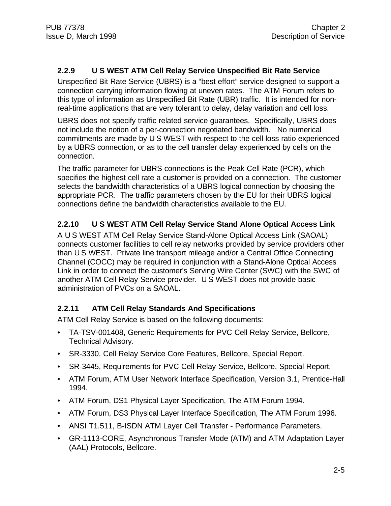#### **2.2.9 U S WEST ATM Cell Relay Service Unspecified Bit Rate Service**

Unspecified Bit Rate Service (UBRS) is a "best effort" service designed to support a connection carrying information flowing at uneven rates. The ATM Forum refers to this type of information as Unspecified Bit Rate (UBR) traffic. It is intended for nonreal-time applications that are very tolerant to delay, delay variation and cell loss.

UBRS does not specify traffic related service guarantees. Specifically, UBRS does not include the notion of a per-connection negotiated bandwidth. No numerical commitments are made by U S WEST with respect to the cell loss ratio experienced by a UBRS connection, or as to the cell transfer delay experienced by cells on the connection.

The traffic parameter for UBRS connections is the Peak Cell Rate (PCR), which specifies the highest cell rate a customer is provided on a connection. The customer selects the bandwidth characteristics of a UBRS logical connection by choosing the appropriate PCR. The traffic parameters chosen by the EU for their UBRS logical connections define the bandwidth characteristics available to the EU.

#### **2.2.10 U S WEST ATM Cell Relay Service Stand Alone Optical Access Link**

A U S WEST ATM Cell Relay Service Stand-Alone Optical Access Link (SAOAL) connects customer facilities to cell relay networks provided by service providers other than U S WEST. Private line transport mileage and/or a Central Office Connecting Channel (COCC) may be required in conjunction with a Stand-Alone Optical Access Link in order to connect the customer's Serving Wire Center (SWC) with the SWC of another ATM Cell Relay Service provider. U S WEST does not provide basic administration of PVCs on a SAOAL.

#### **2.2.11 ATM Cell Relay Standards And Specifications**

ATM Cell Relay Service is based on the following documents:

- TA-TSV-001408, Generic Requirements for PVC Cell Relay Service, Bellcore, Technical Advisory.
- SR-3330, Cell Relay Service Core Features, Bellcore, Special Report.
- SR-3445, Requirements for PVC Cell Relay Service, Bellcore, Special Report.
- ATM Forum, ATM User Network Interface Specification, Version 3.1, Prentice-Hall 1994.
- ATM Forum, DS1 Physical Layer Specification, The ATM Forum 1994.
- ATM Forum, DS3 Physical Layer Interface Specification, The ATM Forum 1996.
- ANSI T1.511, B-ISDN ATM Layer Cell Transfer Performance Parameters.
- GR-1113-CORE, Asynchronous Transfer Mode (ATM) and ATM Adaptation Layer (AAL) Protocols, Bellcore.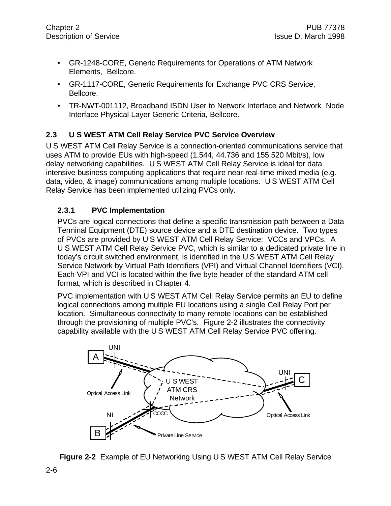- GR-1248-CORE, Generic Requirements for Operations of ATM Network Elements, Bellcore.
- GR-1117-CORE, Generic Requirements for Exchange PVC CRS Service, Bellcore.
- TR-NWT-001112, Broadband ISDN User to Network Interface and Network Node Interface Physical Layer Generic Criteria, Bellcore.

### **2.3 U S WEST ATM Cell Relay Service PVC Service Overview**

U S WEST ATM Cell Relay Service is a connection-oriented communications service that uses ATM to provide EUs with high-speed (1.544, 44.736 and 155.520 Mbit/s), low delay networking capabilities. U S WEST ATM Cell Relay Service is ideal for data intensive business computing applications that require near-real-time mixed media (e.g. data, video, & image) communications among multiple locations. U S WEST ATM Cell Relay Service has been implemented utilizing PVCs only.

#### **2.3.1 PVC Implementation**

PVCs are logical connections that define a specific transmission path between a Data Terminal Equipment (DTE) source device and a DTE destination device. Two types of PVCs are provided by U S WEST ATM Cell Relay Service: VCCs and VPCs. A U S WEST ATM Cell Relay Service PVC, which is similar to a dedicated private line in today's circuit switched environment, is identified in the U S WEST ATM Cell Relay Service Network by Virtual Path Identifiers (VPI) and Virtual Channel Identifiers (VCI). Each VPI and VCI is located within the five byte header of the standard ATM cell format, which is described in Chapter 4.

PVC implementation with U S WEST ATM Cell Relay Service permits an EU to define logical connections among multiple EU locations using a single Cell Relay Port per location. Simultaneous connectivity to many remote locations can be established through the provisioning of multiple PVC's. Figure 2-2 illustrates the connectivity capability available with the U S WEST ATM Cell Relay Service PVC offering.



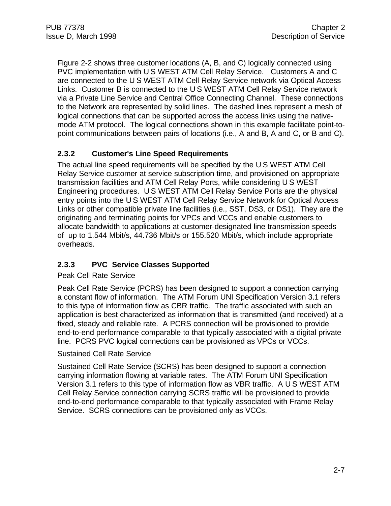Figure 2-2 shows three customer locations (A, B, and C) logically connected using PVC implementation with U S WEST ATM Cell Relay Service. Customers A and C are connected to the U S WEST ATM Cell Relay Service network via Optical Access Links. Customer B is connected to the U S WEST ATM Cell Relay Service network via a Private Line Service and Central Office Connecting Channel. These connections to the Network are represented by solid lines. The dashed lines represent a mesh of logical connections that can be supported across the access links using the nativemode ATM protocol. The logical connections shown in this example facilitate point-topoint communications between pairs of locations (i.e., A and B, A and C, or B and C).

#### **2.3.2 Customer's Line Speed Requirements**

The actual line speed requirements will be specified by the U S WEST ATM Cell Relay Service customer at service subscription time, and provisioned on appropriate transmission facilities and ATM Cell Relay Ports, while considering U S WEST Engineering procedures. U S WEST ATM Cell Relay Service Ports are the physical entry points into the U S WEST ATM Cell Relay Service Network for Optical Access Links or other compatible private line facilities (i.e., SST, DS3, or DS1). They are the originating and terminating points for VPCs and VCCs and enable customers to allocate bandwidth to applications at customer-designated line transmission speeds of up to 1.544 Mbit/s, 44.736 Mbit/s or 155.520 Mbit/s, which include appropriate overheads.

#### **2.3.3 PVC Service Classes Supported**

#### Peak Cell Rate Service

Peak Cell Rate Service (PCRS) has been designed to support a connection carrying a constant flow of information. The ATM Forum UNI Specification Version 3.1 refers to this type of information flow as CBR traffic. The traffic associated with such an application is best characterized as information that is transmitted (and received) at a fixed, steady and reliable rate. A PCRS connection will be provisioned to provide end-to-end performance comparable to that typically associated with a digital private line. PCRS PVC logical connections can be provisioned as VPCs or VCCs.

#### Sustained Cell Rate Service

Sustained Cell Rate Service (SCRS) has been designed to support a connection carrying information flowing at variable rates. The ATM Forum UNI Specification Version 3.1 refers to this type of information flow as VBR traffic. A U S WEST ATM Cell Relay Service connection carrying SCRS traffic will be provisioned to provide end-to-end performance comparable to that typically associated with Frame Relay Service. SCRS connections can be provisioned only as VCCs.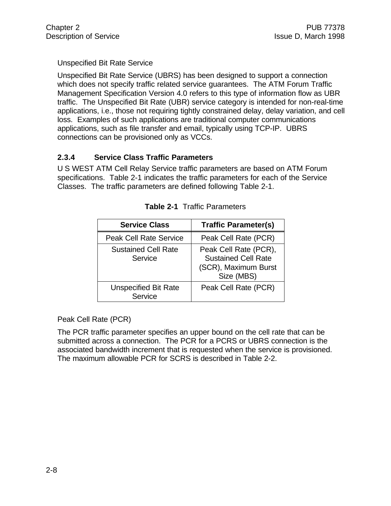#### Unspecified Bit Rate Service

Unspecified Bit Rate Service (UBRS) has been designed to support a connection which does not specify traffic related service guarantees. The ATM Forum Traffic Management Specification Version 4.0 refers to this type of information flow as UBR traffic. The Unspecified Bit Rate (UBR) service category is intended for non-real-time applications, i.e., those not requiring tightly constrained delay, delay variation, and cell loss. Examples of such applications are traditional computer communications applications, such as file transfer and email, typically using TCP-IP. UBRS connections can be provisioned only as VCCs.

#### **2.3.4 Service Class Traffic Parameters**

U S WEST ATM Cell Relay Service traffic parameters are based on ATM Forum specifications. Table 2-1 indicates the traffic parameters for each of the Service Classes. The traffic parameters are defined following Table 2-1.

| <b>Service Class</b>                   | <b>Traffic Parameter(s)</b>                                                               |
|----------------------------------------|-------------------------------------------------------------------------------------------|
| <b>Peak Cell Rate Service</b>          | Peak Cell Rate (PCR)                                                                      |
| <b>Sustained Cell Rate</b><br>Service  | Peak Cell Rate (PCR),<br><b>Sustained Cell Rate</b><br>(SCR), Maximum Burst<br>Size (MBS) |
| <b>Unspecified Bit Rate</b><br>Service | Peak Cell Rate (PCR)                                                                      |

|  |  | <b>Table 2-1</b> Traffic Parameters |
|--|--|-------------------------------------|
|--|--|-------------------------------------|

#### Peak Cell Rate (PCR)

The PCR traffic parameter specifies an upper bound on the cell rate that can be submitted across a connection. The PCR for a PCRS or UBRS connection is the associated bandwidth increment that is requested when the service is provisioned. The maximum allowable PCR for SCRS is described in Table 2-2.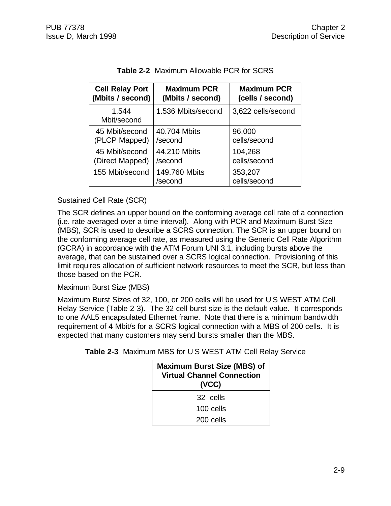| <b>Cell Relay Port</b> | <b>Maximum PCR</b>       | <b>Maximum PCR</b>      |
|------------------------|--------------------------|-------------------------|
| (Mbits / second)       | (Mbits / second)         | (cells / second)        |
| 1.544<br>Mbit/second   | 1.536 Mbits/second       | 3,622 cells/second      |
| 45 Mbit/second         | 40.704 Mbits             | 96,000                  |
| (PLCP Mapped)          | /second                  | cells/second            |
| 45 Mbit/second         | 44.210 Mbits             | 104,268                 |
| (Direct Mapped)        | /second                  | cells/second            |
| 155 Mbit/second        | 149.760 Mbits<br>/second | 353,207<br>cells/second |

**Table 2-2** Maximum Allowable PCR for SCRS

#### Sustained Cell Rate (SCR)

The SCR defines an upper bound on the conforming average cell rate of a connection (i.e. rate averaged over a time interval). Along with PCR and Maximum Burst Size (MBS), SCR is used to describe a SCRS connection. The SCR is an upper bound on the conforming average cell rate, as measured using the Generic Cell Rate Algorithm (GCRA) in accordance with the ATM Forum UNI 3.1, including bursts above the average, that can be sustained over a SCRS logical connection. Provisioning of this limit requires allocation of sufficient network resources to meet the SCR, but less than those based on the PCR.

Maximum Burst Size (MBS)

Maximum Burst Sizes of 32, 100, or 200 cells will be used for U S WEST ATM Cell Relay Service (Table 2-3). The 32 cell burst size is the default value. It corresponds to one AAL5 encapsulated Ethernet frame. Note that there is a minimum bandwidth requirement of 4 Mbit/s for a SCRS logical connection with a MBS of 200 cells. It is expected that many customers may send bursts smaller than the MBS.

| <b>Maximum Burst Size (MBS) of</b><br><b>Virtual Channel Connection</b><br>(VCC) |  |
|----------------------------------------------------------------------------------|--|
| 32 cells                                                                         |  |
| $100$ cells                                                                      |  |
| 200 cells                                                                        |  |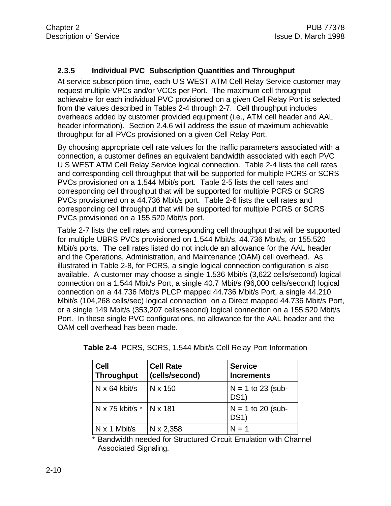#### **2.3.5 Individual PVC Subscription Quantities and Throughput**

At service subscription time, each U S WEST ATM Cell Relay Service customer may request multiple VPCs and/or VCCs per Port. The maximum cell throughput achievable for each individual PVC provisioned on a given Cell Relay Port is selected from the values described in Tables 2-4 through 2-7. Cell throughput includes overheads added by customer provided equipment (i.e., ATM cell header and AAL header information). Section 2.4.6 will address the issue of maximum achievable throughput for all PVCs provisioned on a given Cell Relay Port.

By choosing appropriate cell rate values for the traffic parameters associated with a connection, a customer defines an equivalent bandwidth associated with each PVC U S WEST ATM Cell Relay Service logical connection. Table 2-4 lists the cell rates and corresponding cell throughput that will be supported for multiple PCRS or SCRS PVCs provisioned on a 1.544 Mbit/s port. Table 2-5 lists the cell rates and corresponding cell throughput that will be supported for multiple PCRS or SCRS PVCs provisioned on a 44.736 Mbit/s port. Table 2-6 lists the cell rates and corresponding cell throughput that will be supported for multiple PCRS or SCRS PVCs provisioned on a 155.520 Mbit/s port.

Table 2-7 lists the cell rates and corresponding cell throughput that will be supported for multiple UBRS PVCs provisioned on 1.544 Mbit/s, 44.736 Mbit/s, or 155.520 Mbit/s ports. The cell rates listed do not include an allowance for the AAL header and the Operations, Administration, and Maintenance (OAM) cell overhead. As illustrated in Table 2-8, for PCRS, a single logical connection configuration is also available. A customer may choose a single 1.536 Mbit/s (3,622 cells/second) logical connection on a 1.544 Mbit/s Port, a single 40.7 Mbit/s (96,000 cells/second) logical connection on a 44.736 Mbit/s PLCP mapped 44.736 Mbit/s Port, a single 44.210 Mbit/s (104,268 cells/sec) logical connection on a Direct mapped 44.736 Mbit/s Port, or a single 149 Mbit/s (353,207 cells/second) logical connection on a 155.520 Mbit/s Port. In these single PVC configurations, no allowance for the AAL header and the OAM cell overhead has been made.

| <b>Cell</b><br><b>Throughput</b> | <b>Cell Rate</b><br>(cells/second) | <b>Service</b><br><b>Increments</b>      |
|----------------------------------|------------------------------------|------------------------------------------|
| $N \times 64$ kbit/s             | N x 150                            | $N = 1$ to 23 (sub-<br>DS <sub>1</sub> ) |
| N x 75 kbit/s *   N x 181        |                                    | $N = 1$ to 20 (sub-<br><b>DS1)</b>       |
| $N \times 1$ Mbit/s              | N x 2,358                          | $N = 1$                                  |

\* Bandwidth needed for Structured Circuit Emulation with Channel Associated Signaling.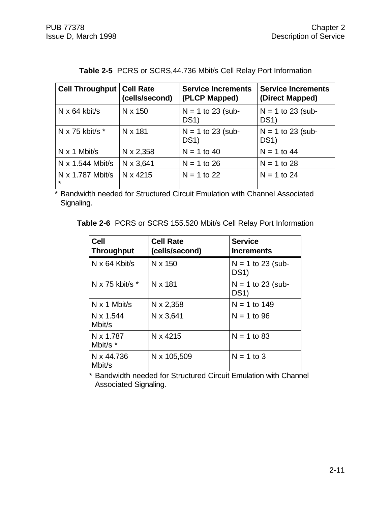| <b>Cell Throughput</b>             | <b>Cell Rate</b><br>(cells/second) | <b>Service Increments</b><br>(PLCP Mapped) | <b>Service Increments</b><br>(Direct Mapped) |
|------------------------------------|------------------------------------|--------------------------------------------|----------------------------------------------|
| $N \times 64$ kbit/s               | N x 150                            | $N = 1$ to 23 (sub-<br><b>DS1)</b>         | $N = 1$ to 23 (sub-<br><b>DS1)</b>           |
| N x 75 kbit/s $*$                  | N x 181                            | $N = 1$ to 23 (sub-<br>DS <sub>1</sub> )   | $N = 1$ to 23 (sub-<br>DS <sub>1</sub>       |
| $N \times 1$ Mbit/s                | N x 2,358                          | $N = 1$ to 40                              | $N = 1$ to 44                                |
| $N \times 1.544$ Mbit/s            | N x 3,641                          | $N = 1$ to 26                              | $N = 1$ to 28                                |
| $N \times 1.787$ Mbit/s<br>$\star$ | N x 4215                           | $N = 1$ to 22                              | $N = 1$ to 24                                |

## **Table 2-5** PCRS or SCRS,44.736 Mbit/s Cell Relay Port Information

\* Bandwidth needed for Structured Circuit Emulation with Channel Associated Signaling.

**Table 2-6** PCRS or SCRS 155.520 Mbit/s Cell Relay Port Information

| <b>Cell</b><br><b>Throughput</b> | <b>Cell Rate</b><br>(cells/second) | <b>Service</b><br><b>Increments</b>    |
|----------------------------------|------------------------------------|----------------------------------------|
| $N \times 64$ Kbit/s             | N x 150                            | $N = 1$ to 23 (sub-<br>DS <sub>1</sub> |
| N x 75 kbit/s $*$                | N x 181                            | $N = 1$ to 23 (sub-<br>DS <sub>1</sub> |
| $N \times 1$ Mbit/s              | N x 2,358                          | $N = 1$ to 149                         |
| N x 1.544<br>Mbit/s              | N x 3,641                          | $N = 1$ to 96                          |
| N x 1.787<br>Mbit/s *            | N x 4215                           | $N = 1$ to 83                          |
| N x 44.736<br>Mbit/s             | N x 105,509                        | $N = 1$ to 3                           |

\* Bandwidth needed for Structured Circuit Emulation with Channel Associated Signaling.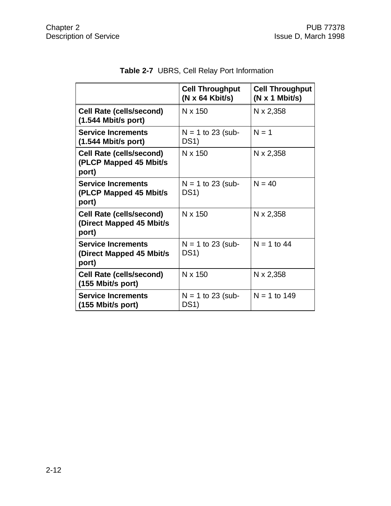|                                                                       | <b>Cell Throughput</b><br>$(N \times 64$ Kbit/s) | <b>Cell Throughput</b><br>(N x 1 Mbit/s) |
|-----------------------------------------------------------------------|--------------------------------------------------|------------------------------------------|
| <b>Cell Rate (cells/second)</b><br>$(1.544$ Mbit/s port)              | N x 150                                          | $N \times 2,358$                         |
| <b>Service Increments</b><br>$(1.544$ Mbit/s port)                    | $N = 1$ to 23 (sub-<br>DS <sub>1</sub>           | $N = 1$                                  |
| <b>Cell Rate (cells/second)</b><br>(PLCP Mapped 45 Mbit/s<br>port)    | N x 150                                          | N x 2,358                                |
| <b>Service Increments</b><br>(PLCP Mapped 45 Mbit/s)<br>port)         | $N = 1$ to 23 (sub-<br>DS <sub>1</sub>           | $N = 40$                                 |
| <b>Cell Rate (cells/second)</b><br>(Direct Mapped 45 Mbit/s)<br>port) | N x 150                                          | N x 2,358                                |
| <b>Service Increments</b><br>(Direct Mapped 45 Mbit/s)<br>port)       | $N = 1$ to 23 (sub-<br>DS <sub>1</sub>           | $N = 1$ to 44                            |
| <b>Cell Rate (cells/second)</b><br>(155 Mbit/s port)                  | N x 150                                          | $N \times 2,358$                         |
| <b>Service Increments</b><br>(155 Mbit/s port)                        | $N = 1$ to 23 (sub-<br><b>DS1)</b>               | $N = 1$ to 149                           |

## **Table 2-7** UBRS, Cell Relay Port Information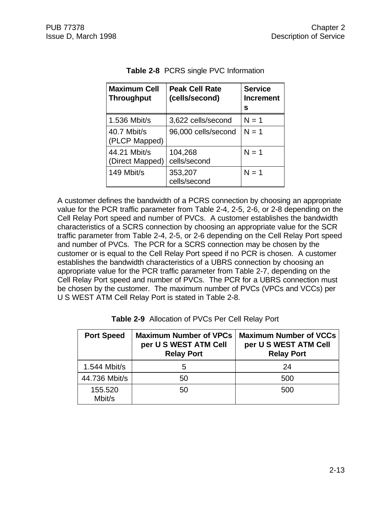| <b>Maximum Cell</b><br><b>Throughput</b> | <b>Peak Cell Rate</b><br>(cells/second) | <b>Service</b><br><b>Increment</b><br>s |
|------------------------------------------|-----------------------------------------|-----------------------------------------|
| 1.536 Mbit/s                             | 3,622 cells/second                      | $N = 1$                                 |
| 40.7 Mbit/s<br>(PLCP Mapped)             | 96,000 cells/second                     | $N = 1$                                 |
| 44.21 Mbit/s<br>(Direct Mapped)          | 104,268<br>cells/second                 | $N = 1$                                 |
| 149 Mbit/s                               | 353,207<br>cells/second                 | $N = 1$                                 |

| <b>Table 2-8</b> PCRS single PVC Information |  |
|----------------------------------------------|--|
|----------------------------------------------|--|

A customer defines the bandwidth of a PCRS connection by choosing an appropriate value for the PCR traffic parameter from Table 2-4, 2-5, 2-6, or 2-8 depending on the Cell Relay Port speed and number of PVCs. A customer establishes the bandwidth characteristics of a SCRS connection by choosing an appropriate value for the SCR traffic parameter from Table 2-4, 2-5, or 2-6 depending on the Cell Relay Port speed and number of PVCs. The PCR for a SCRS connection may be chosen by the customer or is equal to the Cell Relay Port speed if no PCR is chosen. A customer establishes the bandwidth characteristics of a UBRS connection by choosing an appropriate value for the PCR traffic parameter from Table 2-7, depending on the Cell Relay Port speed and number of PVCs. The PCR for a UBRS connection must be chosen by the customer. The maximum number of PVCs (VPCs and VCCs) per U S WEST ATM Cell Relay Port is stated in Table 2-8.

| <b>Port Speed</b> | <b>Maximum Number of VPCs</b><br>per U S WEST ATM Cell<br><b>Relay Port</b> | <b>Maximum Number of VCCs</b><br>per U S WEST ATM Cell<br><b>Relay Port</b> |  |
|-------------------|-----------------------------------------------------------------------------|-----------------------------------------------------------------------------|--|
| 1.544 Mbit/s      | 5                                                                           | 24                                                                          |  |
| 44.736 Mbit/s     | 50                                                                          | 500                                                                         |  |
| 155.520<br>Mbit/s | 50                                                                          | 500                                                                         |  |

| Table 2-9 Allocation of PVCs Per Cell Relay Port |  |  |  |  |
|--------------------------------------------------|--|--|--|--|
|--------------------------------------------------|--|--|--|--|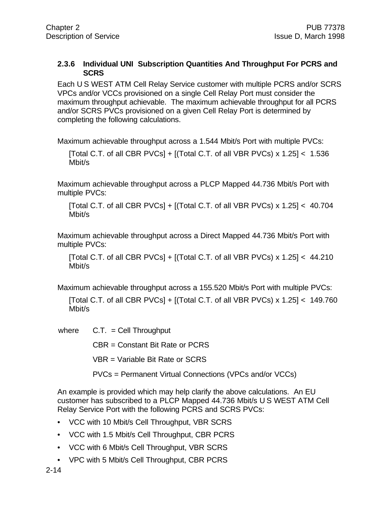#### **2.3.6 Individual UNI Subscription Quantities And Throughput For PCRS and SCRS**

Each U S WEST ATM Cell Relay Service customer with multiple PCRS and/or SCRS VPCs and/or VCCs provisioned on a single Cell Relay Port must consider the maximum throughput achievable. The maximum achievable throughput for all PCRS and/or SCRS PVCs provisioned on a given Cell Relay Port is determined by completing the following calculations.

Maximum achievable throughput across a 1.544 Mbit/s Port with multiple PVCs:

[Total C.T. of all CBR PVCs]  $+$  [(Total C.T. of all VBR PVCs) x 1.25]  $< 1.536$ Mbit/s

Maximum achievable throughput across a PLCP Mapped 44.736 Mbit/s Port with multiple PVCs:

[Total C.T. of all CBR PVCs] + [(Total C.T. of all VBR PVCs) x 1.25] < 40.704 Mbit/s

Maximum achievable throughput across a Direct Mapped 44.736 Mbit/s Port with multiple PVCs:

[Total C.T. of all CBR PVCs] +  $[(Total C.T. of all VBR PVCs] \times 1.25] < 44.210$ Mbit/s

Maximum achievable throughput across a 155.520 Mbit/s Port with multiple PVCs:

[Total C.T. of all CBR PVCs] +  $[(Total C.T. of all VBR PVCs) \times 1.25] < 149.760$ Mbit/s

where  $C.T. = Cell Throughput$ 

CBR = Constant Bit Rate or PCRS

VBR = Variable Bit Rate or SCRS

PVCs = Permanent Virtual Connections (VPCs and/or VCCs)

An example is provided which may help clarify the above calculations. An EU customer has subscribed to a PLCP Mapped 44.736 Mbit/s U S WEST ATM Cell Relay Service Port with the following PCRS and SCRS PVCs:

- VCC with 10 Mbit/s Cell Throughput, VBR SCRS
- VCC with 1.5 Mbit/s Cell Throughput, CBR PCRS
- VCC with 6 Mbit/s Cell Throughput, VBR SCRS
- VPC with 5 Mbit/s Cell Throughput, CBR PCRS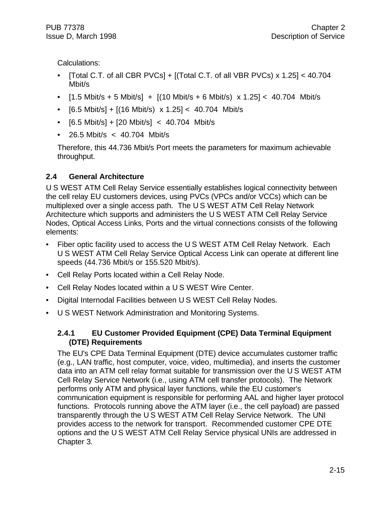Calculations:

- [Total C.T. of all CBR PVCs] +  $[$ [Total C.T. of all VBR PVCs) x 1.25] < 40.704 Mbit/s
- $[1.5 \text{ Mbit/s} + 5 \text{ Mbit/s}] + [(10 \text{ Mbit/s} + 6 \text{ Mbit/s}) \times 1.25] < 40.704 \text{ Mbit/s}$
- $[6.5 \text{ Mbit/s}] + [(16 \text{ Mbit/s}) \times 1.25] < 40.704 \text{ Mbit/s}$
- $[6.5 \text{ Mbit/s}] + [20 \text{ Mbit/s}] < 40.704 \text{ Mbit/s}$
- 26.5 Mbit/s < 40.704 Mbit/s

Therefore, this 44.736 Mbit/s Port meets the parameters for maximum achievable throughput.

### **2.4 General Architecture**

U S WEST ATM Cell Relay Service essentially establishes logical connectivity between the cell relay EU customers devices, using PVCs (VPCs and/or VCCs) which can be multiplexed over a single access path. The U S WEST ATM Cell Relay Network Architecture which supports and administers the U S WEST ATM Cell Relay Service Nodes, Optical Access Links, Ports and the virtual connections consists of the following elements:

- Fiber optic facility used to access the U S WEST ATM Cell Relay Network. Each U S WEST ATM Cell Relay Service Optical Access Link can operate at different line speeds (44.736 Mbit/s or 155.520 Mbit/s).
- Cell Relay Ports located within a Cell Relay Node.
- Cell Relay Nodes located within a U S WEST Wire Center.
- Digital Internodal Facilities between U S WEST Cell Relay Nodes.
- U S WEST Network Administration and Monitoring Systems.

### **2.4.1 EU Customer Provided Equipment (CPE) Data Terminal Equipment (DTE) Requirements**

The EU's CPE Data Terminal Equipment (DTE) device accumulates customer traffic (e.g., LAN traffic, host computer, voice, video, multimedia), and inserts the customer data into an ATM cell relay format suitable for transmission over the U S WEST ATM Cell Relay Service Network (i.e., using ATM cell transfer protocols). The Network performs only ATM and physical layer functions, while the EU customer's communication equipment is responsible for performing AAL and higher layer protocol functions. Protocols running above the ATM layer (i.e., the cell payload) are passed transparently through the U S WEST ATM Cell Relay Service Network. The UNI provides access to the network for transport. Recommended customer CPE DTE options and the U S WEST ATM Cell Relay Service physical UNIs are addressed in Chapter 3.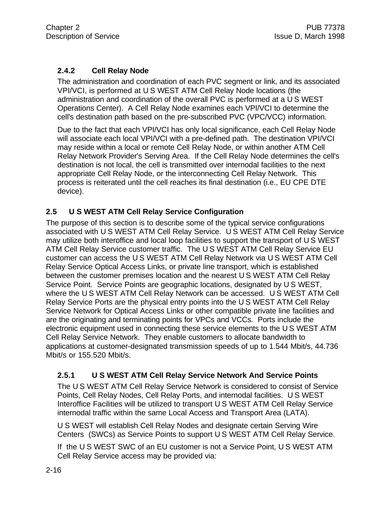#### **2.4.2 Cell Relay Node**

The administration and coordination of each PVC segment or link, and its associated VPI/VCI, is performed at U S WEST ATM Cell Relay Node locations (the administration and coordination of the overall PVC is performed at a U S WEST Operations Center). A Cell Relay Node examines each VPI/VCI to determine the cell's destination path based on the pre-subscribed PVC (VPC/VCC) information.

Due to the fact that each VPI/VCI has only local significance, each Cell Relay Node will associate each local VPI/VCI with a pre-defined path. The destination VPI/VCI may reside within a local or remote Cell Relay Node, or within another ATM Cell Relay Network Provider's Serving Area. If the Cell Relay Node determines the cell's destination is not local, the cell is transmitted over internodal facilities to the next appropriate Cell Relay Node, or the interconnecting Cell Relay Network. This process is reiterated until the cell reaches its final destination (i.e., EU CPE DTE device).

#### **2.5 U S WEST ATM Cell Relay Service Configuration**

The purpose of this section is to describe some of the typical service configurations associated with U S WEST ATM Cell Relay Service. U S WEST ATM Cell Relay Service may utilize both interoffice and local loop facilities to support the transport of U S WEST ATM Cell Relay Service customer traffic. The U S WEST ATM Cell Relay Service EU customer can access the U S WEST ATM Cell Relay Network via U S WEST ATM Cell Relay Service Optical Access Links, or private line transport, which is established between the customer premises location and the nearest U S WEST ATM Cell Relay Service Point. Service Points are geographic locations, designated by U S WEST, where the U S WEST ATM Cell Relay Network can be accessed. U S WEST ATM Cell Relay Service Ports are the physical entry points into the U S WEST ATM Cell Relay Service Network for Optical Access Links or other compatible private line facilities and are the originating and terminating points for VPCs and VCCs. Ports include the electronic equipment used in connecting these service elements to the U S WEST ATM Cell Relay Service Network. They enable customers to allocate bandwidth to applications at customer-designated transmission speeds of up to 1.544 Mbit/s, 44.736 Mbit/s or 155.520 Mbit/s.

#### **2.5.1 U S WEST ATM Cell Relay Service Network And Service Points**

The U S WEST ATM Cell Relay Service Network is considered to consist of Service Points, Cell Relay Nodes, Cell Relay Ports, and internodal facilities. U S WEST Interoffice Facilities will be utilized to transport U S WEST ATM Cell Relay Service internodal traffic within the same Local Access and Transport Area (LATA).

U S WEST will establish Cell Relay Nodes and designate certain Serving Wire Centers (SWCs) as Service Points to support U S WEST ATM Cell Relay Service.

If the U S WEST SWC of an EU customer is not a Service Point, U S WEST ATM Cell Relay Service access may be provided via: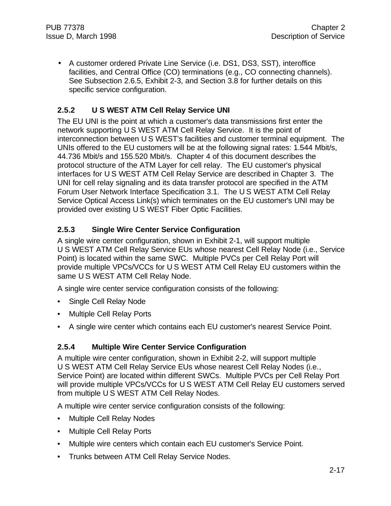• A customer ordered Private Line Service (i.e. DS1, DS3, SST), interoffice facilities, and Central Office (CO) terminations (e.g., CO connecting channels). See Subsection 2.6.5, Exhibit 2-3, and Section 3.8 for further details on this specific service configuration.

#### **2.5.2 U S WEST ATM Cell Relay Service UNI**

The EU UNI is the point at which a customer's data transmissions first enter the network supporting U S WEST ATM Cell Relay Service. It is the point of interconnection between U S WEST's facilities and customer terminal equipment. The UNIs offered to the EU customers will be at the following signal rates: 1.544 Mbit/s, 44.736 Mbit/s and 155.520 Mbit/s. Chapter 4 of this document describes the protocol structure of the ATM Layer for cell relay. The EU customer's physical interfaces for U S WEST ATM Cell Relay Service are described in Chapter 3. The UNI for cell relay signaling and its data transfer protocol are specified in the ATM Forum User Network Interface Specification 3.1. The U S WEST ATM Cell Relay Service Optical Access Link(s) which terminates on the EU customer's UNI may be provided over existing U S WEST Fiber Optic Facilities.

#### **2.5.3 Single Wire Center Service Configuration**

A single wire center configuration, shown in Exhibit 2-1, will support multiple U S WEST ATM Cell Relay Service EUs whose nearest Cell Relay Node (i.e., Service Point) is located within the same SWC. Multiple PVCs per Cell Relay Port will provide multiple VPCs/VCCs for U S WEST ATM Cell Relay EU customers within the same U S WEST ATM Cell Relay Node.

A single wire center service configuration consists of the following:

- Single Cell Relay Node
- Multiple Cell Relay Ports
- A single wire center which contains each EU customer's nearest Service Point.

#### **2.5.4 Multiple Wire Center Service Configuration**

A multiple wire center configuration, shown in Exhibit 2-2, will support multiple U S WEST ATM Cell Relay Service EUs whose nearest Cell Relay Nodes (i.e., Service Point) are located within different SWCs. Multiple PVCs per Cell Relay Port will provide multiple VPCs/VCCs for U S WEST ATM Cell Relay EU customers served from multiple U S WEST ATM Cell Relay Nodes.

A multiple wire center service configuration consists of the following:

- Multiple Cell Relay Nodes
- Multiple Cell Relay Ports
- Multiple wire centers which contain each EU customer's Service Point.
- Trunks between ATM Cell Relay Service Nodes.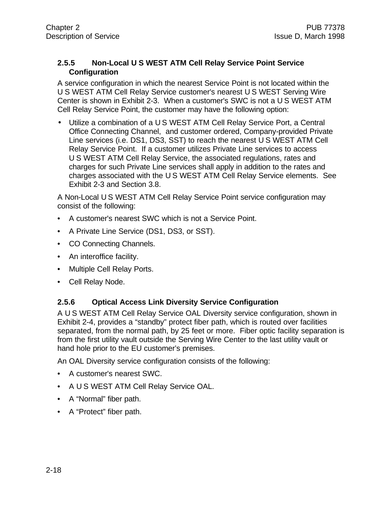#### **2.5.5 Non-Local U S WEST ATM Cell Relay Service Point Service Configuration**

A service configuration in which the nearest Service Point is not located within the U S WEST ATM Cell Relay Service customer's nearest U S WEST Serving Wire Center is shown in Exhibit 2-3. When a customer's SWC is not a U S WEST ATM Cell Relay Service Point, the customer may have the following option:

• Utilize a combination of a U S WEST ATM Cell Relay Service Port, a Central Office Connecting Channel, and customer ordered, Company-provided Private Line services (i.e. DS1, DS3, SST) to reach the nearest U S WEST ATM Cell Relay Service Point. If a customer utilizes Private Line services to access U S WEST ATM Cell Relay Service, the associated regulations, rates and charges for such Private Line services shall apply in addition to the rates and charges associated with the U S WEST ATM Cell Relay Service elements. See Exhibit 2-3 and Section 3.8.

A Non-Local U S WEST ATM Cell Relay Service Point service configuration may consist of the following:

- A customer's nearest SWC which is not a Service Point.
- A Private Line Service (DS1, DS3, or SST).
- CO Connecting Channels.
- An interoffice facility.
- Multiple Cell Relay Ports.
- Cell Relay Node.

#### **2.5.6 Optical Access Link Diversity Service Configuration**

A U S WEST ATM Cell Relay Service OAL Diversity service configuration, shown in Exhibit 2-4, provides a "standby" protect fiber path, which is routed over facilities separated, from the normal path, by 25 feet or more. Fiber optic facility separation is from the first utility vault outside the Serving Wire Center to the last utility vault or hand hole prior to the EU customer's premises.

An OAL Diversity service configuration consists of the following:

- A customer's nearest SWC.
- A U S WEST ATM Cell Relay Service OAL.
- A "Normal" fiber path.
- A "Protect" fiber path.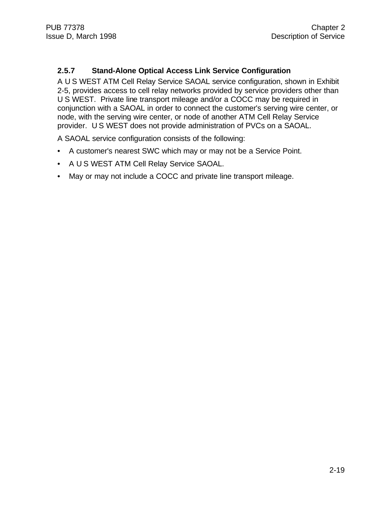#### **2.5.7 Stand-Alone Optical Access Link Service Configuration**

A U S WEST ATM Cell Relay Service SAOAL service configuration, shown in Exhibit 2-5, provides access to cell relay networks provided by service providers other than U S WEST. Private line transport mileage and/or a COCC may be required in conjunction with a SAOAL in order to connect the customer's serving wire center, or node, with the serving wire center, or node of another ATM Cell Relay Service provider. U S WEST does not provide administration of PVCs on a SAOAL.

A SAOAL service configuration consists of the following:

- A customer's nearest SWC which may or may not be a Service Point.
- A U S WEST ATM Cell Relay Service SAOAL.
- May or may not include a COCC and private line transport mileage.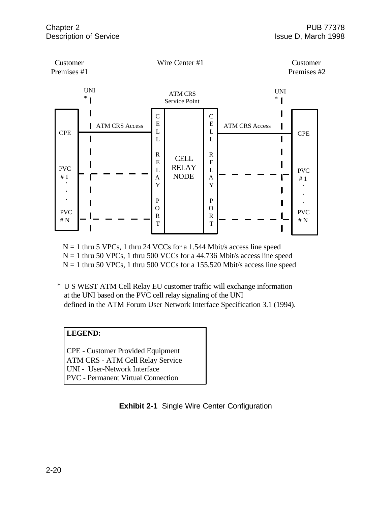

 $N = 1$  thru 5 VPCs, 1 thru 24 VCCs for a 1.544 Mbit/s access line speed  $N = 1$  thru 50 VPCs, 1 thru 500 VCCs for a 44.736 Mbit/s access line speed  $N = 1$  thru 50 VPCs, 1 thru 500 VCCs for a 155.520 Mbit/s access line speed

U S WEST ATM Cell Relay EU customer traffic will exchange information \* at the UNI based on the PVC cell relay signaling of the UNI defined in the ATM Forum User Network Interface Specification 3.1 (1994).

#### **LEGEND:**

CPE - Customer Provided Equipment ATM CRS - ATM Cell Relay Service UNI - User-Network Interface PVC - Permanent Virtual Connection

**Exhibit 2-1** Single Wire Center Configuration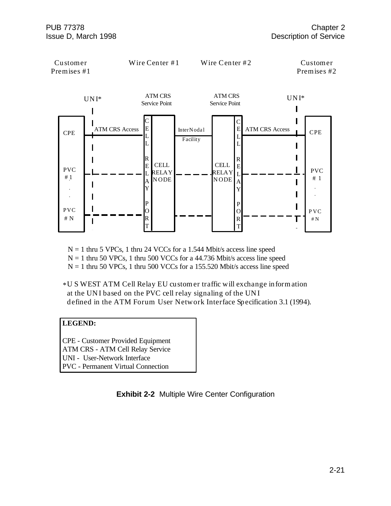

 $N = 1$  thru 5 VPCs, 1 thru 24 VCCs for a 1.544 Mbit/s access line speed  $N = 1$  thru 50 VPCs, 1 thru 500 VCCs for a 44.736 Mbit/s access line speed

 $N = 1$  thru 50 VPCs, 1 thru 500 VCCs for a 155.520 Mbit/s access line speed

\*U S WEST ATM Cell Relay EU customer traffic will exchange information at the UN I based on the PVC cell relay signaling of the UN I defined in the ATM Forum User Network Interface Specification 3.1 (1994).

#### **LEGEND:**

CPE - Customer Provided Equipment ATM CRS - ATM Cell Relay Service UNI - User-Network Interface PVC - Permanent Virtual Connection

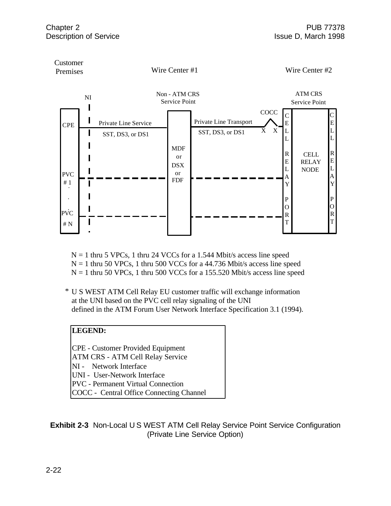

 $N = 1$  thru 5 VPCs, 1 thru 24 VCCs for a 1.544 Mbit/s access line speed  $N = 1$  thru 50 VPCs, 1 thru 500 VCCs for a 44.736 Mbit/s access line speed  $N = 1$  thru 50 VPCs, 1 thru 500 VCCs for a 155.520 Mbit/s access line speed

U S WEST ATM Cell Relay EU customer traffic will exchange information \* at the UNI based on the PVC cell relay signaling of the UNI defined in the ATM Forum User Network Interface Specification 3.1 (1994).

#### **LEGEND:**

CPE - Customer Provided Equipment ATM CRS - ATM Cell Relay Service

- NI Network Interface
- UNI User-Network Interface
- PVC Permanent Virtual Connection
- COCC Central Office Connecting Channel

**Exhibit 2-3** Non-Local U S WEST ATM Cell Relay Service Point Service Configuration (Private Line Service Option)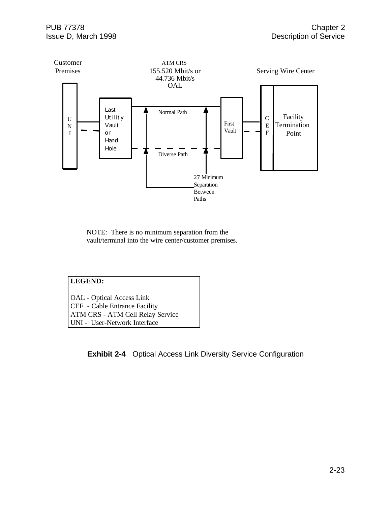

NOTE: There is no minimum separation from the vault/terminal into the wire center/customer premises.

#### **LEGEND:**

OAL - Optical Access Link CEF - Cable Entrance Facility ATM CRS - ATM Cell Relay Service UNI - User-Network Interface

**Exhibit 2-4** Optical Access Link Diversity Service Configuration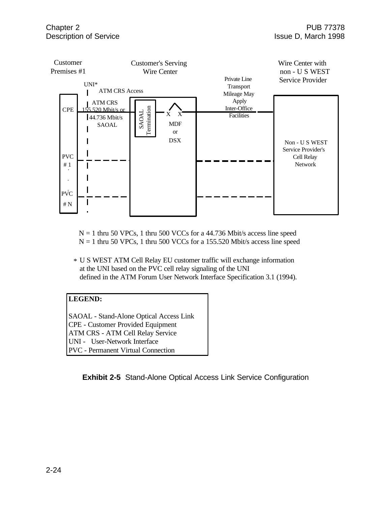

 $N = 1$  thru 50 VPCs, 1 thru 500 VCCs for a 44.736 Mbit/s access line speed  $N = 1$  thru 50 VPCs, 1 thru 500 VCCs for a 155.520 Mbit/s access line speed

U S WEST ATM Cell Relay EU customer traffic will exchange information \* at the UNI based on the PVC cell relay signaling of the UNI defined in the ATM Forum User Network Interface Specification 3.1 (1994).

#### **LEGEND:**

SAOAL - Stand-Alone Optical Access Link CPE - Customer Provided Equipment ATM CRS - ATM Cell Relay Service UNI - User-Network Interface PVC - Permanent Virtual Connection

**Exhibit 2-5** Stand-Alone Optical Access Link Service Configuration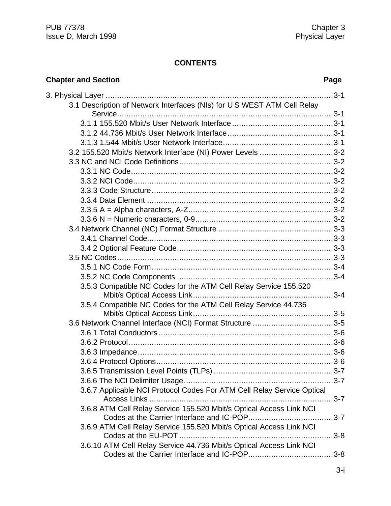# **CONTENTS**

| <b>Chapter and Section</b>                                                             | Page     |
|----------------------------------------------------------------------------------------|----------|
|                                                                                        |          |
| 3.1 Description of Network Interfaces (NIs) for U S WEST ATM Cell Relay                |          |
|                                                                                        |          |
|                                                                                        |          |
|                                                                                        |          |
|                                                                                        |          |
| 3.2 155.520 Mbit/s Network Interface (NI) Power Levels 3-2                             |          |
|                                                                                        |          |
|                                                                                        |          |
|                                                                                        |          |
|                                                                                        |          |
|                                                                                        |          |
|                                                                                        |          |
|                                                                                        |          |
|                                                                                        |          |
|                                                                                        |          |
|                                                                                        |          |
|                                                                                        |          |
|                                                                                        |          |
|                                                                                        |          |
| 3.5.3 Compatible NC Codes for the ATM Cell Relay Service 155.520                       |          |
|                                                                                        |          |
| 3.5.4 Compatible NC Codes for the ATM Cell Relay Service 44.736                        |          |
|                                                                                        |          |
| 3.6 Network Channel Interface (NCI) Format Structure 3-5                               |          |
|                                                                                        |          |
|                                                                                        |          |
|                                                                                        |          |
|                                                                                        |          |
|                                                                                        |          |
|                                                                                        |          |
| 3.6.7 Applicable NCI Protocol Codes For ATM Cell Relay Service Optical<br>Access Links | $.3 - 7$ |
| 3.6.8 ATM Cell Relay Service 155.520 Mbit/s Optical Access Link NCI                    |          |
|                                                                                        | $3 - 7$  |
| 3.6.9 ATM Cell Relay Service 155.520 Mbit/s Optical Access Link NCI                    |          |
|                                                                                        | $3 - 8$  |
| 3.6.10 ATM Cell Relay Service 44.736 Mbit/s Optical Access Link NCI                    |          |
|                                                                                        |          |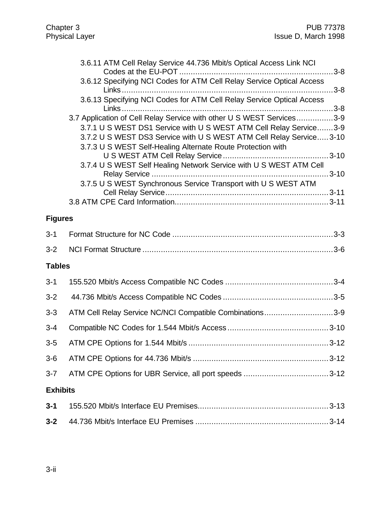|                 | 3.6.11 ATM Cell Relay Service 44.736 Mbit/s Optical Access Link NCI<br>3.6.12 Specifying NCI Codes for ATM Cell Relay Service Optical Access                                                                                                                                                                                                             |
|-----------------|----------------------------------------------------------------------------------------------------------------------------------------------------------------------------------------------------------------------------------------------------------------------------------------------------------------------------------------------------------|
|                 | 3.6.13 Specifying NCI Codes for ATM Cell Relay Service Optical Access                                                                                                                                                                                                                                                                                    |
|                 | 3.7 Application of Cell Relay Service with other U S WEST Services3-9<br>3.7.1 U S WEST DS1 Service with U S WEST ATM Cell Relay Service3-9<br>3.7.2 U S WEST DS3 Service with U S WEST ATM Cell Relay Service 3-10<br>3.7.3 U S WEST Self-Healing Alternate Route Protection with<br>3.7.4 U S WEST Self Healing Network Service with U S WEST ATM Cell |
|                 | 3.7.5 U S WEST Synchronous Service Transport with U S WEST ATM                                                                                                                                                                                                                                                                                           |
| <b>Figures</b>  |                                                                                                                                                                                                                                                                                                                                                          |
| $3 - 1$         |                                                                                                                                                                                                                                                                                                                                                          |
| $3 - 2$         |                                                                                                                                                                                                                                                                                                                                                          |
| <b>Tables</b>   |                                                                                                                                                                                                                                                                                                                                                          |
| $3 - 1$         |                                                                                                                                                                                                                                                                                                                                                          |
| $3 - 2$         |                                                                                                                                                                                                                                                                                                                                                          |
| $3 - 3$         | ATM Cell Relay Service NC/NCI Compatible Combinations3-9                                                                                                                                                                                                                                                                                                 |
| $3 - 4$         |                                                                                                                                                                                                                                                                                                                                                          |
| $3-5$           |                                                                                                                                                                                                                                                                                                                                                          |
| $3-6$           |                                                                                                                                                                                                                                                                                                                                                          |
| $3 - 7$         |                                                                                                                                                                                                                                                                                                                                                          |
| <b>Exhibits</b> |                                                                                                                                                                                                                                                                                                                                                          |
| $3 - 1$         |                                                                                                                                                                                                                                                                                                                                                          |
| $3 - 2$         |                                                                                                                                                                                                                                                                                                                                                          |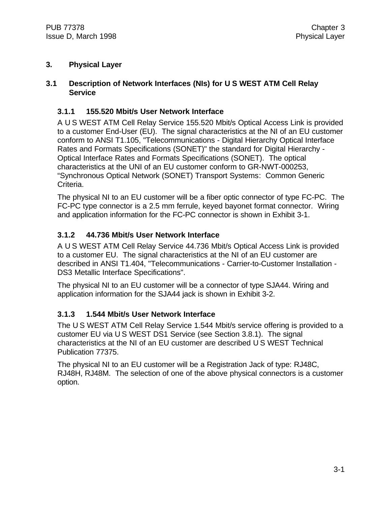#### **3. Physical Layer**

#### **3.1 Description of Network Interfaces (NIs) for U S WEST ATM Cell Relay Service**

#### **3.1.1 155.520 Mbit/s User Network Interface**

A U S WEST ATM Cell Relay Service 155.520 Mbit/s Optical Access Link is provided to a customer End-User (EU). The signal characteristics at the NI of an EU customer conform to ANSI T1.105, "Telecommunications - Digital Hierarchy Optical Interface Rates and Formats Specifications (SONET)" the standard for Digital Hierarchy - Optical Interface Rates and Formats Specifications (SONET). The optical characteristics at the UNI of an EU customer conform to GR-NWT-000253, "Synchronous Optical Network (SONET) Transport Systems: Common Generic Criteria.

The physical NI to an EU customer will be a fiber optic connector of type FC-PC. The FC-PC type connector is a 2.5 mm ferrule, keyed bayonet format connector. Wiring and application information for the FC-PC connector is shown in Exhibit 3-1.

# **3.1.2 44.736 Mbit/s User Network Interface**

A U S WEST ATM Cell Relay Service 44.736 Mbit/s Optical Access Link is provided to a customer EU. The signal characteristics at the NI of an EU customer are described in ANSI T1.404, "Telecommunications - Carrier-to-Customer Installation - DS3 Metallic Interface Specifications".

The physical NI to an EU customer will be a connector of type SJA44. Wiring and application information for the SJA44 jack is shown in Exhibit 3-2.

# **3.1.3 1.544 Mbit/s User Network Interface**

The U S WEST ATM Cell Relay Service 1.544 Mbit/s service offering is provided to a customer EU via U S WEST DS1 Service (see Section 3.8.1). The signal characteristics at the NI of an EU customer are described U S WEST Technical Publication 77375.

The physical NI to an EU customer will be a Registration Jack of type: RJ48C, RJ48H, RJ48M. The selection of one of the above physical connectors is a customer option.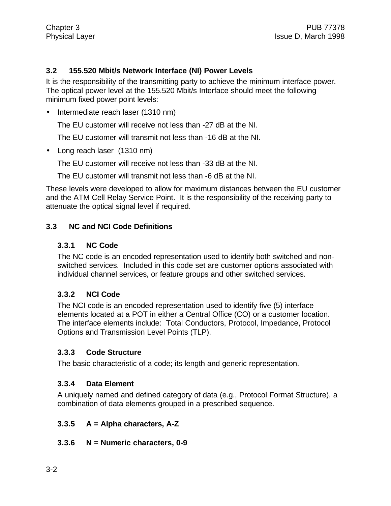#### **3.2 155.520 Mbit/s Network Interface (NI) Power Levels**

It is the responsibility of the transmitting party to achieve the minimum interface power. The optical power level at the 155.520 Mbit/s Interface should meet the following minimum fixed power point levels:

• Intermediate reach laser (1310 nm)

The EU customer will receive not less than -27 dB at the NI.

The EU customer will transmit not less than -16 dB at the NI.

• Long reach laser (1310 nm)

The EU customer will receive not less than -33 dB at the NI.

The EU customer will transmit not less than -6 dB at the NI.

These levels were developed to allow for maximum distances between the EU customer and the ATM Cell Relay Service Point. It is the responsibility of the receiving party to attenuate the optical signal level if required.

#### **3.3 NC and NCI Code Definitions**

#### **3.3.1 NC Code**

The NC code is an encoded representation used to identify both switched and nonswitched services. Included in this code set are customer options associated with individual channel services, or feature groups and other switched services.

#### **3.3.2 NCI Code**

The NCI code is an encoded representation used to identify five (5) interface elements located at a POT in either a Central Office (CO) or a customer location. The interface elements include: Total Conductors, Protocol, Impedance, Protocol Options and Transmission Level Points (TLP).

#### **3.3.3 Code Structure**

The basic characteristic of a code; its length and generic representation.

#### **3.3.4 Data Element**

A uniquely named and defined category of data (e.g., Protocol Format Structure), a combination of data elements grouped in a prescribed sequence.

#### **3.3.5 A = Alpha characters, A-Z**

#### **3.3.6 N = Numeric characters, 0-9**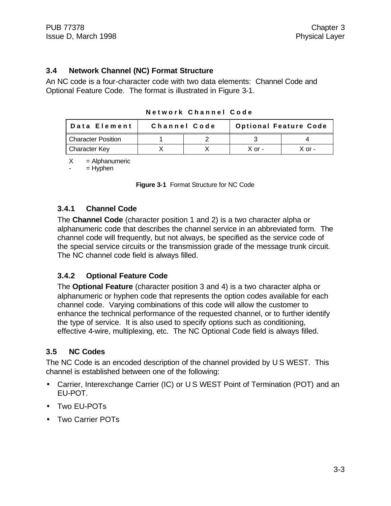#### **3.4 Network Channel (NC) Format Structure**

An NC code is a four-character code with two data elements: Channel Code and Optional Feature Code. The format is illustrated in Figure 3-1.

| <b>Optional Feature Code</b><br>Channel Code<br>Data Element |  |  |          |        |
|--------------------------------------------------------------|--|--|----------|--------|
| <b>Character Position</b>                                    |  |  |          |        |
| Character Key                                                |  |  | $X$ or - | X ∩r - |

**Network Channel Code**

 $X =$  Alphanumeric

 $=$  Hyphen

|  | Figure 3-1 Format Structure for NC Code |  |  |
|--|-----------------------------------------|--|--|
|  |                                         |  |  |

#### **3.4.1 Channel Code**

The **Channel Code** (character position 1 and 2) is a two character alpha or alphanumeric code that describes the channel service in an abbreviated form. The channel code will frequently, but not always, be specified as the service code of the special service circuits or the transmission grade of the message trunk circuit. The NC channel code field is always filled.

#### **3.4.2 Optional Feature Code**

The **Optional Feature** (character position 3 and 4) is a two character alpha or alphanumeric or hyphen code that represents the option codes available for each channel code. Varying combinations of this code will allow the customer to enhance the technical performance of the requested channel, or to further identify the type of service. It is also used to specify options such as conditioning, effective 4-wire, multiplexing, etc. The NC Optional Code field is always filled.

#### **3.5 NC Codes**

The NC Code is an encoded description of the channel provided by U S WEST. This channel is established between one of the following:

- Carrier, Interexchange Carrier (IC) or U S WEST Point of Termination (POT) and an EU-POT.
- Two EU-POTs
- Two Carrier POTs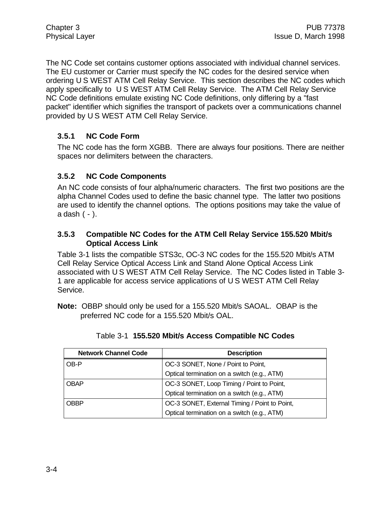The NC Code set contains customer options associated with individual channel services. The EU customer or Carrier must specify the NC codes for the desired service when ordering U S WEST ATM Cell Relay Service. This section describes the NC codes which apply specifically to U S WEST ATM Cell Relay Service. The ATM Cell Relay Service NC Code definitions emulate existing NC Code definitions, only differing by a "fast packet" identifier which signifies the transport of packets over a communications channel provided by U S WEST ATM Cell Relay Service.

#### **3.5.1 NC Code Form**

The NC code has the form XGBB. There are always four positions. There are neither spaces nor delimiters between the characters.

# **3.5.2 NC Code Components**

An NC code consists of four alpha/numeric characters. The first two positions are the alpha Channel Codes used to define the basic channel type. The latter two positions are used to identify the channel options. The options positions may take the value of a dash ( - ).

#### **3.5.3 Compatible NC Codes for the ATM Cell Relay Service 155.520 Mbit/s Optical Access Link**

Table 3-1 lists the compatible STS3c, OC-3 NC codes for the 155.520 Mbit/s ATM Cell Relay Service Optical Access Link and Stand Alone Optical Access Link associated with U S WEST ATM Cell Relay Service. The NC Codes listed in Table 3- 1 are applicable for access service applications of U S WEST ATM Cell Relay Service.

**Note:** OBBP should only be used for a 155.520 Mbit/s SAOAL. OBAP is the preferred NC code for a 155.520 Mbit/s OAL.

| <b>Network Channel Code</b> | <b>Description</b>                            |
|-----------------------------|-----------------------------------------------|
| OB-P                        | OC-3 SONET, None / Point to Point,            |
|                             | Optical termination on a switch (e.g., ATM)   |
| <b>OBAP</b>                 | OC-3 SONET, Loop Timing / Point to Point,     |
|                             | Optical termination on a switch (e.g., ATM)   |
| <b>OBBP</b>                 | OC-3 SONET, External Timing / Point to Point, |
|                             | Optical termination on a switch (e.g., ATM)   |

|  | Table 3-1 155.520 Mbit/s Access Compatible NC Codes |  |  |
|--|-----------------------------------------------------|--|--|
|  |                                                     |  |  |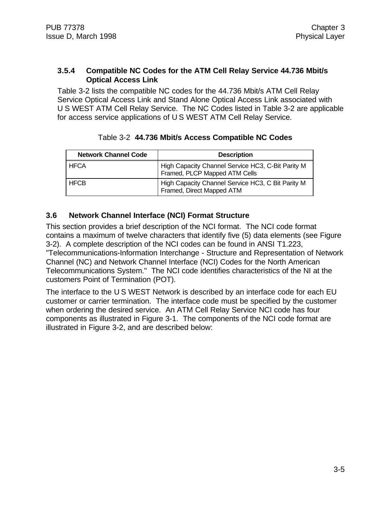#### **3.5.4 Compatible NC Codes for the ATM Cell Relay Service 44.736 Mbit/s Optical Access Link**

Table 3-2 lists the compatible NC codes for the 44.736 Mbit/s ATM Cell Relay Service Optical Access Link and Stand Alone Optical Access Link associated with U S WEST ATM Cell Relay Service. The NC Codes listed in Table 3-2 are applicable for access service applications of U S WEST ATM Cell Relay Service.

| <b>Network Channel Code</b> | <b>Description</b>                                                                 |
|-----------------------------|------------------------------------------------------------------------------------|
| <b>HFCA</b>                 | High Capacity Channel Service HC3, C-Bit Parity M<br>Framed, PLCP Mapped ATM Cells |
| <b>HFCB</b>                 | High Capacity Channel Service HC3, C Bit Parity M<br>Framed, Direct Mapped ATM     |

#### Table 3-2 **44.736 Mbit/s Access Compatible NC Codes**

### **3.6 Network Channel Interface (NCI) Format Structure**

This section provides a brief description of the NCI format. The NCI code format contains a maximum of twelve characters that identify five (5) data elements (see Figure 3-2). A complete description of the NCI codes can be found in ANSI T1.223, "Telecommunications-Information Interchange - Structure and Representation of Network Channel (NC) and Network Channel Interface (NCI) Codes for the North American Telecommunications System." The NCI code identifies characteristics of the NI at the customers Point of Termination (POT).

The interface to the U S WEST Network is described by an interface code for each EU customer or carrier termination. The interface code must be specified by the customer when ordering the desired service. An ATM Cell Relay Service NCI code has four components as illustrated in Figure 3-1. The components of the NCI code format are illustrated in Figure 3-2, and are described below: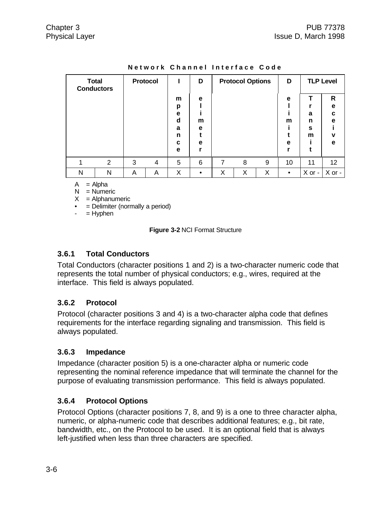| <b>Total</b><br>Protocol<br><b>Conductors</b> |                |   |   | D                                    |                  | <b>Protocol Options</b> |   | D |                  | <b>TLP Level</b> |                                                 |
|-----------------------------------------------|----------------|---|---|--------------------------------------|------------------|-------------------------|---|---|------------------|------------------|-------------------------------------------------|
|                                               |                |   |   | m<br>р<br>е<br>d<br>a<br>n<br>C<br>е | е<br>m<br>е<br>е |                         |   |   | e<br>m<br>e<br>r | a<br>n<br>S<br>m | $\mathsf{R}$<br>e<br>C<br>e<br>$\mathbf v$<br>e |
|                                               | $\overline{2}$ | 3 | 4 | 5                                    | 6                | 7                       | 8 | 9 | 10               | 11               | 12 <sup>°</sup>                                 |
| N                                             | N              | Α | Α | X                                    |                  | X                       | X | X | $\bullet$        | X or -           | X or -                                          |

**Network Channel Interface Code**

 $A = Alpha$ 

 $N =$  Numeric

 $X =$  Alphanumeric

• = Delimiter (normally a period)

 $-$  = Hyphen

**Figure 3-2** NCI Format Structure

#### **3.6.1 Total Conductors**

Total Conductors (character positions 1 and 2) is a two-character numeric code that represents the total number of physical conductors; e.g., wires, required at the interface. This field is always populated.

#### **3.6.2 Protocol**

Protocol (character positions 3 and 4) is a two-character alpha code that defines requirements for the interface regarding signaling and transmission. This field is always populated.

#### **3.6.3 Impedance**

Impedance (character position 5) is a one-character alpha or numeric code representing the nominal reference impedance that will terminate the channel for the purpose of evaluating transmission performance. This field is always populated.

#### **3.6.4 Protocol Options**

Protocol Options (character positions 7, 8, and 9) is a one to three character alpha, numeric, or alpha-numeric code that describes additional features; e.g., bit rate, bandwidth, etc., on the Protocol to be used. It is an optional field that is always left-justified when less than three characters are specified.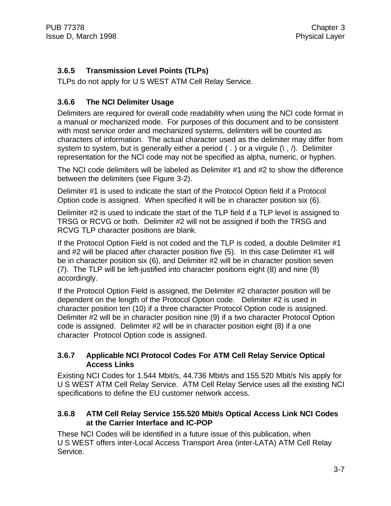# **3.6.5 Transmission Level Points (TLPs)**

TLPs do not apply for U S WEST ATM Cell Relay Service.

### **3.6.6 The NCI Delimiter Usage**

Delimiters are required for overall code readability when using the NCI code format in a manual or mechanized mode. For purposes of this document and to be consistent with most service order and mechanized systems, delimiters will be counted as characters of information. The actual character used as the delimiter may differ from system to system, but is generally either a period (.) or a virgule  $(\cdot, \cdot)$ . Delimiter representation for the NCI code may not be specified as alpha, numeric, or hyphen.

The NCI code delimiters will be labeled as Delimiter #1 and #2 to show the difference between the delimiters (see Figure 3-2).

Delimiter #1 is used to indicate the start of the Protocol Option field if a Protocol Option code is assigned. When specified it will be in character position six (6).

Delimiter #2 is used to indicate the start of the TLP field if a TLP level is assigned to TRSG or RCVG or both. Delimiter #2 will not be assigned if both the TRSG and RCVG TLP character positions are blank.

If the Protocol Option Field is not coded and the TLP is coded, a double Delimiter #1 and #2 will be placed after character position five (5). In this case Delimiter #1 will be in character position six (6), and Delimiter #2 will be in character position seven (7). The TLP will be left-justified into character positions eight (8) and nine (9) accordingly.

If the Protocol Option Field is assigned, the Delimiter #2 character position will be dependent on the length of the Protocol Option code. Delimiter #2 is used in character position ten (10) if a three character Protocol Option code is assigned. Delimiter #2 will be in character position nine (9) if a two character Protocol Option code is assigned. Delimiter #2 will be in character position eight (8) if a one character Protocol Option code is assigned.

#### **3.6.7 Applicable NCI Protocol Codes For ATM Cell Relay Service Optical Access Links**

Existing NCI Codes for 1.544 Mbit/s, 44.736 Mbit/s and 155.520 Mbit/s NIs apply for U S WEST ATM Cell Relay Service. ATM Cell Relay Service uses all the existing NCI specifications to define the EU customer network access.

### **3.6.8 ATM Cell Relay Service 155.520 Mbit/s Optical Access Link NCI Codes at the Carrier Interface and IC-POP**

These NCI Codes will be identified in a future issue of this publication, when U S WEST offers inter-Local Access Transport Area (inter-LATA) ATM Cell Relay Service.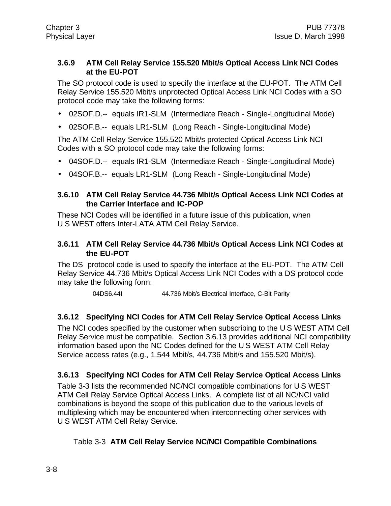#### **3.6.9 ATM Cell Relay Service 155.520 Mbit/s Optical Access Link NCI Codes at the EU-POT**

The SO protocol code is used to specify the interface at the EU-POT. The ATM Cell Relay Service 155.520 Mbit/s unprotected Optical Access Link NCI Codes with a SO protocol code may take the following forms:

- 02SOF.D.-- equals IR1-SLM (Intermediate Reach Single-Longitudinal Mode)
- 02SOF.B.-- equals LR1-SLM (Long Reach Single-Longitudinal Mode)

The ATM Cell Relay Service 155.520 Mbit/s protected Optical Access Link NCI Codes with a SO protocol code may take the following forms:

- 04SOF.D.-- equals IR1-SLM (Intermediate Reach Single-Longitudinal Mode)
- 04SOF.B.-- equals LR1-SLM (Long Reach Single-Longitudinal Mode)

#### **3.6.10 ATM Cell Relay Service 44.736 Mbit/s Optical Access Link NCI Codes at the Carrier Interface and IC-POP**

These NCI Codes will be identified in a future issue of this publication, when U S WEST offers Inter-LATA ATM Cell Relay Service.

#### **3.6.11 ATM Cell Relay Service 44.736 Mbit/s Optical Access Link NCI Codes at the EU-POT**

The DS protocol code is used to specify the interface at the EU-POT. The ATM Cell Relay Service 44.736 Mbit/s Optical Access Link NCI Codes with a DS protocol code may take the following form:

04DS6.44I 44.736 Mbit/s Electrical Interface, C-Bit Parity

#### **3.6.12 Specifying NCI Codes for ATM Cell Relay Service Optical Access Links**

The NCI codes specified by the customer when subscribing to the U S WEST ATM Cell Relay Service must be compatible. Section 3.6.13 provides additional NCI compatibility information based upon the NC Codes defined for the U S WEST ATM Cell Relay Service access rates (e.g., 1.544 Mbit/s, 44.736 Mbit/s and 155.520 Mbit/s).

#### **3.6.13 Specifying NCI Codes for ATM Cell Relay Service Optical Access Links**

Table 3-3 lists the recommended NC/NCI compatible combinations for U S WEST ATM Cell Relay Service Optical Access Links. A complete list of all NC/NCI valid combinations is beyond the scope of this publication due to the various levels of multiplexing which may be encountered when interconnecting other services with U S WEST ATM Cell Relay Service.

#### Table 3-3 **ATM Cell Relay Service NC/NCI Compatible Combinations**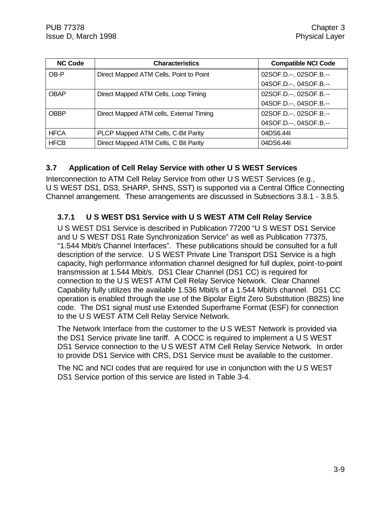| <b>NC Code</b> | <b>Characteristics</b>                   | <b>Compatible NCI Code</b> |
|----------------|------------------------------------------|----------------------------|
| OB-P           | Direct Mapped ATM Cells, Point to Point  | 02SOF.D.--, 02SOF.B.--     |
|                |                                          | 04SOF.D.--, 04SOF.B.--     |
| <b>OBAP</b>    | Direct Mapped ATM Cells, Loop Timing     | 02SOF.D.--, 02SOF.B.--     |
|                |                                          | 04SOF.D.--, 04SOF.B.--     |
| <b>OBBP</b>    | Direct Mapped ATM cells, External Timing | 02SOF.D.--, 02SOF.B.--     |
|                |                                          | 04SOF.D.--, 04SOF.B.--     |
| <b>HFCA</b>    | PLCP Mapped ATM Cells, C-Bit Parity      | 04DS6.44I                  |
| <b>HFCB</b>    | Direct Mapped ATM Cells, C Bit Parity    | 04DS6.44I                  |

### **3.7 Application of Cell Relay Service with other U S WEST Services**

Interconnection to ATM Cell Relay Service from other U S WEST Services (e.g., U S WEST DS1, DS3, SHARP, SHNS, SST) is supported via a Central Office Connecting Channel arrangement. These arrangements are discussed in Subsections 3.8.1 - 3.8.5.

### **3.7.1 U S WEST DS1 Service with U S WEST ATM Cell Relay Service**

U S WEST DS1 Service is described in Publication 77200 "U S WEST DS1 Service and U S WEST DS1 Rate Synchronization Service" as well as Publication 77375, "1.544 Mbit/s Channel Interfaces". These publications should be consulted for a full description of the service. U S WEST Private Line Transport DS1 Service is a high capacity, high performance information channel designed for full duplex, point-to-point transmission at 1.544 Mbit/s. DS1 Clear Channel (DS1 CC) is required for connection to the U S WEST ATM Cell Relay Service Network. Clear Channel Capability fully utilizes the available 1.536 Mbit/s of a 1.544 Mbit/s channel. DS1 CC operation is enabled through the use of the Bipolar Eight Zero Substitution (B8ZS) line code. The DS1 signal must use Extended Superframe Format (ESF) for connection to the U S WEST ATM Cell Relay Service Network.

The Network Interface from the customer to the U S WEST Network is provided via the DS1 Service private line tariff. A COCC is required to implement a U S WEST DS1 Service connection to the U S WEST ATM Cell Relay Service Network. In order to provide DS1 Service with CRS, DS1 Service must be available to the customer.

The NC and NCI codes that are required for use in conjunction with the U S WEST DS1 Service portion of this service are listed in Table 3-4.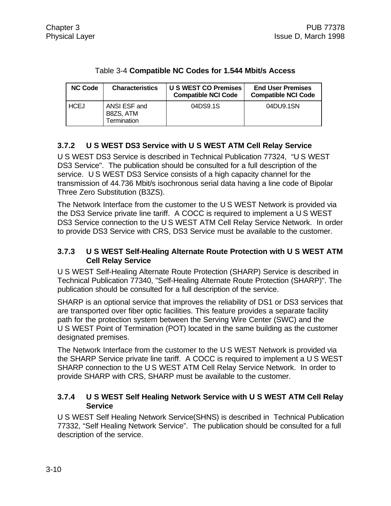| <b>NC Code</b> | <b>Characteristics</b>                   | U S WEST CO Premises<br><b>Compatible NCI Code</b> | <b>End User Premises</b><br><b>Compatible NCI Code</b> |
|----------------|------------------------------------------|----------------------------------------------------|--------------------------------------------------------|
| I HCEJ         | ANSI ESF and<br>B8ZS, ATM<br>Termination | 04DS9.1S                                           | 04DU9.1SN                                              |

#### Table 3-4 **Compatible NC Codes for 1.544 Mbit/s Access**

# **3.7.2 U S WEST DS3 Service with U S WEST ATM Cell Relay Service**

U S WEST DS3 Service is described in Technical Publication 77324, "U S WEST DS3 Service". The publication should be consulted for a full description of the service. U S WEST DS3 Service consists of a high capacity channel for the transmission of 44.736 Mbit/s isochronous serial data having a line code of Bipolar Three Zero Substitution (B3ZS).

The Network Interface from the customer to the U S WEST Network is provided via the DS3 Service private line tariff. A COCC is required to implement a U S WEST DS3 Service connection to the U S WEST ATM Cell Relay Service Network. In order to provide DS3 Service with CRS, DS3 Service must be available to the customer.

#### **3.7.3 U S WEST Self-Healing Alternate Route Protection with U S WEST ATM Cell Relay Service**

U S WEST Self-Healing Alternate Route Protection (SHARP) Service is described in Technical Publication 77340, "Self-Healing Alternate Route Protection (SHARP)". The publication should be consulted for a full description of the service.

SHARP is an optional service that improves the reliability of DS1 or DS3 services that are transported over fiber optic facilities. This feature provides a separate facility path for the protection system between the Serving Wire Center (SWC) and the U S WEST Point of Termination (POT) located in the same building as the customer designated premises.

The Network Interface from the customer to the U S WEST Network is provided via the SHARP Service private line tariff. A COCC is required to implement a U S WEST SHARP connection to the U S WEST ATM Cell Relay Service Network. In order to provide SHARP with CRS, SHARP must be available to the customer.

#### **3.7.4 U S WEST Self Healing Network Service with U S WEST ATM Cell Relay Service**

U S WEST Self Healing Network Service(SHNS) is described in Technical Publication 77332, "Self Healing Network Service".The publication should be consulted for a full description of the service.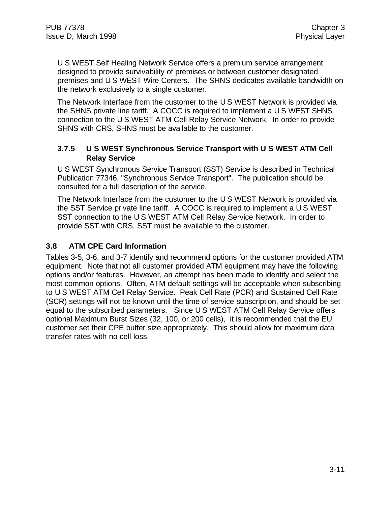U S WEST Self Healing Network Service offers a premium service arrangement designed to provide survivability of premises or between customer designated premises and U S WEST Wire Centers. The SHNS dedicates available bandwidth on the network exclusively to a single customer.

The Network Interface from the customer to the U S WEST Network is provided via the SHNS private line tariff. A COCC is required to implement a U S WEST SHNS connection to the U S WEST ATM Cell Relay Service Network. In order to provide SHNS with CRS, SHNS must be available to the customer.

#### **3.7.5 U S WEST Synchronous Service Transport with U S WEST ATM Cell Relay Service**

U S WEST Synchronous Service Transport (SST) Service is described in Technical Publication 77346, "Synchronous Service Transport". The publication should be consulted for a full description of the service.

The Network Interface from the customer to the U S WEST Network is provided via the SST Service private line tariff. A COCC is required to implement a U S WEST SST connection to the U S WEST ATM Cell Relay Service Network. In order to provide SST with CRS, SST must be available to the customer.

### **3.8 ATM CPE Card Information**

Tables 3-5, 3-6, and 3-7 identify and recommend options for the customer provided ATM equipment. Note that not all customer provided ATM equipment may have the following options and/or features. However, an attempt has been made to identify and select the most common options. Often, ATM default settings will be acceptable when subscribing to U S WEST ATM Cell Relay Service. Peak Cell Rate (PCR) and Sustained Cell Rate (SCR) settings will not be known until the time of service subscription, and should be set equal to the subscribed parameters. Since U S WEST ATM Cell Relay Service offers optional Maximum Burst Sizes (32, 100, or 200 cells), it is recommended that the EU customer set their CPE buffer size appropriately. This should allow for maximum data transfer rates with no cell loss.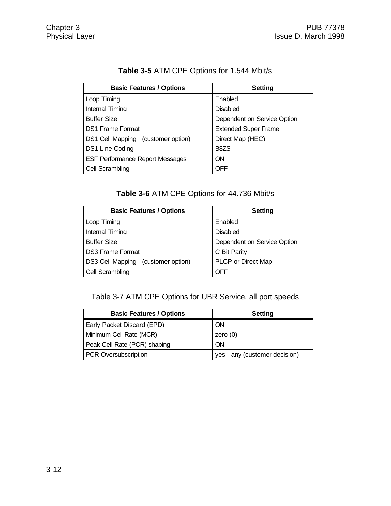| <b>Basic Features / Options</b>        | <b>Setting</b>              |
|----------------------------------------|-----------------------------|
| Loop Timing                            | Enabled                     |
| <b>Internal Timing</b>                 | <b>Disabled</b>             |
| <b>Buffer Size</b>                     | Dependent on Service Option |
| <b>DS1 Frame Format</b>                | <b>Extended Super Frame</b> |
| DS1 Cell Mapping (customer option)     | Direct Map (HEC)            |
| DS1 Line Coding                        | B8ZS                        |
| <b>ESF Performance Report Messages</b> | ON                          |
| Cell Scrambling                        | <b>OFF</b>                  |

# **Table 3-5** ATM CPE Options for 1.544 Mbit/s

### **Table 3-6** ATM CPE Options for 44.736 Mbit/s

| <b>Basic Features / Options</b>    | <b>Setting</b>              |
|------------------------------------|-----------------------------|
| Loop Timing                        | Enabled                     |
| <b>Internal Timing</b>             | <b>Disabled</b>             |
| <b>Buffer Size</b>                 | Dependent on Service Option |
| <b>DS3 Frame Format</b>            | C Bit Parity                |
| DS3 Cell Mapping (customer option) | PLCP or Direct Map          |
| Cell Scrambling                    | OFF                         |

Table 3-7 ATM CPE Options for UBR Service, all port speeds

| <b>Basic Features / Options</b> | <b>Setting</b>                |
|---------------------------------|-------------------------------|
| Early Packet Discard (EPD)      | ON                            |
| Minimum Cell Rate (MCR)         | zero $(0)$                    |
| Peak Cell Rate (PCR) shaping    | <b>ON</b>                     |
| PCR Oversubscription            | yes - any (customer decision) |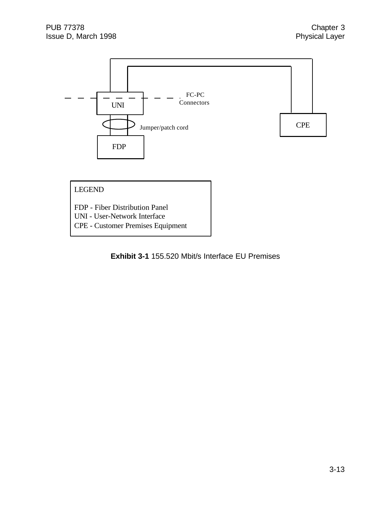

# LEGEND

- FDP Fiber Distribution Panel
- UNI User-Network Interface
- CPE Customer Premises Equipment

**Exhibit 3-1** 155.520 Mbit/s Interface EU Premises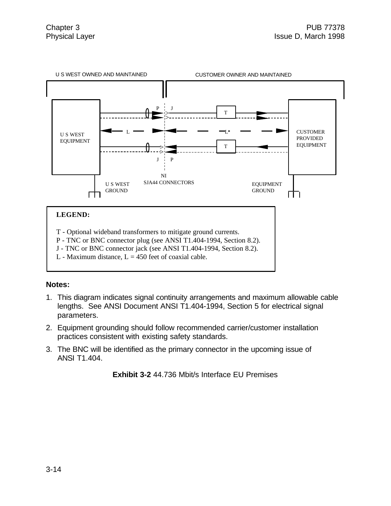

- T Optional wideband transformers to mitigate ground currents.
- P TNC or BNC connector plug (see ANSI T1.404-1994, Section 8.2).
- J TNC or BNC connector jack (see ANSI T1.404-1994, Section 8.2).
- L Maximum distance,  $L = 450$  feet of coaxial cable.

#### **Notes:**

- 1. This diagram indicates signal continuity arrangements and maximum allowable cable lengths. See ANSI Document ANSI T1.404-1994, Section 5 for electrical signal parameters.
- 2. Equipment grounding should follow recommended carrier/customer installation practices consistent with existing safety standards.
- 3. The BNC will be identified as the primary connector in the upcoming issue of ANSI T1.404.

**Exhibit 3-2** 44.736 Mbit/s Interface EU Premises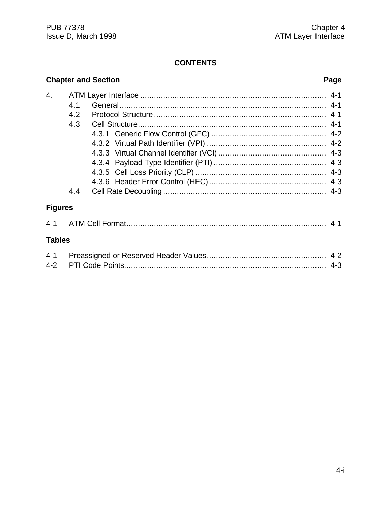#### **CONTENTS**

# **Chapter and Section Page** 4. ATM Layer Interface ................................................................................. 4-1 4.1 General.......................................................................................... 4-1 4.2 Protocol Structure ........................................................................... 4-1 4.3 Cell Structure.................................................................................. 4-1 4.3.1 Generic Flow Control (GFC) .................................................. 4-2 4.3.2 Virtual Path Identifier (VPI) .................................................... 4-2 4.3.3 Virtual Channel Identifier (VCI) ............................................... 4-3 4.3.4 Payload Type Identifier (PTI) ................................................. 4-3 4.3.5 Cell Loss Priority (CLP) ......................................................... 4-3 4.3.6 Header Error Control (HEC)................................................... 4-3 4.4 Cell Rate Decoupling ....................................................................... 4-3 **Figures** 4-1 ATM Cell Format....................................................................................... 4-1 **Tables** 4-1 Preassigned or Reserved Header Values.................................................... 4-2 4-2 PTI Code Points........................................................................................ 4-3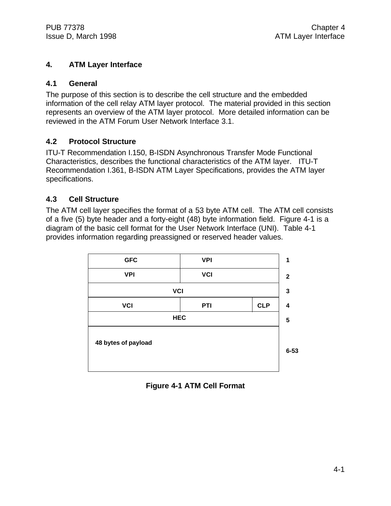#### **4. ATM Layer Interface**

#### **4.1 General**

The purpose of this section is to describe the cell structure and the embedded information of the cell relay ATM layer protocol. The material provided in this section represents an overview of the ATM layer protocol. More detailed information can be reviewed in the ATM Forum User Network Interface 3.1.

#### **4.2 Protocol Structure**

ITU-T Recommendation I.150, B-ISDN Asynchronous Transfer Mode Functional Characteristics, describes the functional characteristics of the ATM layer. ITU-T Recommendation I.361, B-ISDN ATM Layer Specifications, provides the ATM layer specifications.

#### **4.3 Cell Structure**

The ATM cell layer specifies the format of a 53 byte ATM cell. The ATM cell consists of a five (5) byte header and a forty-eight (48) byte information field. Figure 4-1 is a diagram of the basic cell format for the User Network Interface (UNI). Table 4-1 provides information regarding preassigned or reserved header values.



**Figure 4-1 ATM Cell Format**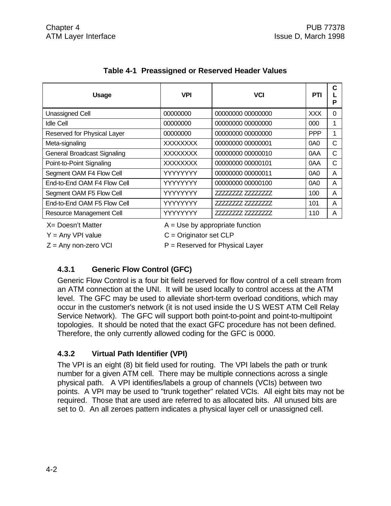| <b>Usage</b>                       | <b>VPI</b>               | <b>VCI</b>                        | PTI        | C<br>P   |
|------------------------------------|--------------------------|-----------------------------------|------------|----------|
| Unassigned Cell                    | 00000000                 | 00000000 00000000                 | <b>XXX</b> | $\Omega$ |
| <b>Idle Cell</b>                   | 00000000                 | 00000000 00000000                 | 000        | 1        |
| Reserved for Physical Layer        | 00000000                 | 00000000 00000000                 | <b>PPP</b> | 1        |
| Meta-signaling                     | <b>XXXXXXXX</b>          | 00000000 00000001                 | 0A0        | C        |
| <b>General Broadcast Signaling</b> | <b>XXXXXXXX</b>          | 00000000 00000010                 | 0AA        | C        |
| Point-to-Point Signaling           | <b>XXXXXXXX</b>          | 00000000 00000101                 | 0AA        | C        |
| Segment OAM F4 Flow Cell           | YYYYYYYY                 | 00000000 00000011                 | 0A0        | A        |
| End-to-End OAM F4 Flow Cell        | YYYYYYYY                 | 00000000 00000100                 | 0A0        | A        |
| Segment OAM F5 Flow Cell           | YYYYYYYY                 | 77777777 77777777                 | 100        | A        |
| End-to-End OAM F5 Flow Cell        | YYYYYYY                  | 77777777 777777777                | 101        | A        |
| Resource Management Cell           | YYYYYYY                  | 77777777 77777777                 | 110        | A        |
| X= Doesn't Matter                  |                          | $A = Use by appropriate function$ |            |          |
| $Y = Any VPI value$                | $C =$ Originator set CLP |                                   |            |          |

# **Table 4-1 Preassigned or Reserved Header Values**

 $Z =$  Any non-zero VCI  $P =$  Reserved for Physical Layer

# **4.3.1 Generic Flow Control (GFC)**

Generic Flow Control is a four bit field reserved for flow control of a cell stream from an ATM connection at the UNI. It will be used locally to control access at the ATM level. The GFC may be used to alleviate short-term overload conditions, which may occur in the customer's network (it is not used inside the U S WEST ATM Cell Relay Service Network). The GFC will support both point-to-point and point-to-multipoint topologies. It should be noted that the exact GFC procedure has not been defined. Therefore, the only currently allowed coding for the GFC is 0000.

# **4.3.2 Virtual Path Identifier (VPI)**

The VPI is an eight (8) bit field used for routing. The VPI labels the path or trunk number for a given ATM cell. There may be multiple connections across a single physical path. A VPI identifies/labels a group of channels (VCIs) between two points. A VPI may be used to "trunk together" related VCIs. All eight bits may not be required. Those that are used are referred to as allocated bits. All unused bits are set to 0. An all zeroes pattern indicates a physical layer cell or unassigned cell.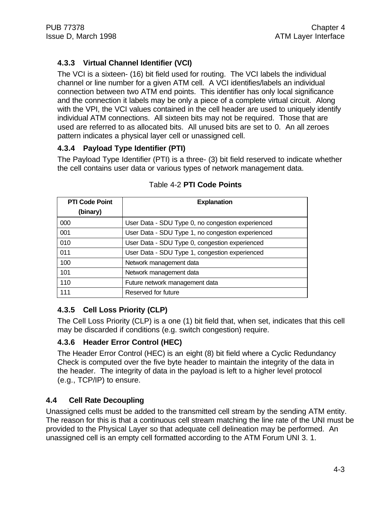# **4.3.3 Virtual Channel Identifier (VCI)**

The VCI is a sixteen- (16) bit field used for routing. The VCI labels the individual channel or line number for a given ATM cell. A VCI identifies/labels an individual connection between two ATM end points. This identifier has only local significance and the connection it labels may be only a piece of a complete virtual circuit. Along with the VPI, the VCI values contained in the cell header are used to uniquely identify individual ATM connections. All sixteen bits may not be required. Those that are used are referred to as allocated bits. All unused bits are set to 0. An all zeroes pattern indicates a physical layer cell or unassigned cell.

#### **4.3.4 Payload Type Identifier (PTI)**

The Payload Type Identifier (PTI) is a three- (3) bit field reserved to indicate whether the cell contains user data or various types of network management data.

| <b>PTI Code Point</b><br>(binary) | <b>Explanation</b>                                |
|-----------------------------------|---------------------------------------------------|
| 000                               | User Data - SDU Type 0, no congestion experienced |
| 001                               | User Data - SDU Type 1, no congestion experienced |
| 010                               | User Data - SDU Type 0, congestion experienced    |
| 011                               | User Data - SDU Type 1, congestion experienced    |
| 100                               | Network management data                           |
| 101                               | Network management data                           |
| 110                               | Future network management data                    |
| 111                               | Reserved for future                               |

### Table 4-2 **PTI Code Points**

# **4.3.5 Cell Loss Priority (CLP)**

The Cell Loss Priority (CLP) is a one (1) bit field that, when set, indicates that this cell may be discarded if conditions (e.g. switch congestion) require.

# **4.3.6 Header Error Control (HEC)**

The Header Error Control (HEC) is an eight (8) bit field where a Cyclic Redundancy Check is computed over the five byte header to maintain the integrity of the data in the header. The integrity of data in the payload is left to a higher level protocol (e.g., TCP/IP) to ensure.

# **4.4 Cell Rate Decoupling**

Unassigned cells must be added to the transmitted cell stream by the sending ATM entity. The reason for this is that a continuous cell stream matching the line rate of the UNI must be provided to the Physical Layer so that adequate cell delineation may be performed. An unassigned cell is an empty cell formatted according to the ATM Forum UNI 3. 1.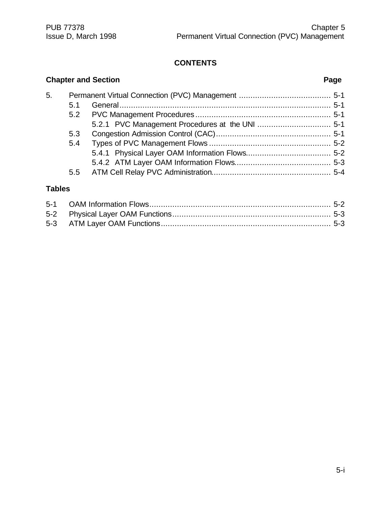# **CONTENTS**

|    |     | <b>Chapter and Section</b> | Page |  |
|----|-----|----------------------------|------|--|
| 5. |     |                            |      |  |
|    | 5.1 |                            |      |  |
|    | 5.2 |                            |      |  |
|    |     |                            |      |  |
|    | 5.3 |                            |      |  |
|    | 5.4 |                            |      |  |
|    |     |                            |      |  |
|    |     |                            |      |  |
|    | 5.5 |                            |      |  |

# **Tables**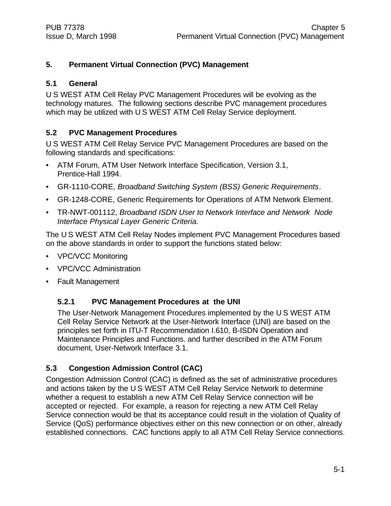#### **5. Permanent Virtual Connection (PVC) Management**

#### **5.1 General**

U S WEST ATM Cell Relay PVC Management Procedures will be evolving as the technology matures. The following sections describe PVC management procedures which may be utilized with U S WEST ATM Cell Relay Service deployment.

#### **5.2 PVC Management Procedures**

U S WEST ATM Cell Relay Service PVC Management Procedures are based on the following standards and specifications:

- ATM Forum, ATM User Network Interface Specification, Version 3.1, Prentice-Hall 1994.
- GR-1110-CORE, *Broadband Switching System (BSS) Generic Requirements*.
- GR-1248-CORE, Generic Requirements for Operations of ATM Network Element.
- TR-NWT-001112, *Broadband ISDN User to Network Interface and Network Node Interface Physical Layer Generic Criteria*.

The U S WEST ATM Cell Relay Nodes implement PVC Management Procedures based on the above standards in order to support the functions stated below:

- VPC/VCC Monitoring
- VPC/VCC Administration
- Fault Management

#### **5.2.1 PVC Management Procedures at the UNI**

The User-Network Management Procedures implemented by the U S WEST ATM Cell Relay Service Network at the User-Network Interface (UNI) are based on the principles set forth in ITU-T Recommendation I.610, B-ISDN Operation and Maintenance Principles and Functions. and further described in the ATM Forum document, User-Network Interface 3.1.

#### **5.3 Congestion Admission Control (CAC)**

Congestion Admission Control (CAC) is defined as the set of administrative procedures and actions taken by the U S WEST ATM Cell Relay Service Network to determine whether a request to establish a new ATM Cell Relay Service connection will be accepted or rejected. For example, a reason for rejecting a new ATM Cell Relay Service connection would be that its acceptance could result in the violation of Quality of Service (QoS) performance objectives either on this new connection or on other, already established connections. CAC functions apply to all ATM Cell Relay Service connections.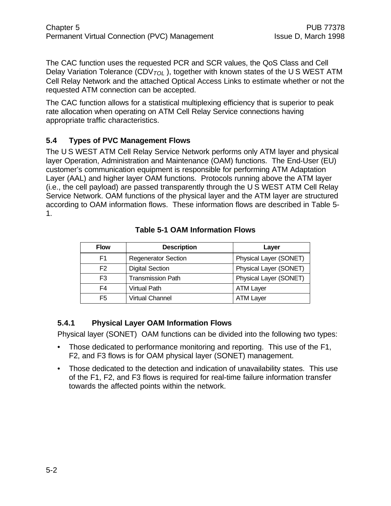The CAC function uses the requested PCR and SCR values, the QoS Class and Cell Delay Variation Tolerance (CDV*TOL* ), together with known states of the U S WEST ATM Cell Relay Network and the attached Optical Access Links to estimate whether or not the requested ATM connection can be accepted.

The CAC function allows for a statistical multiplexing efficiency that is superior to peak rate allocation when operating on ATM Cell Relay Service connections having appropriate traffic characteristics.

### **5.4 Types of PVC Management Flows**

The U S WEST ATM Cell Relay Service Network performs only ATM layer and physical layer Operation, Administration and Maintenance (OAM) functions. The End-User (EU) customer's communication equipment is responsible for performing ATM Adaptation Layer (AAL) and higher layer OAM functions. Protocols running above the ATM layer (i.e., the cell payload) are passed transparently through the U S WEST ATM Cell Relay Service Network. OAM functions of the physical layer and the ATM layer are structured according to OAM information flows. These information flows are described in Table 5- 1.

| <b>Flow</b>    | <b>Description</b>         | Layer                  |
|----------------|----------------------------|------------------------|
| F1             | <b>Regenerator Section</b> | Physical Layer (SONET) |
| F <sub>2</sub> | <b>Digital Section</b>     | Physical Layer (SONET) |
| F3             | <b>Transmission Path</b>   | Physical Layer (SONET) |
| F4             | Virtual Path               | <b>ATM Layer</b>       |
| F5             | <b>Virtual Channel</b>     | <b>ATM Layer</b>       |

#### **Table 5-1 OAM Information Flows**

#### **5.4.1 Physical Layer OAM Information Flows**

Physical layer (SONET) OAM functions can be divided into the following two types:

- Those dedicated to performance monitoring and reporting. This use of the F1, F2, and F3 flows is for OAM physical layer (SONET) management.
- Those dedicated to the detection and indication of unavailability states. This use of the F1, F2, and F3 flows is required for real-time failure information transfer towards the affected points within the network.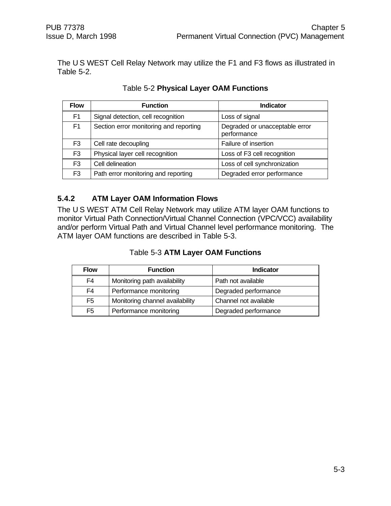The U S WEST Cell Relay Network may utilize the F1 and F3 flows as illustrated in Table 5-2.

| <b>Flow</b>    | <b>Function</b>                        | <b>Indicator</b>                              |
|----------------|----------------------------------------|-----------------------------------------------|
| F <sub>1</sub> | Signal detection, cell recognition     | Loss of signal                                |
| F <sub>1</sub> | Section error monitoring and reporting | Degraded or unacceptable error<br>performance |
| F3             | Cell rate decoupling                   | Failure of insertion                          |
| F <sub>3</sub> | Physical layer cell recognition        | Loss of F3 cell recognition                   |
| F <sub>3</sub> | Cell delineation                       | Loss of cell synchronization                  |
| F <sub>3</sub> | Path error monitoring and reporting    | Degraded error performance                    |

Table 5-2 **Physical Layer OAM Functions**

#### **5.4.2 ATM Layer OAM Information Flows**

The U S WEST ATM Cell Relay Network may utilize ATM layer OAM functions to monitor Virtual Path Connection/Virtual Channel Connection (VPC/VCC) availability and/or perform Virtual Path and Virtual Channel level performance monitoring. The ATM layer OAM functions are described in Table 5-3.

| <b>Flow</b>    | <b>Function</b>                 | <b>Indicator</b>      |
|----------------|---------------------------------|-----------------------|
| F4             | Monitoring path availability    | Path not available    |
| F4             | Performance monitoring          | Degraded performance  |
| F <sub>5</sub> | Monitoring channel availability | Channel not available |
| F <sub>5</sub> | Performance monitoring          | Degraded performance  |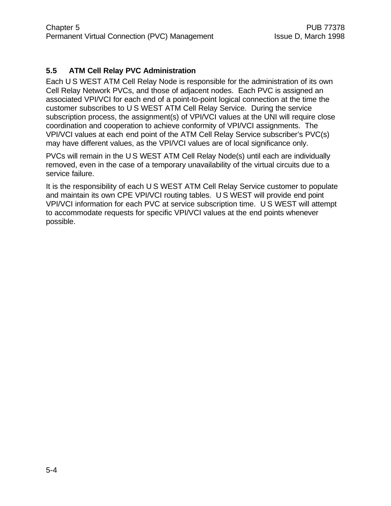### **5.5 ATM Cell Relay PVC Administration**

Each U S WEST ATM Cell Relay Node is responsible for the administration of its own Cell Relay Network PVCs, and those of adjacent nodes. Each PVC is assigned an associated VPI/VCI for each end of a point-to-point logical connection at the time the customer subscribes to U S WEST ATM Cell Relay Service. During the service subscription process, the assignment(s) of VPI/VCI values at the UNI will require close coordination and cooperation to achieve conformity of VPI/VCI assignments. The VPI/VCI values at each end point of the ATM Cell Relay Service subscriber's PVC(s) may have different values, as the VPI/VCI values are of local significance only.

PVCs will remain in the U S WEST ATM Cell Relay Node(s) until each are individually removed, even in the case of a temporary unavailability of the virtual circuits due to a service failure.

It is the responsibility of each U S WEST ATM Cell Relay Service customer to populate and maintain its own CPE VPI/VCI routing tables. U S WEST will provide end point VPI/VCI information for each PVC at service subscription time. U S WEST will attempt to accommodate requests for specific VPI/VCI values at the end points whenever possible.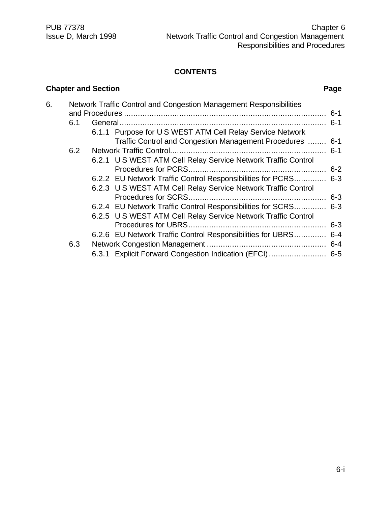# **CONTENTS**

# **Chapter and Section Page**

| 6. |     | Network Traffic Control and Congestion Management Responsibilities |  |
|----|-----|--------------------------------------------------------------------|--|
|    |     |                                                                    |  |
|    | 6.1 |                                                                    |  |
|    |     | 6.1.1 Purpose for US WEST ATM Cell Relay Service Network           |  |
|    |     | Traffic Control and Congestion Management Procedures  6-1          |  |
|    | 6.2 |                                                                    |  |
|    |     | 6.2.1 U S WEST ATM Cell Relay Service Network Traffic Control      |  |
|    |     |                                                                    |  |
|    |     | 6.2.2 EU Network Traffic Control Responsibilities for PCRS 6-3     |  |
|    |     | 6.2.3 U S WEST ATM Cell Relay Service Network Traffic Control      |  |
|    |     |                                                                    |  |
|    |     | 6.2.4 EU Network Traffic Control Responsibilities for SCRS 6-3     |  |
|    |     | 6.2.5 U S WEST ATM Cell Relay Service Network Traffic Control      |  |
|    |     |                                                                    |  |
|    |     | 6.2.6 EU Network Traffic Control Responsibilities for UBRS 6-4     |  |
|    | 6.3 |                                                                    |  |
|    |     | 6.3.1 Explicit Forward Congestion Indication (EFCI) 6-5            |  |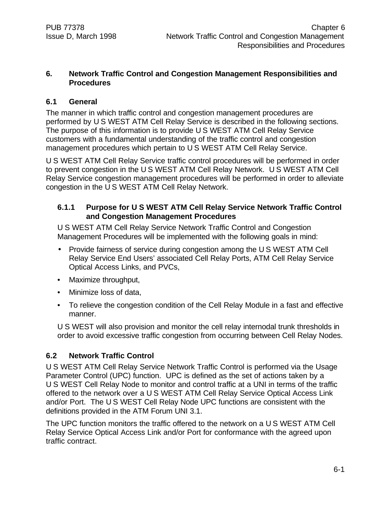#### **6. Network Traffic Control and Congestion Management Responsibilities and Procedures**

#### **6.1 General**

The manner in which traffic control and congestion management procedures are performed by U S WEST ATM Cell Relay Service is described in the following sections. The purpose of this information is to provide U S WEST ATM Cell Relay Service customers with a fundamental understanding of the traffic control and congestion management procedures which pertain to U S WEST ATM Cell Relay Service.

U S WEST ATM Cell Relay Service traffic control procedures will be performed in order to prevent congestion in the U S WEST ATM Cell Relay Network. U S WEST ATM Cell Relay Service congestion management procedures will be performed in order to alleviate congestion in the U S WEST ATM Cell Relay Network.

#### **6.1.1 Purpose for U S WEST ATM Cell Relay Service Network Traffic Control and Congestion Management Procedures**

U S WEST ATM Cell Relay Service Network Traffic Control and Congestion Management Procedures will be implemented with the following goals in mind:

- Provide fairness of service during congestion among the U S WEST ATM Cell Relay Service End Users' associated Cell Relay Ports, ATM Cell Relay Service Optical Access Links, and PVCs,
- Maximize throughput,
- Minimize loss of data,
- To relieve the congestion condition of the Cell Relay Module in a fast and effective manner.

U S WEST will also provision and monitor the cell relay internodal trunk thresholds in order to avoid excessive traffic congestion from occurring between Cell Relay Nodes.

#### **6.2 Network Traffic Control**

U S WEST ATM Cell Relay Service Network Traffic Control is performed via the Usage Parameter Control (UPC) function. UPC is defined as the set of actions taken by a U S WEST Cell Relay Node to monitor and control traffic at a UNI in terms of the traffic offered to the network over a U S WEST ATM Cell Relay Service Optical Access Link and/or Port. The U S WEST Cell Relay Node UPC functions are consistent with the definitions provided in the ATM Forum UNI 3.1.

The UPC function monitors the traffic offered to the network on a U S WEST ATM Cell Relay Service Optical Access Link and/or Port for conformance with the agreed upon traffic contract.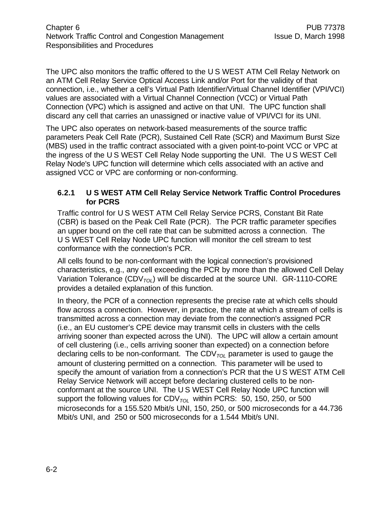The UPC also monitors the traffic offered to the U S WEST ATM Cell Relay Network on an ATM Cell Relay Service Optical Access Link and/or Port for the validity of that connection, i.e., whether a cell's Virtual Path Identifier/Virtual Channel Identifier (VPI/VCI) values are associated with a Virtual Channel Connection (VCC) or Virtual Path Connection (VPC) which is assigned and active on that UNI. The UPC function shall discard any cell that carries an unassigned or inactive value of VPI/VCI for its UNI.

The UPC also operates on network-based measurements of the source traffic parameters Peak Cell Rate (PCR), Sustained Cell Rate (SCR) and Maximum Burst Size (MBS) used in the traffic contract associated with a given point-to-point VCC or VPC at the ingress of the U S WEST Cell Relay Node supporting the UNI. The U S WEST Cell Relay Node's UPC function will determine which cells associated with an active and assigned VCC or VPC are conforming or non-conforming.

#### **6.2.1 U S WEST ATM Cell Relay Service Network Traffic Control Procedures for PCRS**

Traffic control for U S WEST ATM Cell Relay Service PCRS, Constant Bit Rate (CBR) is based on the Peak Cell Rate (PCR). The PCR traffic parameter specifies an upper bound on the cell rate that can be submitted across a connection. The U S WEST Cell Relay Node UPC function will monitor the cell stream to test conformance with the connection's PCR.

All cells found to be non-conformant with the logical connection's provisioned characteristics, e.g., any cell exceeding the PCR by more than the allowed Cell Delay Variation Tolerance (CDV*TOL*) will be discarded at the source UNI. GR-1110-CORE provides a detailed explanation of this function.

In theory, the PCR of a connection represents the precise rate at which cells should flow across a connection. However, in practice, the rate at which a stream of cells is transmitted across a connection may deviate from the connection's assigned PCR (i.e., an EU customer's CPE device may transmit cells in clusters with the cells arriving sooner than expected across the UNI). The UPC will allow a certain amount of cell clustering (i.e., cells arriving sooner than expected) on a connection before declaring cells to be non-conformant. The CDV*TOL* parameter is used to gauge the amount of clustering permitted on a connection. This parameter will be used to specify the amount of variation from a connection's PCR that the U S WEST ATM Cell Relay Service Network will accept before declaring clustered cells to be nonconformant at the source UNI. The U S WEST Cell Relay Node UPC function will support the following values for CDV<sub>TOL</sub> within PCRS: 50, 150, 250, or 500 microseconds for a 155.520 Mbit/s UNI, 150, 250, or 500 microseconds for a 44.736 Mbit/s UNI, and 250 or 500 microseconds for a 1.544 Mbit/s UNI.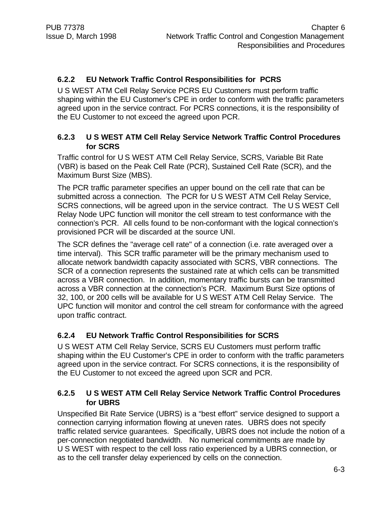#### **6.2.2 EU Network Traffic Control Responsibilities for PCRS**

U S WEST ATM Cell Relay Service PCRS EU Customers must perform traffic shaping within the EU Customer's CPE in order to conform with the traffic parameters agreed upon in the service contract. For PCRS connections, it is the responsibility of the EU Customer to not exceed the agreed upon PCR.

#### **6.2.3 U S WEST ATM Cell Relay Service Network Traffic Control Procedures for SCRS**

Traffic control for U S WEST ATM Cell Relay Service, SCRS, Variable Bit Rate (VBR) is based on the Peak Cell Rate (PCR), Sustained Cell Rate (SCR), and the Maximum Burst Size (MBS).

The PCR traffic parameter specifies an upper bound on the cell rate that can be submitted across a connection. The PCR for U S WEST ATM Cell Relay Service, SCRS connections, will be agreed upon in the service contract. The U S WEST Cell Relay Node UPC function will monitor the cell stream to test conformance with the connection's PCR. All cells found to be non-conformant with the logical connection's provisioned PCR will be discarded at the source UNI.

The SCR defines the "average cell rate" of a connection (i.e. rate averaged over a time interval). This SCR traffic parameter will be the primary mechanism used to allocate network bandwidth capacity associated with SCRS, VBR connections. The SCR of a connection represents the sustained rate at which cells can be transmitted across a VBR connection. In addition, momentary traffic bursts can be transmitted across a VBR connection at the connection's PCR. Maximum Burst Size options of 32, 100, or 200 cells will be available for U S WEST ATM Cell Relay Service. The UPC function will monitor and control the cell stream for conformance with the agreed upon traffic contract.

#### **6.2.4 EU Network Traffic Control Responsibilities for SCRS**

U S WEST ATM Cell Relay Service, SCRS EU Customers must perform traffic shaping within the EU Customer's CPE in order to conform with the traffic parameters agreed upon in the service contract. For SCRS connections, it is the responsibility of the EU Customer to not exceed the agreed upon SCR and PCR.

#### **6.2.5 U S WEST ATM Cell Relay Service Network Traffic Control Procedures for UBRS**

Unspecified Bit Rate Service (UBRS) is a "best effort" service designed to support a connection carrying information flowing at uneven rates. UBRS does not specify traffic related service guarantees. Specifically, UBRS does not include the notion of a per-connection negotiated bandwidth. No numerical commitments are made by U S WEST with respect to the cell loss ratio experienced by a UBRS connection, or as to the cell transfer delay experienced by cells on the connection.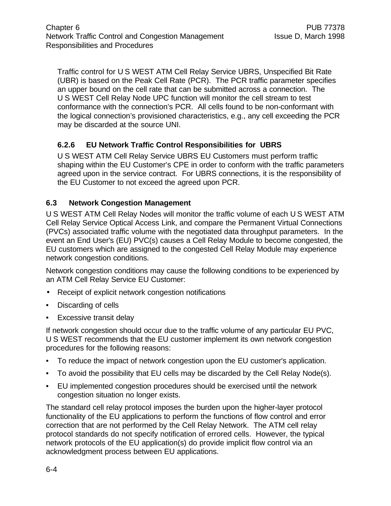Traffic control for U S WEST ATM Cell Relay Service UBRS, Unspecified Bit Rate (UBR) is based on the Peak Cell Rate (PCR). The PCR traffic parameter specifies an upper bound on the cell rate that can be submitted across a connection. The U S WEST Cell Relay Node UPC function will monitor the cell stream to test conformance with the connection's PCR. All cells found to be non-conformant with the logical connection's provisioned characteristics, e.g., any cell exceeding the PCR may be discarded at the source UNI.

# **6.2.6 EU Network Traffic Control Responsibilities for UBRS**

U S WEST ATM Cell Relay Service UBRS EU Customers must perform traffic shaping within the EU Customer's CPE in order to conform with the traffic parameters agreed upon in the service contract. For UBRS connections, it is the responsibility of the EU Customer to not exceed the agreed upon PCR.

#### **6.3 Network Congestion Management**

U S WEST ATM Cell Relay Nodes will monitor the traffic volume of each U S WEST ATM Cell Relay Service Optical Access Link, and compare the Permanent Virtual Connections (PVCs) associated traffic volume with the negotiated data throughput parameters. In the event an End User's (EU) PVC(s) causes a Cell Relay Module to become congested, the EU customers which are assigned to the congested Cell Relay Module may experience network congestion conditions.

Network congestion conditions may cause the following conditions to be experienced by an ATM Cell Relay Service EU Customer:

- Receipt of explicit network congestion notifications
- Discarding of cells
- **Excessive transit delay**

If network congestion should occur due to the traffic volume of any particular EU PVC, U S WEST recommends that the EU customer implement its own network congestion procedures for the following reasons:

- To reduce the impact of network congestion upon the EU customer's application.
- To avoid the possibility that EU cells may be discarded by the Cell Relay Node(s).
- EU implemented congestion procedures should be exercised until the network congestion situation no longer exists.

The standard cell relay protocol imposes the burden upon the higher-layer protocol functionality of the EU applications to perform the functions of flow control and error correction that are not performed by the Cell Relay Network. The ATM cell relay protocol standards do not specify notification of errored cells. However, the typical network protocols of the EU application(s) do provide implicit flow control via an acknowledgment process between EU applications.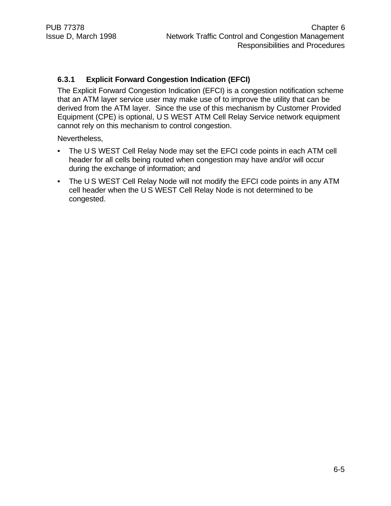#### **6.3.1 Explicit Forward Congestion Indication (EFCI)**

The Explicit Forward Congestion Indication (EFCI) is a congestion notification scheme that an ATM layer service user may make use of to improve the utility that can be derived from the ATM layer. Since the use of this mechanism by Customer Provided Equipment (CPE) is optional, U S WEST ATM Cell Relay Service network equipment cannot rely on this mechanism to control congestion.

Nevertheless,

- The U S WEST Cell Relay Node may set the EFCI code points in each ATM cell header for all cells being routed when congestion may have and/or will occur during the exchange of information; and
- The U S WEST Cell Relay Node will not modify the EFCI code points in any ATM cell header when the U S WEST Cell Relay Node is not determined to be congested.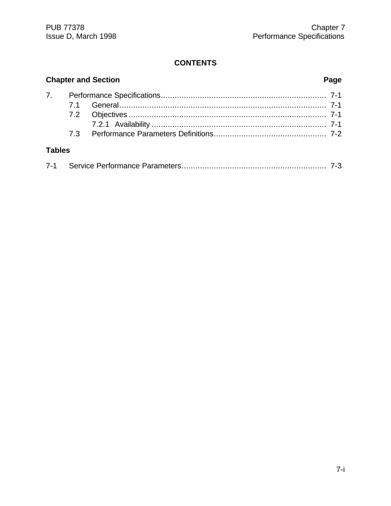# **CONTENTS**

|               | <b>Chapter and Section</b> |  | Page |
|---------------|----------------------------|--|------|
|               |                            |  |      |
|               |                            |  |      |
|               |                            |  |      |
|               |                            |  |      |
|               |                            |  |      |
| <b>Tables</b> |                            |  |      |

|--|--|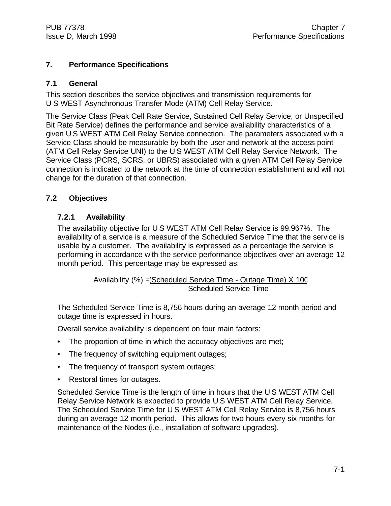#### **7. Performance Specifications**

#### **7.1 General**

This section describes the service objectives and transmission requirements for U S WEST Asynchronous Transfer Mode (ATM) Cell Relay Service.

The Service Class (Peak Cell Rate Service, Sustained Cell Relay Service, or Unspecified Bit Rate Service) defines the performance and service availability characteristics of a given U S WEST ATM Cell Relay Service connection. The parameters associated with a Service Class should be measurable by both the user and network at the access point (ATM Cell Relay Service UNI) to the U S WEST ATM Cell Relay Service Network. The Service Class (PCRS, SCRS, or UBRS) associated with a given ATM Cell Relay Service connection is indicated to the network at the time of connection establishment and will not change for the duration of that connection.

### **7.2 Objectives**

#### **7.2.1 Availability**

The availability objective for U S WEST ATM Cell Relay Service is 99.967%. The availability of a service is a measure of the Scheduled Service Time that the service is usable by a customer. The availability is expressed as a percentage the service is performing in accordance with the service performance objectives over an average 12 month period. This percentage may be expressed as:

> Availability (%) =(Scheduled Service Time - Outage Time) X 100 Scheduled Service Time

The Scheduled Service Time is 8,756 hours during an average 12 month period and outage time is expressed in hours.

Overall service availability is dependent on four main factors:

- The proportion of time in which the accuracy objectives are met;
- The frequency of switching equipment outages;
- The frequency of transport system outages;
- Restoral times for outages.

Scheduled Service Time is the length of time in hours that the U S WEST ATM Cell Relay Service Network is expected to provide U S WEST ATM Cell Relay Service. The Scheduled Service Time for U S WEST ATM Cell Relay Service is 8,756 hours during an average 12 month period. This allows for two hours every six months for maintenance of the Nodes (i.e., installation of software upgrades).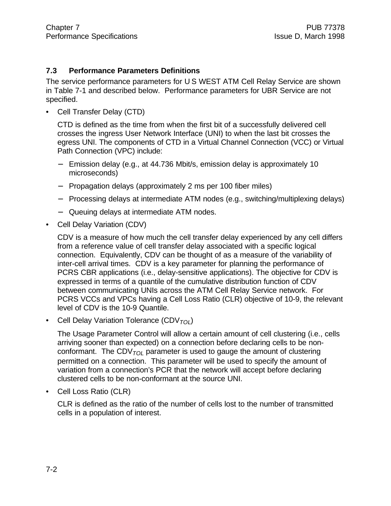#### **7.3 Performance Parameters Definitions**

The service performance parameters for U S WEST ATM Cell Relay Service are shown in Table 7-1 and described below. Performance parameters for UBR Service are not specified.

• Cell Transfer Delay (CTD)

CTD is defined as the time from when the first bit of a successfully delivered cell crosses the ingress User Network Interface (UNI) to when the last bit crosses the egress UNI. The components of CTD in a Virtual Channel Connection (VCC) or Virtual Path Connection (VPC) include:

- − Emission delay (e.g., at 44.736 Mbit/s, emission delay is approximately 10 microseconds)
- − Propagation delays (approximately 2 ms per 100 fiber miles)
- − Processing delays at intermediate ATM nodes (e.g., switching/multiplexing delays)
- − Queuing delays at intermediate ATM nodes.
- Cell Delay Variation (CDV)

CDV is a measure of how much the cell transfer delay experienced by any cell differs from a reference value of cell transfer delay associated with a specific logical connection. Equivalently, CDV can be thought of as a measure of the variability of inter-cell arrival times. CDV is a key parameter for planning the performance of PCRS CBR applications (i.e., delay-sensitive applications). The objective for CDV is expressed in terms of a quantile of the cumulative distribution function of CDV between communicating UNIs across the ATM Cell Relay Service network. For PCRS VCCs and VPCs having a Cell Loss Ratio (CLR) objective of 10-9, the relevant level of CDV is the 10-9 Quantile.

• Cell Delay Variation Tolerance (CDV*TOL*)

The Usage Parameter Control will allow a certain amount of cell clustering (i.e., cells arriving sooner than expected) on a connection before declaring cells to be nonconformant. The CDV $_{TOI}$  parameter is used to gauge the amount of clustering permitted on a connection. This parameter will be used to specify the amount of variation from a connection's PCR that the network will accept before declaring clustered cells to be non-conformant at the source UNI.

• Cell Loss Ratio (CLR)

CLR is defined as the ratio of the number of cells lost to the number of transmitted cells in a population of interest.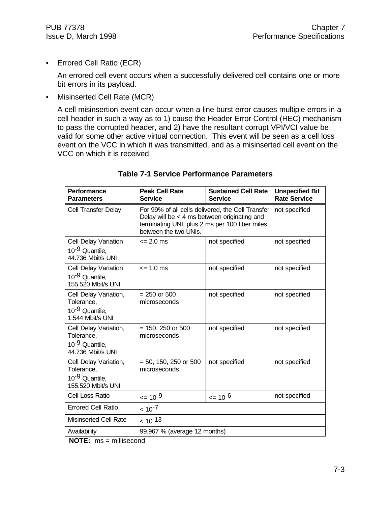• Errored Cell Ratio (ECR)

An errored cell event occurs when a successfully delivered cell contains one or more bit errors in its payload.

• Misinserted Cell Rate (MCR)

A cell misinsertion event can occur when a line burst error causes multiple errors in a cell header in such a way as to 1) cause the Header Error Control (HEC) mechanism to pass the corrupted header, and 2) have the resultant corrupt VPI/VCI value be valid for some other active virtual connection. This event will be seen as a cell loss event on the VCC in which it was transmitted, and as a misinserted cell event on the VCC on which it is received.

| <b>Performance</b><br><b>Parameters</b>                                                 | <b>Peak Cell Rate</b><br><b>Service</b>                                                                                                                                        | <b>Sustained Cell Rate</b><br><b>Service</b> | <b>Unspecified Bit</b><br><b>Rate Service</b> |
|-----------------------------------------------------------------------------------------|--------------------------------------------------------------------------------------------------------------------------------------------------------------------------------|----------------------------------------------|-----------------------------------------------|
| <b>Cell Transfer Delay</b>                                                              | For 99% of all cells delivered, the Cell Transfer<br>Delay will be $<$ 4 ms between originating and<br>terminating UNI, plus 2 ms per 100 fiber miles<br>between the two UNIs. |                                              | not specified                                 |
| <b>Cell Delay Variation</b><br>10 <sup>-9</sup> Quantile,<br>44.736 Mbit/s UNI          | $\leq$ 2.0 ms                                                                                                                                                                  | not specified                                | not specified                                 |
| <b>Cell Delay Variation</b><br>10 <sup>-9</sup> Quantile,<br>155.520 Mbit/s UNI         | $= 1.0$ ms                                                                                                                                                                     | not specified                                | not specified                                 |
| Cell Delay Variation,<br>Tolerance,<br>10 <sup>-9</sup> Quantile,<br>1.544 Mbit/s UNI   | $= 250$ or 500<br>microseconds                                                                                                                                                 | not specified                                | not specified                                 |
| Cell Delay Variation,<br>Tolerance,<br>10 <sup>-9</sup> Quantile,<br>44.736 Mbit/s UNI  | $= 150, 250$ or 500<br>microseconds                                                                                                                                            | not specified                                | not specified                                 |
| Cell Delay Variation,<br>Tolerance,<br>10 <sup>-9</sup> Quantile,<br>155.520 Mbit/s UNI | $= 50, 150, 250$ or 500<br>microseconds                                                                                                                                        | not specified                                | not specified                                 |
| Cell Loss Ratio                                                                         | $\leq 10^{-9}$                                                                                                                                                                 | $= 10^{-6}$                                  | not specified                                 |
| <b>Errored Cell Ratio</b>                                                               | $< 10^{-7}$                                                                                                                                                                    |                                              |                                               |
| <b>Misinserted Cell Rate</b>                                                            | $< 10^{-13}$                                                                                                                                                                   |                                              |                                               |
| Availability                                                                            | 99.967 % (average 12 months)                                                                                                                                                   |                                              |                                               |

### **Table 7-1 Service Performance Parameters**

**NOTE:** ms = millisecond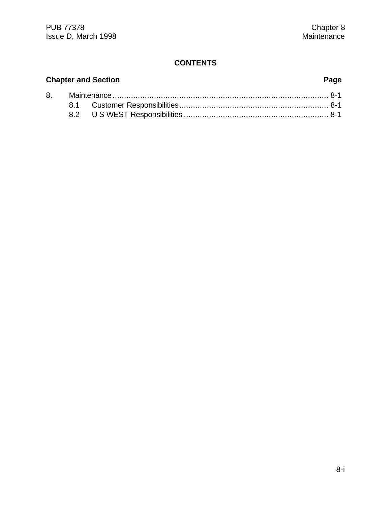# **CONTENTS**

# **Chapter and Section Page** 8. Maintenance.............................................................................................. 8-1 8.1 Customer Responsibilities................................................................. 8-1 8.2 U S WEST Responsibilities ............................................................... 8-1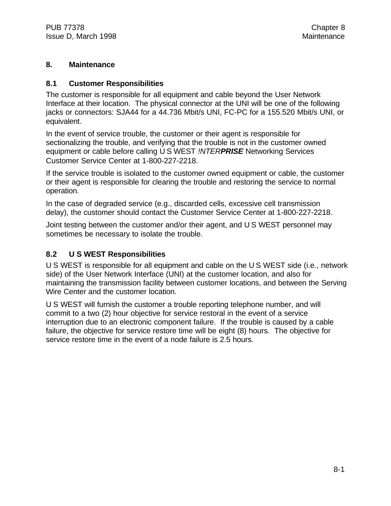#### **8. Maintenance**

#### **8.1 Customer Responsibilities**

The customer is responsible for all equipment and cable beyond the User Network Interface at their location. The physical connector at the UNI will be one of the following jacks or connectors: SJA44 for a 44.736 Mbit/s UNI, FC-PC for a 155.520 Mbit/s UNI, or equivalent.

In the event of service trouble, the customer or their agent is responsible for sectionalizing the trouble, and verifying that the trouble is not in the customer owned equipment or cable before calling U S WEST *!NTERPRISE* Networking Services Customer Service Center at 1-800-227-2218.

If the service trouble is isolated to the customer owned equipment or cable, the customer or their agent is responsible for clearing the trouble and restoring the service to normal operation.

In the case of degraded service (e.g., discarded cells, excessive cell transmission delay), the customer should contact the Customer Service Center at 1-800-227-2218.

Joint testing between the customer and/or their agent, and U S WEST personnel may sometimes be necessary to isolate the trouble.

# **8.2 U S WEST Responsibilities**

U S WEST is responsible for all equipment and cable on the U S WEST side (i.e., network side) of the User Network Interface (UNI) at the customer location, and also for maintaining the transmission facility between customer locations, and between the Serving Wire Center and the customer location.

U S WEST will furnish the customer a trouble reporting telephone number, and will commit to a two (2) hour objective for service restoral in the event of a service interruption due to an electronic component failure. If the trouble is caused by a cable failure, the objective for service restore time will be eight (8) hours. The objective for service restore time in the event of a node failure is 2.5 hours.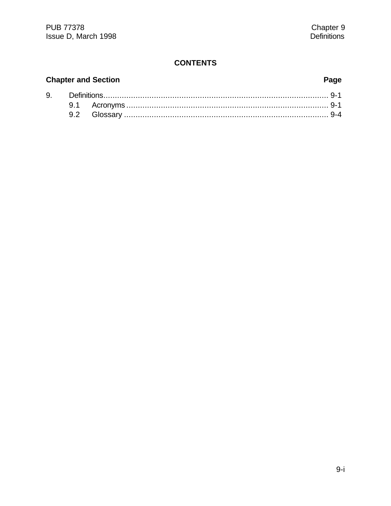# **CONTENTS**

# **Chapter and Section**

# Page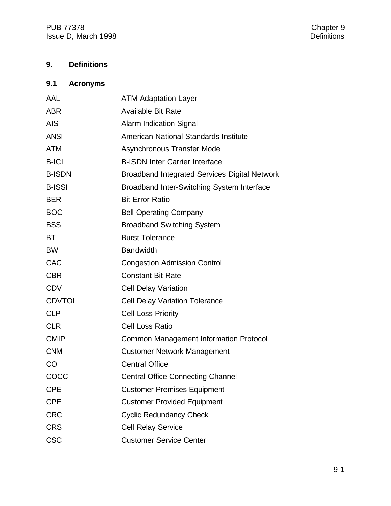# **9. Definitions**

|            | 9.1 Acronyms |                       |
|------------|--------------|-----------------------|
| <b>AAI</b> |              | $ATMAA$ dontotion $I$ |

| AAL           | A IM Adaptation Layer                                |
|---------------|------------------------------------------------------|
| <b>ABR</b>    | <b>Available Bit Rate</b>                            |
| <b>AIS</b>    | <b>Alarm Indication Signal</b>                       |
| <b>ANSI</b>   | American National Standards Institute                |
| <b>ATM</b>    | Asynchronous Transfer Mode                           |
| <b>B-ICI</b>  | <b>B-ISDN Inter Carrier Interface</b>                |
| <b>B-ISDN</b> | <b>Broadband Integrated Services Digital Network</b> |
| <b>B-ISSI</b> | Broadband Inter-Switching System Interface           |
| <b>BER</b>    | <b>Bit Error Ratio</b>                               |
| <b>BOC</b>    | <b>Bell Operating Company</b>                        |
| <b>BSS</b>    | <b>Broadband Switching System</b>                    |
| <b>BT</b>     | <b>Burst Tolerance</b>                               |
| <b>BW</b>     | <b>Bandwidth</b>                                     |
| <b>CAC</b>    | <b>Congestion Admission Control</b>                  |
| <b>CBR</b>    | <b>Constant Bit Rate</b>                             |
| <b>CDV</b>    | <b>Cell Delay Variation</b>                          |
| <b>CDVTOL</b> | <b>Cell Delay Variation Tolerance</b>                |
| <b>CLP</b>    | <b>Cell Loss Priority</b>                            |
| <b>CLR</b>    | <b>Cell Loss Ratio</b>                               |
| <b>CMIP</b>   | Common Management Information Protocol               |
| <b>CNM</b>    | <b>Customer Network Management</b>                   |
| CO            | <b>Central Office</b>                                |
| COCC          | <b>Central Office Connecting Channel</b>             |
| <b>CPE</b>    | <b>Customer Premises Equipment</b>                   |
| <b>CPE</b>    | <b>Customer Provided Equipment</b>                   |
| <b>CRC</b>    | <b>Cyclic Redundancy Check</b>                       |
| <b>CRS</b>    | <b>Cell Relay Service</b>                            |
| <b>CSC</b>    | <b>Customer Service Center</b>                       |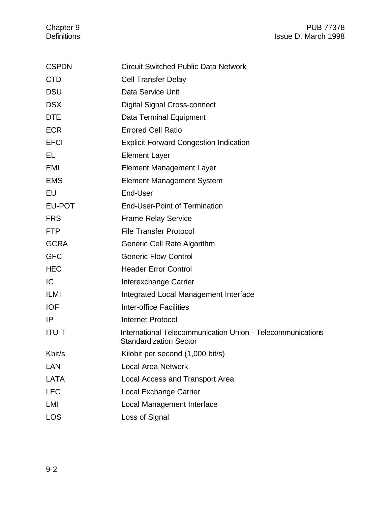| <b>CSPDN</b> | <b>Circuit Switched Public Data Network</b>                                                 |
|--------------|---------------------------------------------------------------------------------------------|
| <b>CTD</b>   | <b>Cell Transfer Delay</b>                                                                  |
| <b>DSU</b>   | Data Service Unit                                                                           |
| <b>DSX</b>   | Digital Signal Cross-connect                                                                |
| <b>DTE</b>   | Data Terminal Equipment                                                                     |
| <b>ECR</b>   | <b>Errored Cell Ratio</b>                                                                   |
| <b>EFCI</b>  | <b>Explicit Forward Congestion Indication</b>                                               |
| EL.          | <b>Element Layer</b>                                                                        |
| EML          | <b>Element Management Layer</b>                                                             |
| <b>EMS</b>   | <b>Element Management System</b>                                                            |
| EU           | End-User                                                                                    |
| EU-POT       | <b>End-User-Point of Termination</b>                                                        |
| <b>FRS</b>   | <b>Frame Relay Service</b>                                                                  |
| <b>FTP</b>   | <b>File Transfer Protocol</b>                                                               |
| <b>GCRA</b>  | Generic Cell Rate Algorithm                                                                 |
| <b>GFC</b>   | <b>Generic Flow Control</b>                                                                 |
| <b>HEC</b>   | <b>Header Error Control</b>                                                                 |
| IC           | Interexchange Carrier                                                                       |
| ILMI         | Integrated Local Management Interface                                                       |
| <b>IOF</b>   | Inter-office Facilities                                                                     |
| IP           | <b>Internet Protocol</b>                                                                    |
| <b>ITU-T</b> | International Telecommunication Union - Telecommunications<br><b>Standardization Sector</b> |
| Kbit/s       | Kilobit per second (1,000 bit/s)                                                            |
| LAN          | <b>Local Area Network</b>                                                                   |
| <b>LATA</b>  | Local Access and Transport Area                                                             |
| <b>LEC</b>   | Local Exchange Carrier                                                                      |
| LMI          | Local Management Interface                                                                  |
| <b>LOS</b>   | Loss of Signal                                                                              |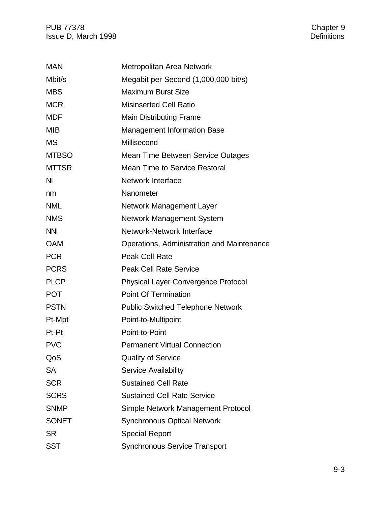PUB 77378<br>
Issue D, March 1998<br>
Issue D, March 1998 Issue D, March 1998

| <b>MAN</b>     | Metropolitan Area Network                  |
|----------------|--------------------------------------------|
| Mbit/s         | Megabit per Second (1,000,000 bit/s)       |
| <b>MBS</b>     | <b>Maximum Burst Size</b>                  |
| <b>MCR</b>     | <b>Misinserted Cell Ratio</b>              |
| <b>MDF</b>     | <b>Main Distributing Frame</b>             |
| <b>MIB</b>     | <b>Management Information Base</b>         |
| <b>MS</b>      | Millisecond                                |
| <b>MTBSO</b>   | Mean Time Between Service Outages          |
| <b>MTTSR</b>   | <b>Mean Time to Service Restoral</b>       |
| N <sub>l</sub> | <b>Network Interface</b>                   |
| nm             | Nanometer                                  |
| <b>NML</b>     | Network Management Layer                   |
| <b>NMS</b>     | Network Management System                  |
| <b>NNI</b>     | Network-Network Interface                  |
| <b>OAM</b>     | Operations, Administration and Maintenance |
| <b>PCR</b>     | <b>Peak Cell Rate</b>                      |
| <b>PCRS</b>    | <b>Peak Cell Rate Service</b>              |
| <b>PLCP</b>    | <b>Physical Layer Convergence Protocol</b> |
| <b>POT</b>     | <b>Point Of Termination</b>                |
| <b>PSTN</b>    | <b>Public Switched Telephone Network</b>   |
| Pt-Mpt         | Point-to-Multipoint                        |
| Pt-Pt          | Point-to-Point                             |
| <b>PVC</b>     | <b>Permanent Virtual Connection</b>        |
| QoS            | <b>Quality of Service</b>                  |
| <b>SA</b>      | <b>Service Availability</b>                |
| <b>SCR</b>     | <b>Sustained Cell Rate</b>                 |
| <b>SCRS</b>    | <b>Sustained Cell Rate Service</b>         |
| <b>SNMP</b>    | Simple Network Management Protocol         |
| <b>SONET</b>   | <b>Synchronous Optical Network</b>         |
| <b>SR</b>      | <b>Special Report</b>                      |
| <b>SST</b>     | <b>Synchronous Service Transport</b>       |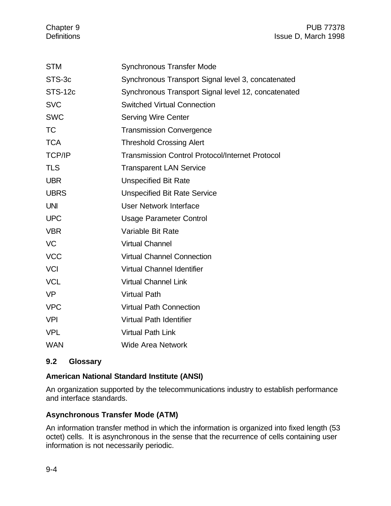Chapter 9 PUB 77378 Definitions **Issue D, March 1998** 

| <b>STM</b>     | <b>Synchronous Transfer Mode</b>                       |
|----------------|--------------------------------------------------------|
| STS-3c         | Synchronous Transport Signal level 3, concatenated     |
| <b>STS-12c</b> | Synchronous Transport Signal level 12, concatenated    |
| <b>SVC</b>     | <b>Switched Virtual Connection</b>                     |
| <b>SWC</b>     | <b>Serving Wire Center</b>                             |
| <b>TC</b>      | <b>Transmission Convergence</b>                        |
| <b>TCA</b>     | <b>Threshold Crossing Alert</b>                        |
| <b>TCP/IP</b>  | <b>Transmission Control Protocol/Internet Protocol</b> |
| <b>TLS</b>     | <b>Transparent LAN Service</b>                         |
| <b>UBR</b>     | <b>Unspecified Bit Rate</b>                            |
| <b>UBRS</b>    | <b>Unspecified Bit Rate Service</b>                    |
| <b>UNI</b>     | <b>User Network Interface</b>                          |
| <b>UPC</b>     | <b>Usage Parameter Control</b>                         |
| <b>VBR</b>     | Variable Bit Rate                                      |
| <b>VC</b>      | <b>Virtual Channel</b>                                 |
| <b>VCC</b>     | <b>Virtual Channel Connection</b>                      |
| <b>VCI</b>     | <b>Virtual Channel Identifier</b>                      |
| <b>VCL</b>     | <b>Virtual Channel Link</b>                            |
| <b>VP</b>      | <b>Virtual Path</b>                                    |
| <b>VPC</b>     | <b>Virtual Path Connection</b>                         |
| <b>VPI</b>     | <b>Virtual Path Identifier</b>                         |
| <b>VPL</b>     | <b>Virtual Path Link</b>                               |
| <b>WAN</b>     | <b>Wide Area Network</b>                               |

# **9.2 Glossary**

#### **American National Standard Institute (ANSI)**

An organization supported by the telecommunications industry to establish performance and interface standards.

#### **Asynchronous Transfer Mode (ATM)**

An information transfer method in which the information is organized into fixed length (53 octet) cells. It is asynchronous in the sense that the recurrence of cells containing user information is not necessarily periodic.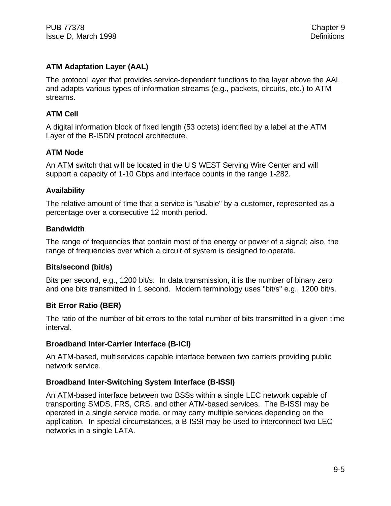# **ATM Adaptation Layer (AAL)**

The protocol layer that provides service-dependent functions to the layer above the AAL and adapts various types of information streams (e.g., packets, circuits, etc.) to ATM streams.

# **ATM Cell**

A digital information block of fixed length (53 octets) identified by a label at the ATM Layer of the B-ISDN protocol architecture.

# **ATM Node**

An ATM switch that will be located in the U S WEST Serving Wire Center and will support a capacity of 1-10 Gbps and interface counts in the range 1-282.

# **Availability**

The relative amount of time that a service is "usable" by a customer, represented as a percentage over a consecutive 12 month period.

# **Bandwidth**

The range of frequencies that contain most of the energy or power of a signal; also, the range of frequencies over which a circuit of system is designed to operate.

# **Bits/second (bit/s)**

Bits per second, e.g., 1200 bit/s. In data transmission, it is the number of binary zero and one bits transmitted in 1 second. Modern terminology uses "bit/s" e.g., 1200 bit/s.

# **Bit Error Ratio (BER)**

The ratio of the number of bit errors to the total number of bits transmitted in a given time interval.

# **Broadband Inter-Carrier Interface (B-ICI)**

An ATM-based, multiservices capable interface between two carriers providing public network service.

# **Broadband Inter-Switching System Interface (B-ISSI)**

An ATM-based interface between two BSSs within a single LEC network capable of transporting SMDS, FRS, CRS, and other ATM-based services. The B-ISSI may be operated in a single service mode, or may carry multiple services depending on the application. In special circumstances, a B-ISSI may be used to interconnect two LEC networks in a single LATA.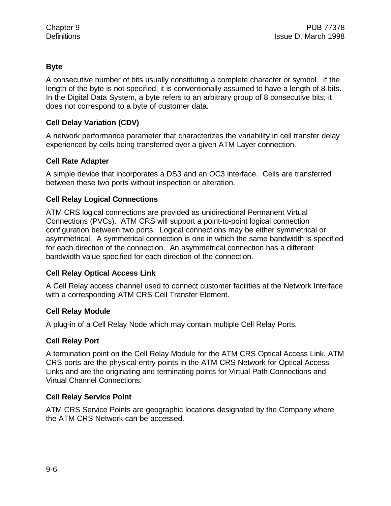# **Byte**

A consecutive number of bits usually constituting a complete character or symbol. If the length of the byte is not specified, it is conventionally assumed to have a length of 8-bits. In the Digital Data System, a byte refers to an arbitrary group of 8 consecutive bits; it does not correspond to a byte of customer data.

#### **Cell Delay Variation (CDV)**

A network performance parameter that characterizes the variability in cell transfer delay experienced by cells being transferred over a given ATM Layer connection.

### **Cell Rate Adapter**

A simple device that incorporates a DS3 and an OC3 interface. Cells are transferred between these two ports without inspection or alteration.

# **Cell Relay Logical Connections**

ATM CRS logical connections are provided as unidirectional Permanent Virtual Connections (PVCs). ATM CRS will support a point-to-point logical connection configuration between two ports. Logical connections may be either symmetrical or asymmetrical. A symmetrical connection is one in which the same bandwidth is specified for each direction of the connection. An asymmetrical connection has a different bandwidth value specified for each direction of the connection.

#### **Cell Relay Optical Access Link**

A Cell Relay access channel used to connect customer facilities at the Network Interface with a corresponding ATM CRS Cell Transfer Element.

#### **Cell Relay Module**

A plug-in of a Cell Relay Node which may contain multiple Cell Relay Ports.

#### **Cell Relay Port**

A termination point on the Cell Relay Module for the ATM CRS Optical Access Link. ATM CRS ports are the physical entry points in the ATM CRS Network for Optical Access Links and are the originating and terminating points for Virtual Path Connections and Virtual Channel Connections.

#### **Cell Relay Service Point**

ATM CRS Service Points are geographic locations designated by the Company where the ATM CRS Network can be accessed.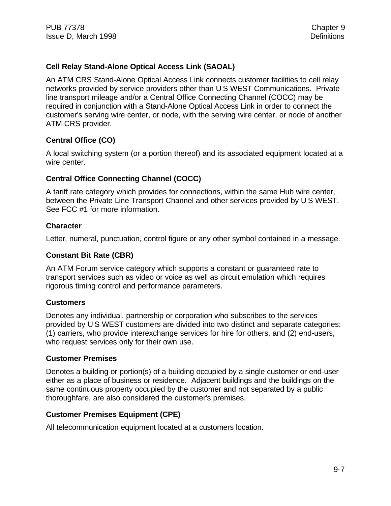# **Cell Relay Stand-Alone Optical Access Link (SAOAL)**

An ATM CRS Stand-Alone Optical Access Link connects customer facilities to cell relay networks provided by service providers other than U S WEST Communications. Private line transport mileage and/or a Central Office Connecting Channel (COCC) may be required in conjunction with a Stand-Alone Optical Access Link in order to connect the customer's serving wire center, or node, with the serving wire center, or node of another ATM CRS provider.

### **Central Office (CO)**

A local switching system (or a portion thereof) and its associated equipment located at a wire center.

#### **Central Office Connecting Channel (COCC)**

A tariff rate category which provides for connections, within the same Hub wire center, between the Private Line Transport Channel and other services provided by U S WEST. See FCC #1 for more information.

#### **Character**

Letter, numeral, punctuation, control figure or any other symbol contained in a message.

#### **Constant Bit Rate (CBR)**

An ATM Forum service category which supports a constant or guaranteed rate to transport services such as video or voice as well as circuit emulation which requires rigorous timing control and performance parameters.

#### **Customers**

Denotes any individual, partnership or corporation who subscribes to the services provided by U S WEST customers are divided into two distinct and separate categories: (1) carriers, who provide interexchange services for hire for others, and (2) end-users, who request services only for their own use.

#### **Customer Premises**

Denotes a building or portion(s) of a building occupied by a single customer or end-user either as a place of business or residence. Adjacent buildings and the buildings on the same continuous property occupied by the customer and not separated by a public thoroughfare, are also considered the customer's premises.

#### **Customer Premises Equipment (CPE)**

All telecommunication equipment located at a customers location.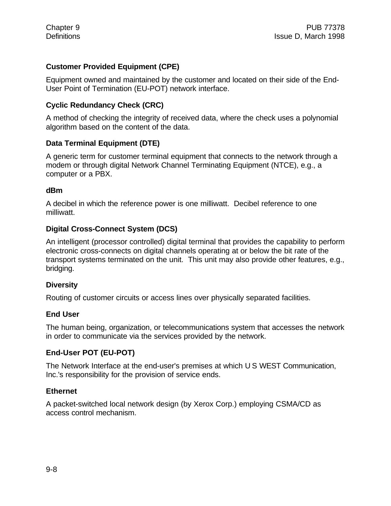# **Customer Provided Equipment (CPE)**

Equipment owned and maintained by the customer and located on their side of the End-User Point of Termination (EU-POT) network interface.

#### **Cyclic Redundancy Check (CRC)**

A method of checking the integrity of received data, where the check uses a polynomial algorithm based on the content of the data.

#### **Data Terminal Equipment (DTE)**

A generic term for customer terminal equipment that connects to the network through a modem or through digital Network Channel Terminating Equipment (NTCE), e.g., a computer or a PBX.

#### **dBm**

A decibel in which the reference power is one milliwatt. Decibel reference to one milliwatt.

#### **Digital Cross-Connect System (DCS)**

An intelligent (processor controlled) digital terminal that provides the capability to perform electronic cross-connects on digital channels operating at or below the bit rate of the transport systems terminated on the unit. This unit may also provide other features, e.g., bridging.

#### **Diversity**

Routing of customer circuits or access lines over physically separated facilities.

#### **End User**

The human being, organization, or telecommunications system that accesses the network in order to communicate via the services provided by the network.

#### **End-User POT (EU-POT)**

The Network Interface at the end-user's premises at which U S WEST Communication, Inc.'s responsibility for the provision of service ends.

#### **Ethernet**

A packet-switched local network design (by Xerox Corp.) employing CSMA/CD as access control mechanism.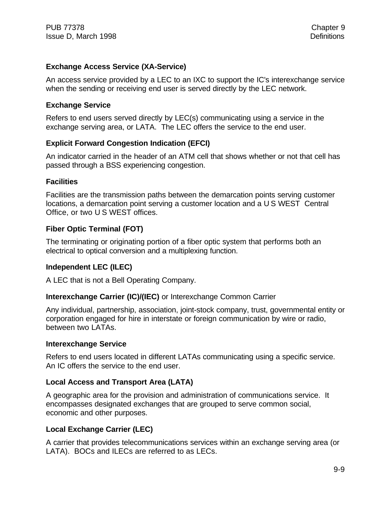#### **Exchange Access Service (XA-Service)**

An access service provided by a LEC to an IXC to support the IC's interexchange service when the sending or receiving end user is served directly by the LEC network.

#### **Exchange Service**

Refers to end users served directly by LEC(s) communicating using a service in the exchange serving area, or LATA. The LEC offers the service to the end user.

### **Explicit Forward Congestion Indication (EFCI)**

An indicator carried in the header of an ATM cell that shows whether or not that cell has passed through a BSS experiencing congestion.

#### **Facilities**

Facilities are the transmission paths between the demarcation points serving customer locations, a demarcation point serving a customer location and a U S WEST Central Office, or two U S WEST offices.

### **Fiber Optic Terminal (FOT)**

The terminating or originating portion of a fiber optic system that performs both an electrical to optical conversion and a multiplexing function.

# **Independent LEC (ILEC)**

A LEC that is not a Bell Operating Company.

#### **Interexchange Carrier (IC)/(IEC)** or Interexchange Common Carrier

Any individual, partnership, association, joint-stock company, trust, governmental entity or corporation engaged for hire in interstate or foreign communication by wire or radio, between two LATAs.

#### **Interexchange Service**

Refers to end users located in different LATAs communicating using a specific service. An IC offers the service to the end user.

#### **Local Access and Transport Area (LATA)**

A geographic area for the provision and administration of communications service. It encompasses designated exchanges that are grouped to serve common social, economic and other purposes.

#### **Local Exchange Carrier (LEC)**

A carrier that provides telecommunications services within an exchange serving area (or LATA). BOCs and ILECs are referred to as LECs.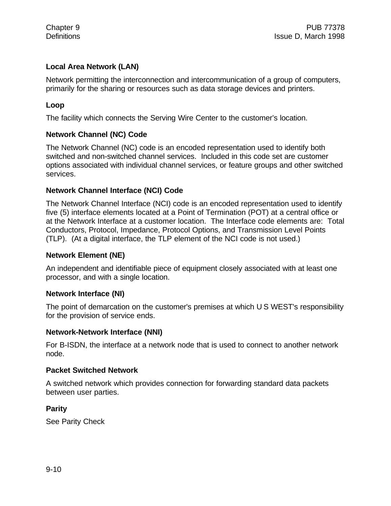### **Local Area Network (LAN)**

Network permitting the interconnection and intercommunication of a group of computers, primarily for the sharing or resources such as data storage devices and printers.

#### **Loop**

The facility which connects the Serving Wire Center to the customer's location.

#### **Network Channel (NC) Code**

The Network Channel (NC) code is an encoded representation used to identify both switched and non-switched channel services. Included in this code set are customer options associated with individual channel services, or feature groups and other switched services.

#### **Network Channel Interface (NCI) Code**

The Network Channel Interface (NCI) code is an encoded representation used to identify five (5) interface elements located at a Point of Termination (POT) at a central office or at the Network Interface at a customer location. The Interface code elements are: Total Conductors, Protocol, Impedance, Protocol Options, and Transmission Level Points (TLP). (At a digital interface, the TLP element of the NCI code is not used.)

#### **Network Element (NE)**

An independent and identifiable piece of equipment closely associated with at least one processor, and with a single location.

#### **Network Interface (NI)**

The point of demarcation on the customer's premises at which U S WEST's responsibility for the provision of service ends.

#### **Network-Network Interface (NNI)**

For B-ISDN, the interface at a network node that is used to connect to another network node.

#### **Packet Switched Network**

A switched network which provides connection for forwarding standard data packets between user parties.

#### **Parity**

See Parity Check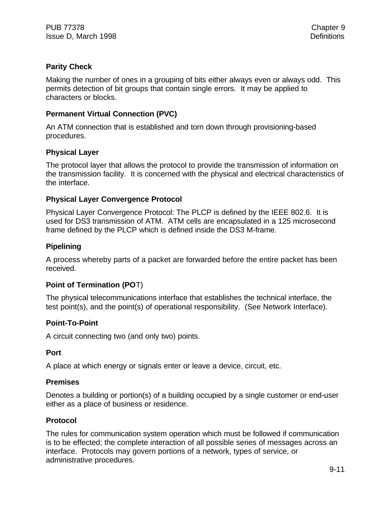### **Parity Check**

Making the number of ones in a grouping of bits either always even or always odd. This permits detection of bit groups that contain single errors. It may be applied to characters or blocks.

### **Permanent Virtual Connection (PVC)**

An ATM connection that is established and torn down through provisioning-based procedures.

### **Physical Layer**

The protocol layer that allows the protocol to provide the transmission of information on the transmission facility. It is concerned with the physical and electrical characteristics of the interface.

### **Physical Layer Convergence Protocol**

Physical Layer Convergence Protocol: The PLCP is defined by the IEEE 802.6. It is used for DS3 transmission of ATM. ATM cells are encapsulated in a 125 microsecond frame defined by the PLCP which is defined inside the DS3 M-frame.

# **Pipelining**

A process whereby parts of a packet are forwarded before the entire packet has been received.

#### **Point of Termination (PO**T)

The physical telecommunications interface that establishes the technical interface, the test point(s), and the point(s) of operational responsibility. (See Network Interface).

#### **Point-To-Point**

A circuit connecting two (and only two) points.

#### **Port**

A place at which energy or signals enter or leave a device, circuit, etc.

#### **Premises**

Denotes a building or portion(s) of a building occupied by a single customer or end-user either as a place of business or residence.

#### **Protocol**

The rules for communication system operation which must be followed if communication is to be effected; the complete interaction of all possible series of messages across an interface. Protocols may govern portions of a network, types of service, or administrative procedures.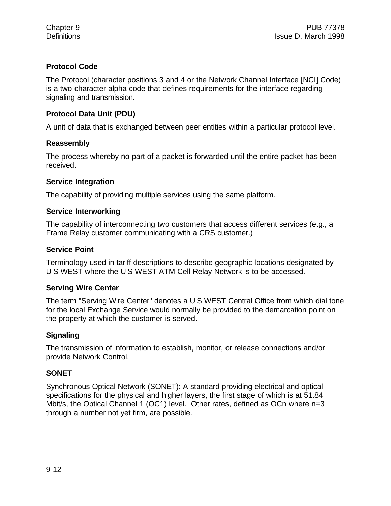# **Protocol Code**

The Protocol (character positions 3 and 4 or the Network Channel Interface [NCI] Code) is a two-character alpha code that defines requirements for the interface regarding signaling and transmission.

# **Protocol Data Unit (PDU)**

A unit of data that is exchanged between peer entities within a particular protocol level.

#### **Reassembly**

The process whereby no part of a packet is forwarded until the entire packet has been received.

#### **Service Integration**

The capability of providing multiple services using the same platform.

#### **Service Interworking**

The capability of interconnecting two customers that access different services (e.g., a Frame Relay customer communicating with a CRS customer.)

#### **Service Point**

Terminology used in tariff descriptions to describe geographic locations designated by U S WEST where the U S WEST ATM Cell Relay Network is to be accessed.

#### **Serving Wire Center**

The term "Serving Wire Center" denotes a U S WEST Central Office from which dial tone for the local Exchange Service would normally be provided to the demarcation point on the property at which the customer is served.

#### **Signaling**

The transmission of information to establish, monitor, or release connections and/or provide Network Control.

#### **SONET**

Synchronous Optical Network (SONET): A standard providing electrical and optical specifications for the physical and higher layers, the first stage of which is at 51.84 Mbit/s, the Optical Channel 1 (OC1) level. Other rates, defined as OCn where n=3 through a number not yet firm, are possible.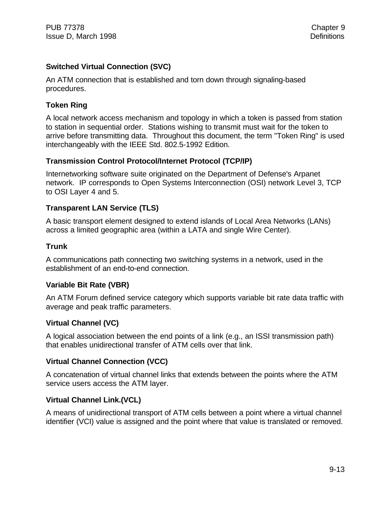# **Switched Virtual Connection (SVC)**

An ATM connection that is established and torn down through signaling-based procedures.

### **Token Ring**

A local network access mechanism and topology in which a token is passed from station to station in sequential order. Stations wishing to transmit must wait for the token to arrive before transmitting data. Throughout this document, the term "Token Ring" is used interchangeably with the IEEE Std. 802.5-1992 Edition.

### **Transmission Control Protocol/Internet Protocol (TCP/IP)**

Internetworking software suite originated on the Department of Defense's Arpanet network. IP corresponds to Open Systems Interconnection (OSI) network Level 3, TCP to OSI Layer 4 and 5.

### **Transparent LAN Service (TLS)**

A basic transport element designed to extend islands of Local Area Networks (LANs) across a limited geographic area (within a LATA and single Wire Center).

#### **Trunk**

A communications path connecting two switching systems in a network, used in the establishment of an end-to-end connection.

#### **Variable Bit Rate (VBR)**

An ATM Forum defined service category which supports variable bit rate data traffic with average and peak traffic parameters.

#### **Virtual Channel (VC)**

A logical association between the end points of a link (e.g., an ISSI transmission path) that enables unidirectional transfer of ATM cells over that link.

# **Virtual Channel Connection (VCC)**

A concatenation of virtual channel links that extends between the points where the ATM service users access the ATM layer.

# **Virtual Channel Link.(VCL)**

A means of unidirectional transport of ATM cells between a point where a virtual channel identifier (VCI) value is assigned and the point where that value is translated or removed.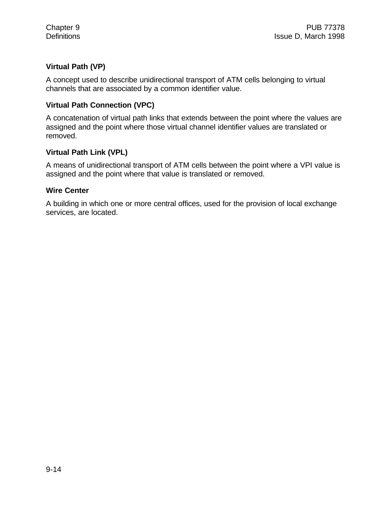# **Virtual Path (VP)**

A concept used to describe unidirectional transport of ATM cells belonging to virtual channels that are associated by a common identifier value.

#### **Virtual Path Connection (VPC)**

A concatenation of virtual path links that extends between the point where the values are assigned and the point where those virtual channel identifier values are translated or removed.

#### **Virtual Path Link (VPL)**

A means of unidirectional transport of ATM cells between the point where a VPI value is assigned and the point where that value is translated or removed.

#### **Wire Center**

A building in which one or more central offices, used for the provision of local exchange services, are located.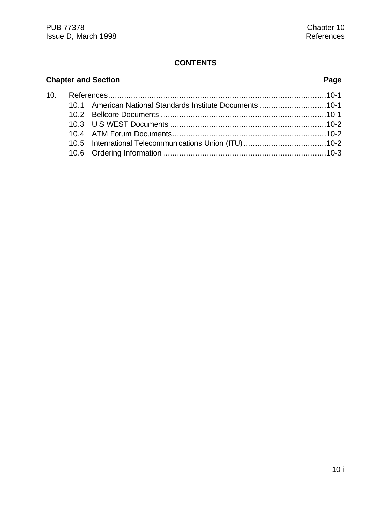#### **CONTENTS**

# **Chapter and Section Page** 10. References...............................................................................................10-1 10.1 American National Standards Institute Documents .............................10-1 10.2 Bellcore Documents ........................................................................10-1 10.3 U S WEST Documents ....................................................................10-2 10.4 ATM Forum Documents...................................................................10-2 10.5 International Telecommunications Union (ITU)....................................10-2 10.6 Ordering Information .......................................................................10-3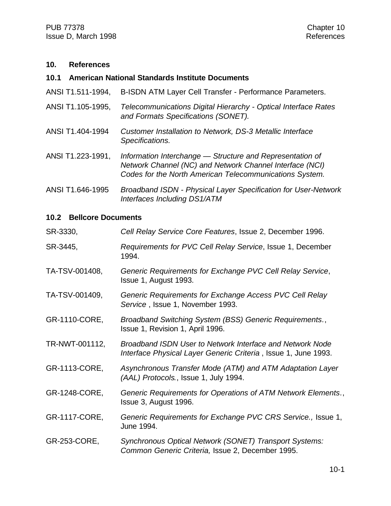#### **10. References**

#### **10.1 American National Standards Institute Documents**

- ANSI T1.511-1994, B-ISDN ATM Layer Cell Transfer Performance Parameters.
- ANSI T1.105-1995, *Telecommunications Digital Hierarchy Optical Interface Rates and Formats Specifications (SONET).*
- ANSI T1.404-1994 *Customer Installation to Network, DS-3 Metallic Interface Specifications.*
- ANSI T1.223-1991, *Information Interchange Structure and Representation of Network Channel (NC) and Network Channel Interface (NCI) Codes for the North American Telecommunications System.*
- ANSI T1.646-1995 *Broadband ISDN Physical Layer Specification for User-Network Interfaces Including DS1/ATM*

#### **10.2 Bellcore Documents**

| SR-3330,       | Cell Relay Service Core Features, Issue 2, December 1996.                                                                   |
|----------------|-----------------------------------------------------------------------------------------------------------------------------|
| SR-3445,       | Requirements for PVC Cell Relay Service, Issue 1, December<br>1994.                                                         |
| TA-TSV-001408, | Generic Requirements for Exchange PVC Cell Relay Service,<br>Issue 1, August 1993.                                          |
| TA-TSV-001409, | Generic Requirements for Exchange Access PVC Cell Relay<br>Service, Issue 1, November 1993.                                 |
| GR-1110-CORE,  | Broadband Switching System (BSS) Generic Requirements.,<br>Issue 1, Revision 1, April 1996.                                 |
| TR-NWT-001112, | Broadband ISDN User to Network Interface and Network Node<br>Interface Physical Layer Generic Criteria, Issue 1, June 1993. |
| GR-1113-CORE,  | Asynchronous Transfer Mode (ATM) and ATM Adaptation Layer<br>(AAL) Protocols., Issue 1, July 1994.                          |
| GR-1248-CORE,  | Generic Requirements for Operations of ATM Network Elements.,<br>Issue 3, August 1996.                                      |
| GR-1117-CORE,  | Generic Requirements for Exchange PVC CRS Service., Issue 1,<br>June 1994.                                                  |
| GR-253-CORE,   | Synchronous Optical Network (SONET) Transport Systems:<br>Common Generic Criteria, Issue 2, December 1995.                  |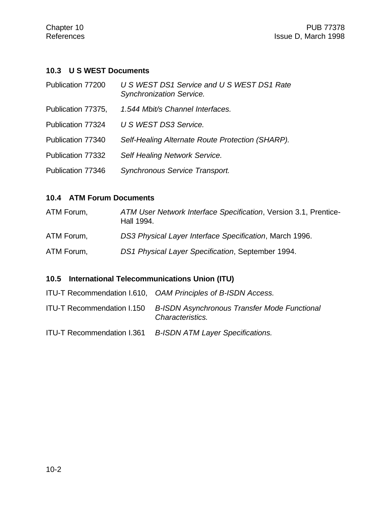# **10.3 U S WEST Documents**

| Publication 77200  | U S WEST DS1 Service and U S WEST DS1 Rate<br><b>Synchronization Service.</b> |
|--------------------|-------------------------------------------------------------------------------|
| Publication 77375, | 1.544 Mbit/s Channel Interfaces.                                              |
| Publication 77324  | U S WEST DS3 Service.                                                         |
| Publication 77340  | Self-Healing Alternate Route Protection (SHARP).                              |
| Publication 77332  | Self Healing Network Service.                                                 |
| Publication 77346  | Synchronous Service Transport.                                                |

# **10.4 ATM Forum Documents**

| ATM Forum, | ATM User Network Interface Specification, Version 3.1, Prentice-<br>Hall 1994. |
|------------|--------------------------------------------------------------------------------|
| ATM Forum, | DS3 Physical Layer Interface Specification, March 1996.                        |
| ATM Forum. | DS1 Physical Layer Specification, September 1994.                              |

# **10.5 International Telecommunications Union (ITU)**

|                                   | ITU-T Recommendation I.610, OAM Principles of B-ISDN Access.            |
|-----------------------------------|-------------------------------------------------------------------------|
| ITU-T Recommendation I.150        | <b>B-ISDN Asynchronous Transfer Mode Functional</b><br>Characteristics. |
| <b>ITU-T Recommendation I.361</b> | <b>B-ISDN ATM Layer Specifications.</b>                                 |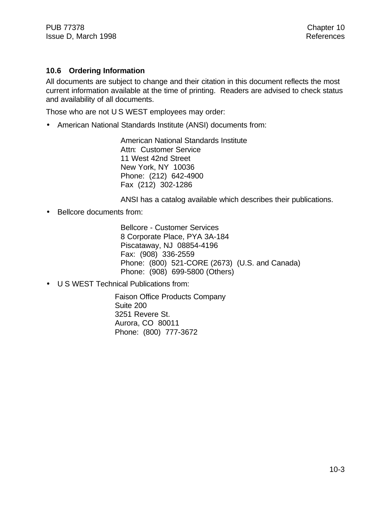#### **10.6 Ordering Information**

All documents are subject to change and their citation in this document reflects the most current information available at the time of printing. Readers are advised to check status and availability of all documents.

Those who are not U S WEST employees may order:

• American National Standards Institute (ANSI) documents from:

American National Standards Institute Attn: Customer Service 11 West 42nd Street New York, NY 10036 Phone: (212) 642-4900 Fax (212) 302-1286

ANSI has a catalog available which describes their publications.

• Bellcore documents from:

Bellcore - Customer Services 8 Corporate Place, PYA 3A-184 Piscataway, NJ 08854-4196 Fax: (908) 336-2559 Phone: (800) 521-CORE (2673) (U.S. and Canada) Phone: (908) 699-5800 (Others)

• U S WEST Technical Publications from:

Faison Office Products Company Suite 200 3251 Revere St. Aurora, CO 80011 Phone: (800) 777-3672